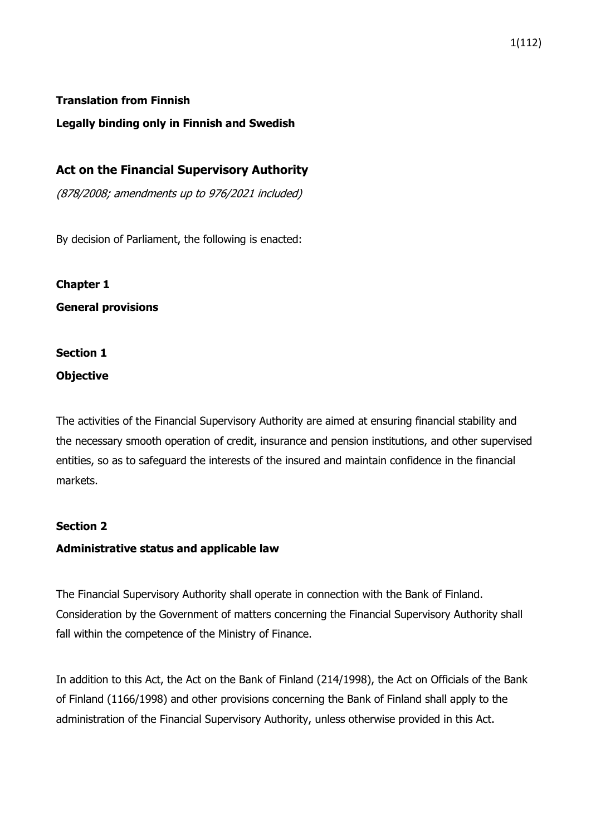## 1(112)

## **Translation from Finnish**

## **Legally binding only in Finnish and Swedish**

## **Act on the Financial Supervisory Authority**

(878/2008; amendments up to 976/2021 included)

By decision of Parliament, the following is enacted:

**Chapter 1 General provisions**

#### **Section 1**

## **Objective**

The activities of the Financial Supervisory Authority are aimed at ensuring financial stability and the necessary smooth operation of credit, insurance and pension institutions, and other supervised entities, so as to safeguard the interests of the insured and maintain confidence in the financial markets.

#### **Section 2**

#### **Administrative status and applicable law**

The Financial Supervisory Authority shall operate in connection with the Bank of Finland. Consideration by the Government of matters concerning the Financial Supervisory Authority shall fall within the competence of the Ministry of Finance.

In addition to this Act, the Act on the Bank of Finland (214/1998), the Act on Officials of the Bank of Finland (1166/1998) and other provisions concerning the Bank of Finland shall apply to the administration of the Financial Supervisory Authority, unless otherwise provided in this Act.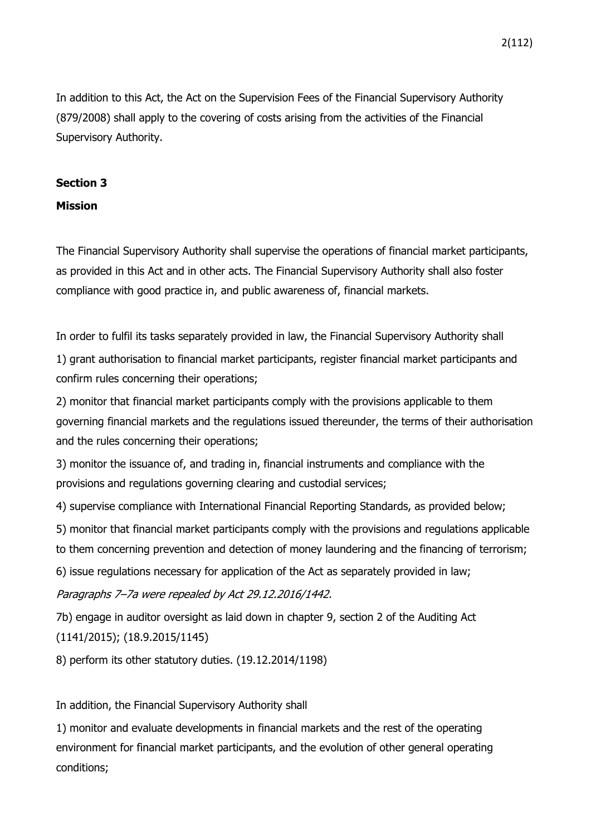In addition to this Act, the Act on the Supervision Fees of the Financial Supervisory Authority (879/2008) shall apply to the covering of costs arising from the activities of the Financial Supervisory Authority.

## **Section 3**

## **Mission**

The Financial Supervisory Authority shall supervise the operations of financial market participants, as provided in this Act and in other acts. The Financial Supervisory Authority shall also foster compliance with good practice in, and public awareness of, financial markets.

In order to fulfil its tasks separately provided in law, the Financial Supervisory Authority shall

1) grant authorisation to financial market participants, register financial market participants and confirm rules concerning their operations;

2) monitor that financial market participants comply with the provisions applicable to them governing financial markets and the regulations issued thereunder, the terms of their authorisation and the rules concerning their operations;

3) monitor the issuance of, and trading in, financial instruments and compliance with the provisions and regulations governing clearing and custodial services;

4) supervise compliance with International Financial Reporting Standards, as provided below;

5) monitor that financial market participants comply with the provisions and regulations applicable

to them concerning prevention and detection of money laundering and the financing of terrorism;

6) issue regulations necessary for application of the Act as separately provided in law;

Paragraphs 7–7a were repealed by Act 29.12.2016/1442.

7b) engage in auditor oversight as laid down in chapter 9, section 2 of the Auditing Act (1141/2015); (18.9.2015/1145)

8) perform its other statutory duties. (19.12.2014/1198)

## In addition, the Financial Supervisory Authority shall

1) monitor and evaluate developments in financial markets and the rest of the operating environment for financial market participants, and the evolution of other general operating conditions;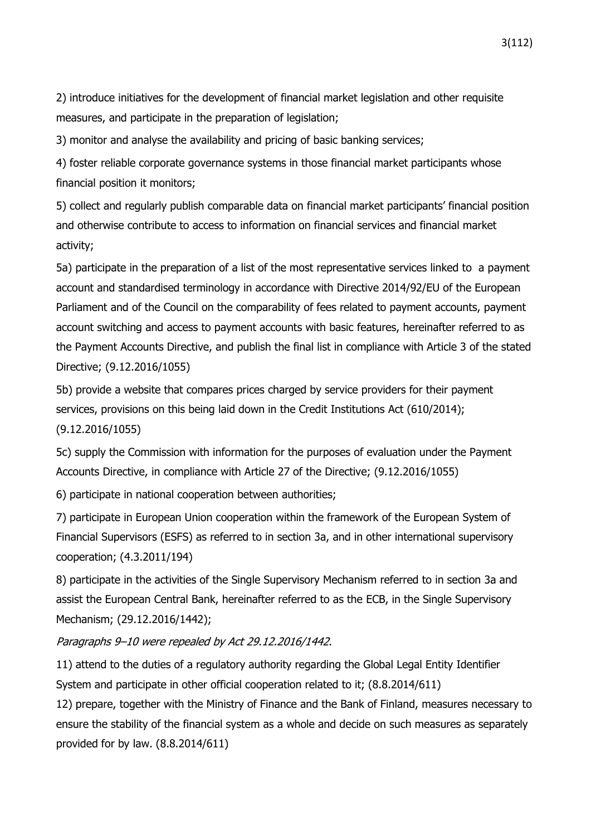2) introduce initiatives for the development of financial market legislation and other requisite measures, and participate in the preparation of legislation;

3) monitor and analyse the availability and pricing of basic banking services;

4) foster reliable corporate governance systems in those financial market participants whose financial position it monitors;

5) collect and regularly publish comparable data on financial market participants' financial position and otherwise contribute to access to information on financial services and financial market activity;

5a) participate in the preparation of a list of the most representative services linked to a payment account and standardised terminology in accordance with Directive 2014/92/EU of the European Parliament and of the Council on the comparability of fees related to payment accounts, payment account switching and access to payment accounts with basic features, hereinafter referred to as the Payment Accounts Directive, and publish the final list in compliance with Article 3 of the stated Directive; (9.12.2016/1055)

5b) provide a website that compares prices charged by service providers for their payment services, provisions on this being laid down in the Credit Institutions Act (610/2014); (9.12.2016/1055)

5c) supply the Commission with information for the purposes of evaluation under the Payment Accounts Directive, in compliance with Article 27 of the Directive; (9.12.2016/1055)

6) participate in national cooperation between authorities;

7) participate in European Union cooperation within the framework of the European System of Financial Supervisors (ESFS) as referred to in section 3a, and in other international supervisory cooperation; (4.3.2011/194)

8) participate in the activities of the Single Supervisory Mechanism referred to in section 3a and assist the European Central Bank, hereinafter referred to as the ECB, in the Single Supervisory Mechanism; (29.12.2016/1442);

#### Paragraphs 9–10 were repealed by Act 29.12.2016/1442.

11) attend to the duties of a regulatory authority regarding the Global Legal Entity Identifier System and participate in other official cooperation related to it; (8.8.2014/611)

12) prepare, together with the Ministry of Finance and the Bank of Finland, measures necessary to ensure the stability of the financial system as a whole and decide on such measures as separately provided for by law. (8.8.2014/611)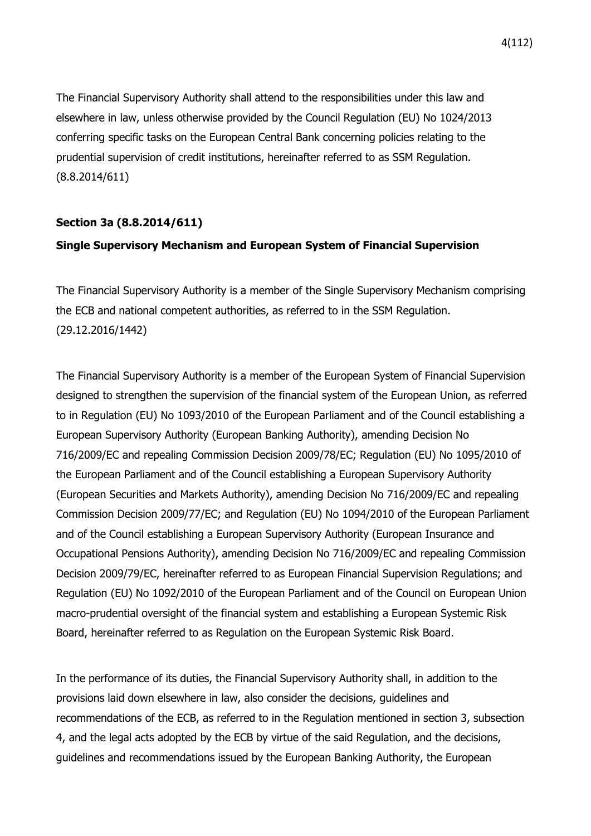The Financial Supervisory Authority shall attend to the responsibilities under this law and elsewhere in law, unless otherwise provided by the Council Regulation (EU) No 1024/2013 conferring specific tasks on the European Central Bank concerning policies relating to the prudential supervision of credit institutions, hereinafter referred to as SSM Regulation. (8.8.2014/611)

## **Section 3a (8.8.2014/611)**

#### **Single Supervisory Mechanism and European System of Financial Supervision**

The Financial Supervisory Authority is a member of the Single Supervisory Mechanism comprising the ECB and national competent authorities, as referred to in the SSM Regulation. (29.12.2016/1442)

The Financial Supervisory Authority is a member of the European System of Financial Supervision designed to strengthen the supervision of the financial system of the European Union, as referred to in Regulation (EU) No 1093/2010 of the European Parliament and of the Council establishing a European Supervisory Authority (European Banking Authority), amending Decision No 716/2009/EC and repealing Commission Decision 2009/78/EC; Regulation (EU) No 1095/2010 of the European Parliament and of the Council establishing a European Supervisory Authority (European Securities and Markets Authority), amending Decision No 716/2009/EC and repealing Commission Decision 2009/77/EC; and Regulation (EU) No 1094/2010 of the European Parliament and of the Council establishing a European Supervisory Authority (European Insurance and Occupational Pensions Authority), amending Decision No 716/2009/EC and repealing Commission Decision 2009/79/EC, hereinafter referred to as European Financial Supervision Regulations; and Regulation (EU) No 1092/2010 of the European Parliament and of the Council on European Union macro-prudential oversight of the financial system and establishing a European Systemic Risk Board, hereinafter referred to as Regulation on the European Systemic Risk Board.

In the performance of its duties, the Financial Supervisory Authority shall, in addition to the provisions laid down elsewhere in law, also consider the decisions, guidelines and recommendations of the ECB, as referred to in the Regulation mentioned in section 3, subsection 4, and the legal acts adopted by the ECB by virtue of the said Regulation, and the decisions, guidelines and recommendations issued by the European Banking Authority, the European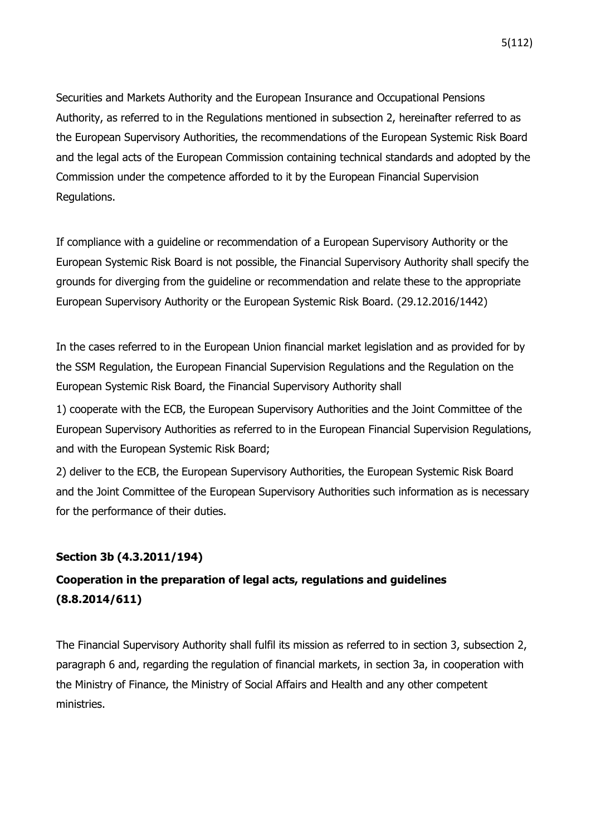Securities and Markets Authority and the European Insurance and Occupational Pensions Authority, as referred to in the Regulations mentioned in subsection 2, hereinafter referred to as the European Supervisory Authorities, the recommendations of the European Systemic Risk Board and the legal acts of the European Commission containing technical standards and adopted by the Commission under the competence afforded to it by the European Financial Supervision Regulations.

If compliance with a guideline or recommendation of a European Supervisory Authority or the European Systemic Risk Board is not possible, the Financial Supervisory Authority shall specify the grounds for diverging from the guideline or recommendation and relate these to the appropriate European Supervisory Authority or the European Systemic Risk Board. (29.12.2016/1442)

In the cases referred to in the European Union financial market legislation and as provided for by the SSM Regulation, the European Financial Supervision Regulations and the Regulation on the European Systemic Risk Board, the Financial Supervisory Authority shall

1) cooperate with the ECB, the European Supervisory Authorities and the Joint Committee of the European Supervisory Authorities as referred to in the European Financial Supervision Regulations, and with the European Systemic Risk Board;

2) deliver to the ECB, the European Supervisory Authorities, the European Systemic Risk Board and the Joint Committee of the European Supervisory Authorities such information as is necessary for the performance of their duties.

## **Section 3b (4.3.2011/194)**

# **Cooperation in the preparation of legal acts, regulations and guidelines (8.8.2014/611)**

The Financial Supervisory Authority shall fulfil its mission as referred to in section 3, subsection 2, paragraph 6 and, regarding the regulation of financial markets, in section 3a, in cooperation with the Ministry of Finance, the Ministry of Social Affairs and Health and any other competent ministries.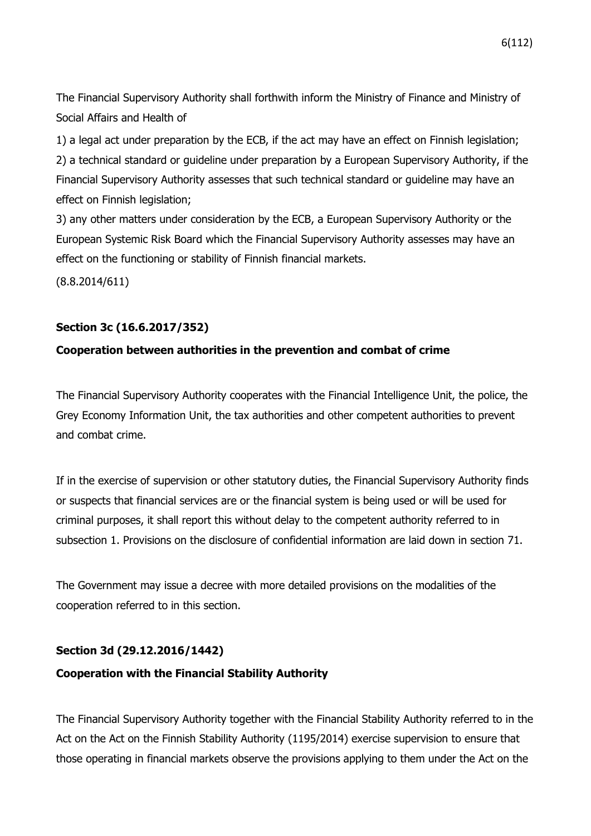The Financial Supervisory Authority shall forthwith inform the Ministry of Finance and Ministry of Social Affairs and Health of

1) a legal act under preparation by the ECB, if the act may have an effect on Finnish legislation; 2) a technical standard or guideline under preparation by a European Supervisory Authority, if the Financial Supervisory Authority assesses that such technical standard or guideline may have an effect on Finnish legislation;

3) any other matters under consideration by the ECB, a European Supervisory Authority or the European Systemic Risk Board which the Financial Supervisory Authority assesses may have an effect on the functioning or stability of Finnish financial markets.

(8.8.2014/611)

## **Section 3c (16.6.2017/352)**

## **Cooperation between authorities in the prevention and combat of crime**

The Financial Supervisory Authority cooperates with the Financial Intelligence Unit, the police, the Grey Economy Information Unit, the tax authorities and other competent authorities to prevent and combat crime.

If in the exercise of supervision or other statutory duties, the Financial Supervisory Authority finds or suspects that financial services are or the financial system is being used or will be used for criminal purposes, it shall report this without delay to the competent authority referred to in subsection 1. Provisions on the disclosure of confidential information are laid down in section 71.

The Government may issue a decree with more detailed provisions on the modalities of the cooperation referred to in this section.

#### **Section 3d (29.12.2016/1442)**

#### **Cooperation with the Financial Stability Authority**

The Financial Supervisory Authority together with the Financial Stability Authority referred to in the Act on the Act on the Finnish Stability Authority (1195/2014) exercise supervision to ensure that those operating in financial markets observe the provisions applying to them under the Act on the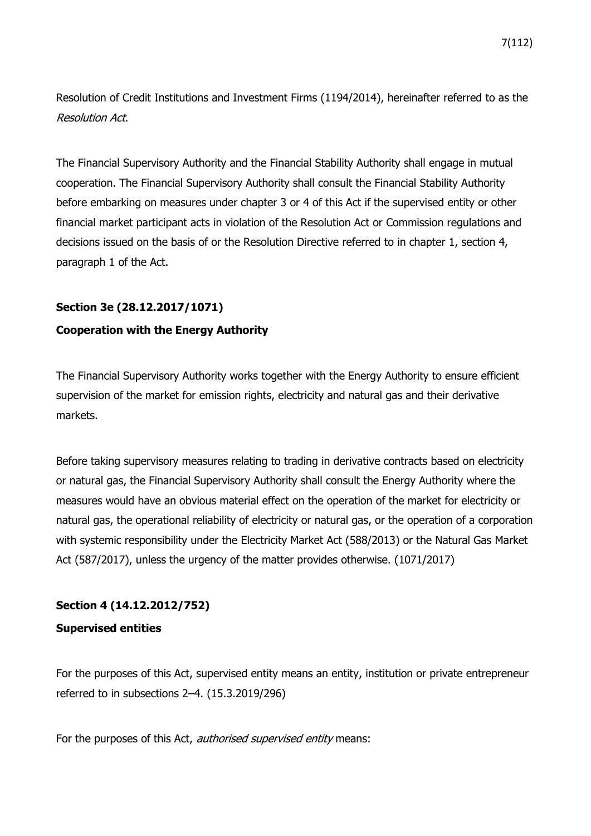Resolution of Credit Institutions and Investment Firms (1194/2014), hereinafter referred to as the Resolution Act.

The Financial Supervisory Authority and the Financial Stability Authority shall engage in mutual cooperation. The Financial Supervisory Authority shall consult the Financial Stability Authority before embarking on measures under chapter 3 or 4 of this Act if the supervised entity or other financial market participant acts in violation of the Resolution Act or Commission regulations and decisions issued on the basis of or the Resolution Directive referred to in chapter 1, section 4, paragraph 1 of the Act.

## **Section 3e (28.12.2017/1071)**

#### **Cooperation with the Energy Authority**

The Financial Supervisory Authority works together with the Energy Authority to ensure efficient supervision of the market for emission rights, electricity and natural gas and their derivative markets.

Before taking supervisory measures relating to trading in derivative contracts based on electricity or natural gas, the Financial Supervisory Authority shall consult the Energy Authority where the measures would have an obvious material effect on the operation of the market for electricity or natural gas, the operational reliability of electricity or natural gas, or the operation of a corporation with systemic responsibility under the Electricity Market Act (588/2013) or the Natural Gas Market Act (587/2017), unless the urgency of the matter provides otherwise. (1071/2017)

#### **Section 4 (14.12.2012/752)**

## **Supervised entities**

For the purposes of this Act, supervised entity means an entity, institution or private entrepreneur referred to in subsections 2–4. (15.3.2019/296)

For the purposes of this Act, *authorised supervised entity* means: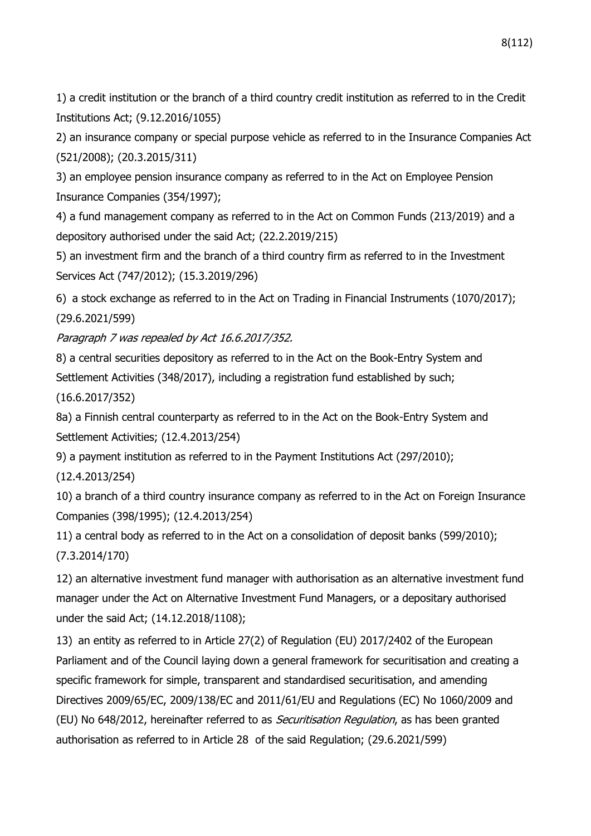1) a credit institution or the branch of a third country credit institution as referred to in the Credit Institutions Act; (9.12.2016/1055)

2) an insurance company or special purpose vehicle as referred to in the Insurance Companies Act (521/2008); (20.3.2015/311)

3) an employee pension insurance company as referred to in the Act on Employee Pension Insurance Companies (354/1997);

4) a fund management company as referred to in the Act on Common Funds (213/2019) and a depository authorised under the said Act; (22.2.2019/215)

5) an investment firm and the branch of a third country firm as referred to in the Investment Services Act (747/2012); (15.3.2019/296)

6) a stock exchange as referred to in the Act on Trading in Financial Instruments (1070/2017); (29.6.2021/599)

Paragraph 7 was repealed by Act 16.6.2017/352.

8) a central securities depository as referred to in the Act on the Book-Entry System and Settlement Activities (348/2017), including a registration fund established by such; (16.6.2017/352)

8a) a Finnish central counterparty as referred to in the Act on the Book-Entry System and Settlement Activities; (12.4.2013/254)

9) a payment institution as referred to in the Payment Institutions Act (297/2010);

(12.4.2013/254)

10) a branch of a third country insurance company as referred to in the Act on Foreign Insurance Companies (398/1995); (12.4.2013/254)

11) a central body as referred to in the Act on a consolidation of deposit banks (599/2010); (7.3.2014/170)

12) an alternative investment fund manager with authorisation as an alternative investment fund manager under the Act on Alternative Investment Fund Managers, or a depositary authorised under the said Act; (14.12.2018/1108);

13) an entity as referred to in Article 27(2) of Regulation (EU) 2017/2402 of the European Parliament and of the Council laying down a general framework for securitisation and creating a specific framework for simple, transparent and standardised securitisation, and amending Directives 2009/65/EC, 2009/138/EC and 2011/61/EU and Regulations (EC) No 1060/2009 and (EU) No 648/2012, hereinafter referred to as *Securitisation Regulation*, as has been granted authorisation as referred to in Article 28 of the said Regulation; (29.6.2021/599)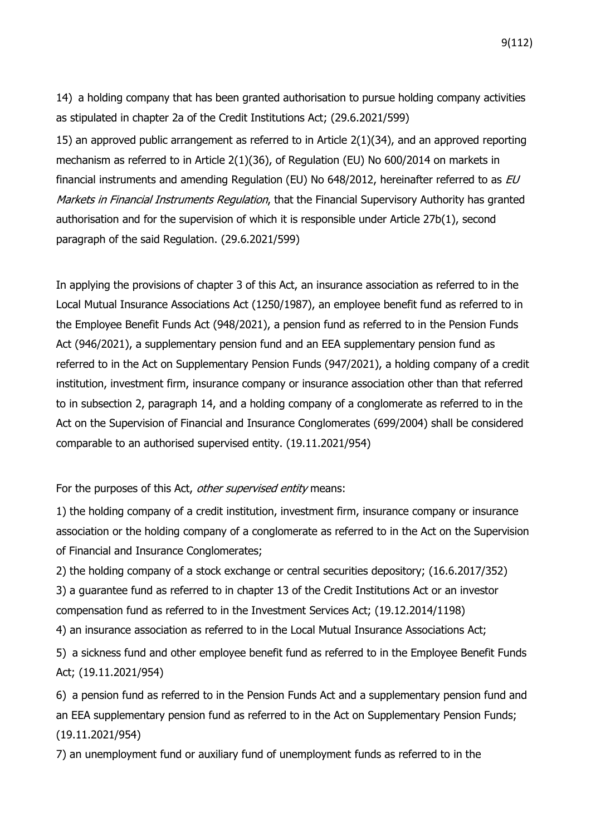14) a holding company that has been granted authorisation to pursue holding company activities as stipulated in chapter 2a of the Credit Institutions Act; (29.6.2021/599)

15) an approved public arrangement as referred to in Article 2(1)(34), and an approved reporting mechanism as referred to in Article 2(1)(36), of Regulation (EU) No 600/2014 on markets in financial instruments and amending Regulation (EU) No  $648/2012$ , hereinafter referred to as  $EU$ Markets in Financial Instruments Regulation, that the Financial Supervisory Authority has granted authorisation and for the supervision of which it is responsible under Article 27b(1), second paragraph of the said Regulation. (29.6.2021/599)

In applying the provisions of chapter 3 of this Act, an insurance association as referred to in the Local Mutual Insurance Associations Act (1250/1987), an employee benefit fund as referred to in the Employee Benefit Funds Act (948/2021), a pension fund as referred to in the Pension Funds Act (946/2021), a supplementary pension fund and an EEA supplementary pension fund as referred to in the Act on Supplementary Pension Funds (947/2021), a holding company of a credit institution, investment firm, insurance company or insurance association other than that referred to in subsection 2, paragraph 14, and a holding company of a conglomerate as referred to in the Act on the Supervision of Financial and Insurance Conglomerates (699/2004) shall be considered comparable to an authorised supervised entity. (19.11.2021/954)

#### For the purposes of this Act, other supervised entity means:

1) the holding company of a credit institution, investment firm, insurance company or insurance association or the holding company of a conglomerate as referred to in the Act on the Supervision of Financial and Insurance Conglomerates;

2) the holding company of a stock exchange or central securities depository; (16.6.2017/352)

3) a guarantee fund as referred to in chapter 13 of the Credit Institutions Act or an investor compensation fund as referred to in the Investment Services Act; (19.12.2014/1198)

4) an insurance association as referred to in the Local Mutual Insurance Associations Act;

5) a sickness fund and other employee benefit fund as referred to in the Employee Benefit Funds Act; (19.11.2021/954)

6) a pension fund as referred to in the Pension Funds Act and a supplementary pension fund and an EEA supplementary pension fund as referred to in the Act on Supplementary Pension Funds; (19.11.2021/954)

7) an unemployment fund or auxiliary fund of unemployment funds as referred to in the

9(112)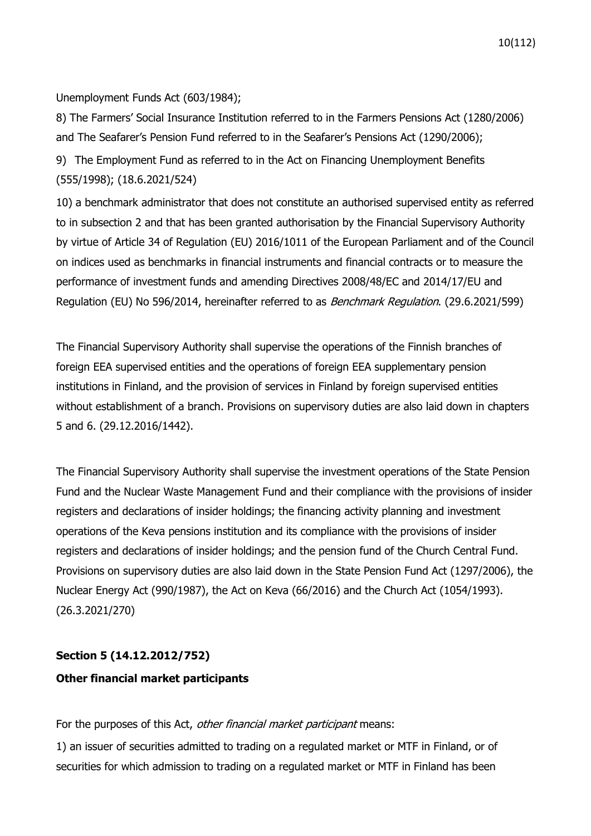10(112)

## Unemployment Funds Act (603/1984);

8) The Farmers' Social Insurance Institution referred to in the Farmers Pensions Act (1280/2006) and The Seafarer's Pension Fund referred to in the Seafarer's Pensions Act (1290/2006); 9) The Employment Fund as referred to in the Act on Financing Unemployment Benefits (555/1998); (18.6.2021/524)

10) a benchmark administrator that does not constitute an authorised supervised entity as referred to in subsection 2 and that has been granted authorisation by the Financial Supervisory Authority by virtue of Article 34 of Regulation (EU) 2016/1011 of the European Parliament and of the Council on indices used as benchmarks in financial instruments and financial contracts or to measure the performance of investment funds and amending Directives 2008/48/EC and 2014/17/EU and Regulation (EU) No 596/2014, hereinafter referred to as *Benchmark Regulation*. (29.6.2021/599)

The Financial Supervisory Authority shall supervise the operations of the Finnish branches of foreign EEA supervised entities and the operations of foreign EEA supplementary pension institutions in Finland, and the provision of services in Finland by foreign supervised entities without establishment of a branch. Provisions on supervisory duties are also laid down in chapters 5 and 6. (29.12.2016/1442).

The Financial Supervisory Authority shall supervise the investment operations of the State Pension Fund and the Nuclear Waste Management Fund and their compliance with the provisions of insider registers and declarations of insider holdings; the financing activity planning and investment operations of the Keva pensions institution and its compliance with the provisions of insider registers and declarations of insider holdings; and the pension fund of the Church Central Fund. Provisions on supervisory duties are also laid down in the State Pension Fund Act (1297/2006), the Nuclear Energy Act (990/1987), the Act on Keva (66/2016) and the Church Act (1054/1993). (26.3.2021/270)

## **Section 5 (14.12.2012/752)**

## **Other financial market participants**

## For the purposes of this Act, *other financial market participant* means:

1) an issuer of securities admitted to trading on a regulated market or MTF in Finland, or of securities for which admission to trading on a regulated market or MTF in Finland has been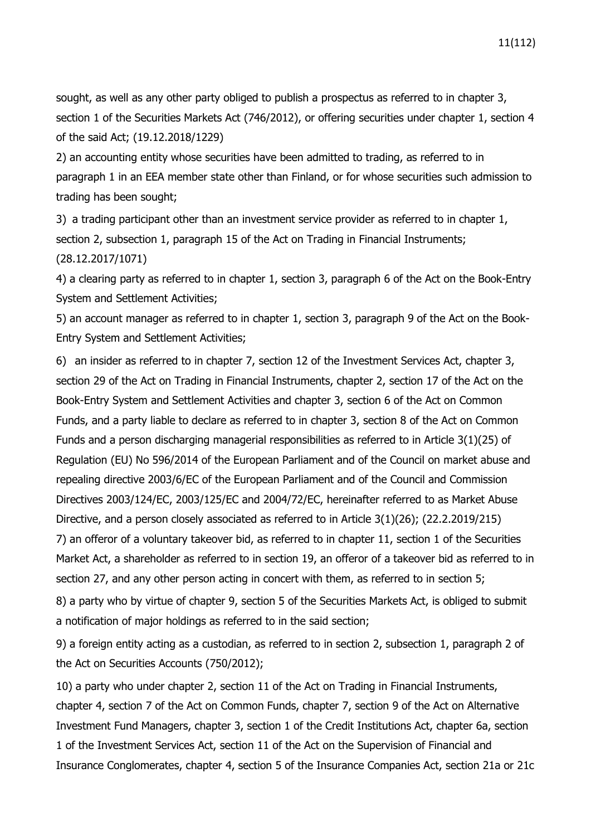sought, as well as any other party obliged to publish a prospectus as referred to in chapter 3, section 1 of the Securities Markets Act (746/2012), or offering securities under chapter 1, section 4 of the said Act; (19.12.2018/1229)

2) an accounting entity whose securities have been admitted to trading, as referred to in paragraph 1 in an EEA member state other than Finland, or for whose securities such admission to trading has been sought;

3) a trading participant other than an investment service provider as referred to in chapter 1, section 2, subsection 1, paragraph 15 of the Act on Trading in Financial Instruments; (28.12.2017/1071)

4) a clearing party as referred to in chapter 1, section 3, paragraph 6 of the Act on the Book-Entry System and Settlement Activities;

5) an account manager as referred to in chapter 1, section 3, paragraph 9 of the Act on the Book-Entry System and Settlement Activities;

6) an insider as referred to in chapter 7, section 12 of the Investment Services Act, chapter 3, section 29 of the Act on Trading in Financial Instruments, chapter 2, section 17 of the Act on the Book-Entry System and Settlement Activities and chapter 3, section 6 of the Act on Common Funds, and a party liable to declare as referred to in chapter 3, section 8 of the Act on Common Funds and a person discharging managerial responsibilities as referred to in Article 3(1)(25) of Regulation (EU) No 596/2014 of the European Parliament and of the Council on market abuse and repealing directive 2003/6/EC of the European Parliament and of the Council and Commission Directives 2003/124/EC, 2003/125/EC and 2004/72/EC, hereinafter referred to as Market Abuse Directive, and a person closely associated as referred to in Article 3(1)(26); (22.2.2019/215) 7) an offeror of a voluntary takeover bid, as referred to in chapter 11, section 1 of the Securities Market Act, a shareholder as referred to in section 19, an offeror of a takeover bid as referred to in section 27, and any other person acting in concert with them, as referred to in section 5;

8) a party who by virtue of chapter 9, section 5 of the Securities Markets Act, is obliged to submit a notification of major holdings as referred to in the said section;

9) a foreign entity acting as a custodian, as referred to in section 2, subsection 1, paragraph 2 of the Act on Securities Accounts (750/2012);

10) a party who under chapter 2, section 11 of the Act on Trading in Financial Instruments, chapter 4, section 7 of the Act on Common Funds, chapter 7, section 9 of the Act on Alternative Investment Fund Managers, chapter 3, section 1 of the Credit Institutions Act, chapter 6a, section 1 of the Investment Services Act, section 11 of the Act on the Supervision of Financial and Insurance Conglomerates, chapter 4, section 5 of the Insurance Companies Act, section 21a or 21c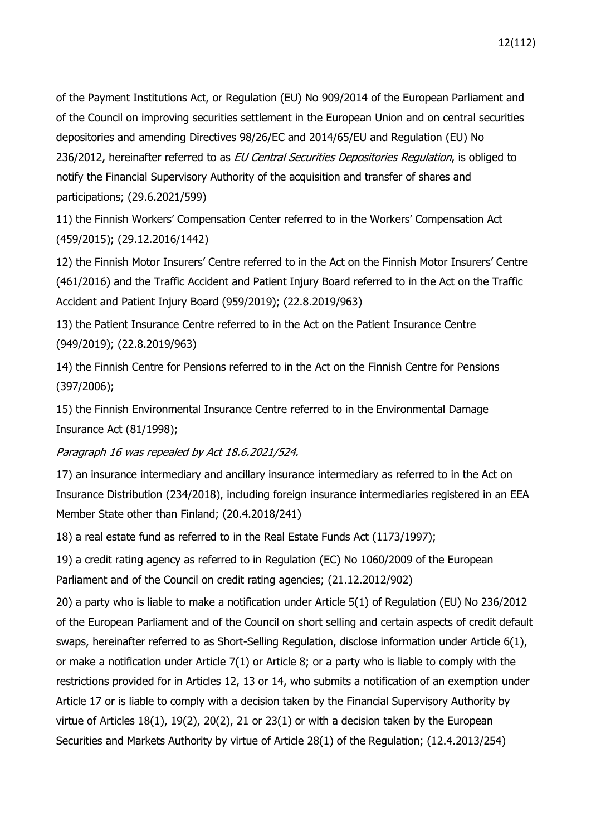of the Payment Institutions Act, or Regulation (EU) No 909/2014 of the European Parliament and of the Council on improving securities settlement in the European Union and on central securities depositories and amending Directives 98/26/EC and 2014/65/EU and Regulation (EU) No 236/2012, hereinafter referred to as EU Central Securities Depositories Regulation, is obliged to notify the Financial Supervisory Authority of the acquisition and transfer of shares and participations; (29.6.2021/599)

11) the Finnish Workers' Compensation Center referred to in the Workers' Compensation Act (459/2015); (29.12.2016/1442)

12) the Finnish Motor Insurers' Centre referred to in the Act on the Finnish Motor Insurers' Centre (461/2016) and the Traffic Accident and Patient Injury Board referred to in the Act on the Traffic Accident and Patient Injury Board (959/2019); (22.8.2019/963)

13) the Patient Insurance Centre referred to in the Act on the Patient Insurance Centre (949/2019); (22.8.2019/963)

14) the Finnish Centre for Pensions referred to in the Act on the Finnish Centre for Pensions (397/2006);

15) the Finnish Environmental Insurance Centre referred to in the Environmental Damage Insurance Act (81/1998);

Paragraph 16 was repealed by Act 18.6.2021/524.

17) an insurance intermediary and ancillary insurance intermediary as referred to in the Act on Insurance Distribution (234/2018), including foreign insurance intermediaries registered in an EEA Member State other than Finland; (20.4.2018/241)

18) a real estate fund as referred to in the Real Estate Funds Act (1173/1997);

19) a credit rating agency as referred to in Regulation (EC) No 1060/2009 of the European Parliament and of the Council on credit rating agencies; (21.12.2012/902)

20) a party who is liable to make a notification under Article 5(1) of Regulation (EU) No 236/2012 of the European Parliament and of the Council on short selling and certain aspects of credit default swaps, hereinafter referred to as Short-Selling Regulation, disclose information under Article 6(1), or make a notification under Article 7(1) or Article 8; or a party who is liable to comply with the restrictions provided for in Articles 12, 13 or 14, who submits a notification of an exemption under Article 17 or is liable to comply with a decision taken by the Financial Supervisory Authority by virtue of Articles 18(1), 19(2), 20(2), 21 or 23(1) or with a decision taken by the European Securities and Markets Authority by virtue of Article 28(1) of the Regulation; (12.4.2013/254)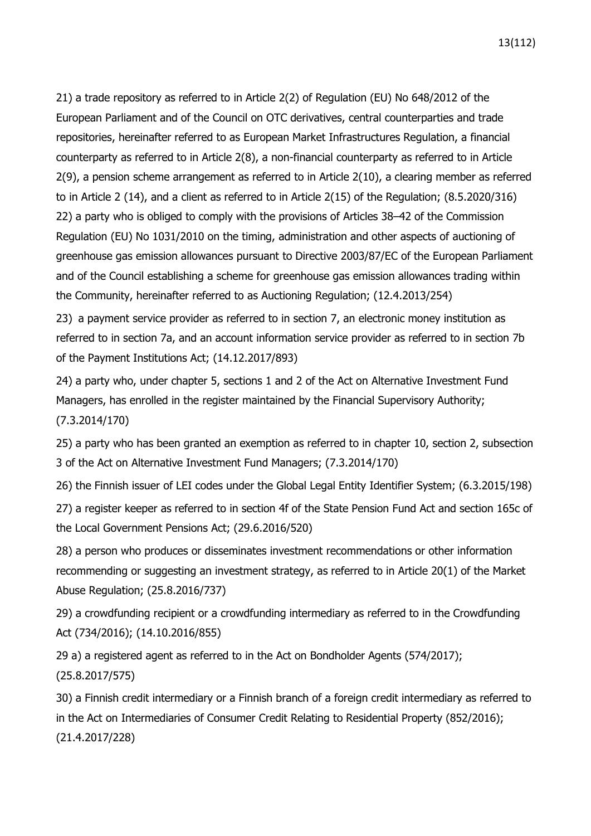13(112)

21) a trade repository as referred to in Article 2(2) of Regulation (EU) No 648/2012 of the European Parliament and of the Council on OTC derivatives, central counterparties and trade repositories, hereinafter referred to as European Market Infrastructures Regulation, a financial counterparty as referred to in Article 2(8), a non-financial counterparty as referred to in Article 2(9), a pension scheme arrangement as referred to in Article 2(10), a clearing member as referred to in Article 2 (14), and a client as referred to in Article 2(15) of the Regulation; (8.5.2020/316) 22) a party who is obliged to comply with the provisions of Articles 38–42 of the Commission Regulation (EU) No 1031/2010 on the timing, administration and other aspects of auctioning of greenhouse gas emission allowances pursuant to Directive 2003/87/EC of the European Parliament and of the Council establishing a scheme for greenhouse gas emission allowances trading within the Community, hereinafter referred to as Auctioning Regulation; (12.4.2013/254)

23) a payment service provider as referred to in section 7, an electronic money institution as referred to in section 7a, and an account information service provider as referred to in section 7b of the Payment Institutions Act; (14.12.2017/893)

24) a party who, under chapter 5, sections 1 and 2 of the Act on Alternative Investment Fund Managers, has enrolled in the register maintained by the Financial Supervisory Authority; (7.3.2014/170)

25) a party who has been granted an exemption as referred to in chapter 10, section 2, subsection 3 of the Act on Alternative Investment Fund Managers; (7.3.2014/170)

26) the Finnish issuer of LEI codes under the Global Legal Entity Identifier System; (6.3.2015/198) 27) a register keeper as referred to in section 4f of the State Pension Fund Act and section 165c of the Local Government Pensions Act; (29.6.2016/520)

28) a person who produces or disseminates investment recommendations or other information recommending or suggesting an investment strategy, as referred to in Article 20(1) of the Market Abuse Regulation; (25.8.2016/737)

29) a crowdfunding recipient or a crowdfunding intermediary as referred to in the Crowdfunding Act (734/2016); (14.10.2016/855)

29 a) a registered agent as referred to in the Act on Bondholder Agents (574/2017); (25.8.2017/575)

30) a Finnish credit intermediary or a Finnish branch of a foreign credit intermediary as referred to in the Act on Intermediaries of Consumer Credit Relating to Residential Property (852/2016); (21.4.2017/228)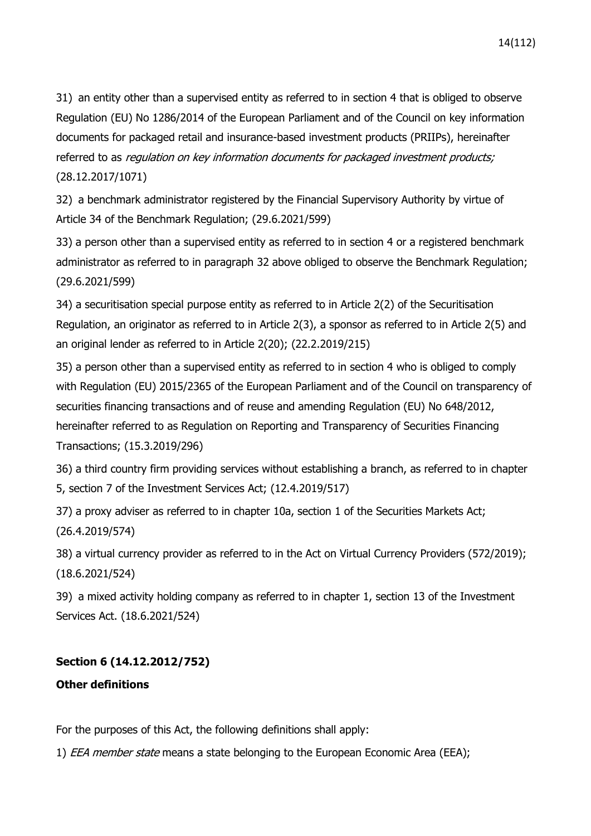31) an entity other than a supervised entity as referred to in section 4 that is obliged to observe Regulation (EU) No 1286/2014 of the European Parliament and of the Council on key information documents for packaged retail and insurance-based investment products (PRIIPs), hereinafter referred to as regulation on key information documents for packaged investment products; (28.12.2017/1071)

32) a benchmark administrator registered by the Financial Supervisory Authority by virtue of Article 34 of the Benchmark Regulation; (29.6.2021/599)

33) a person other than a supervised entity as referred to in section 4 or a registered benchmark administrator as referred to in paragraph 32 above obliged to observe the Benchmark Regulation; (29.6.2021/599)

34) a securitisation special purpose entity as referred to in Article 2(2) of the Securitisation Regulation, an originator as referred to in Article 2(3), a sponsor as referred to in Article 2(5) and an original lender as referred to in Article 2(20); (22.2.2019/215)

35) a person other than a supervised entity as referred to in section 4 who is obliged to comply with Regulation (EU) 2015/2365 of the European Parliament and of the Council on transparency of securities financing transactions and of reuse and amending Regulation (EU) No 648/2012, hereinafter referred to as Regulation on Reporting and Transparency of Securities Financing Transactions; (15.3.2019/296)

36) a third country firm providing services without establishing a branch, as referred to in chapter 5, section 7 of the Investment Services Act; (12.4.2019/517)

37) a proxy adviser as referred to in chapter 10a, section 1 of the Securities Markets Act; (26.4.2019/574)

38) a virtual currency provider as referred to in the Act on Virtual Currency Providers (572/2019); (18.6.2021/524)

39) a mixed activity holding company as referred to in chapter 1, section 13 of the Investment Services Act. (18.6.2021/524)

## **Section 6 (14.12.2012/752)**

## **Other definitions**

For the purposes of this Act, the following definitions shall apply:

1) *EEA member state* means a state belonging to the European Economic Area (EEA);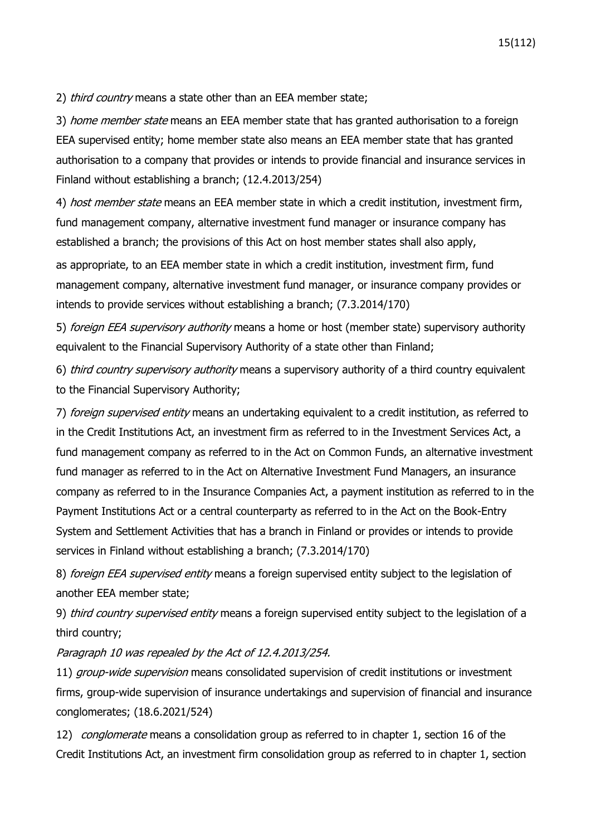2) third country means a state other than an EEA member state;

3) home member state means an EEA member state that has granted authorisation to a foreign EEA supervised entity; home member state also means an EEA member state that has granted authorisation to a company that provides or intends to provide financial and insurance services in Finland without establishing a branch; (12.4.2013/254)

4) *host member state* means an EEA member state in which a credit institution, investment firm, fund management company, alternative investment fund manager or insurance company has established a branch; the provisions of this Act on host member states shall also apply, as appropriate, to an EEA member state in which a credit institution, investment firm, fund management company, alternative investment fund manager, or insurance company provides or intends to provide services without establishing a branch; (7.3.2014/170)

5) foreign EEA supervisory authority means a home or host (member state) supervisory authority equivalent to the Financial Supervisory Authority of a state other than Finland;

6) third country supervisory authority means a supervisory authority of a third country equivalent to the Financial Supervisory Authority;

7) foreign supervised entity means an undertaking equivalent to a credit institution, as referred to in the Credit Institutions Act, an investment firm as referred to in the Investment Services Act, a fund management company as referred to in the Act on Common Funds, an alternative investment fund manager as referred to in the Act on Alternative Investment Fund Managers, an insurance company as referred to in the Insurance Companies Act, a payment institution as referred to in the Payment Institutions Act or a central counterparty as referred to in the Act on the Book-Entry System and Settlement Activities that has a branch in Finland or provides or intends to provide services in Finland without establishing a branch; (7.3.2014/170)

8) foreign EEA supervised entity means a foreign supervised entity subject to the legislation of another EEA member state;

9) third country supervised entity means a foreign supervised entity subject to the legislation of a third country;

Paragraph 10 was repealed by the Act of 12.4.2013/254.

11) group-wide supervision means consolidated supervision of credit institutions or investment firms, group-wide supervision of insurance undertakings and supervision of financial and insurance conglomerates; (18.6.2021/524)

12) *conglomerate* means a consolidation group as referred to in chapter 1, section 16 of the Credit Institutions Act, an investment firm consolidation group as referred to in chapter 1, section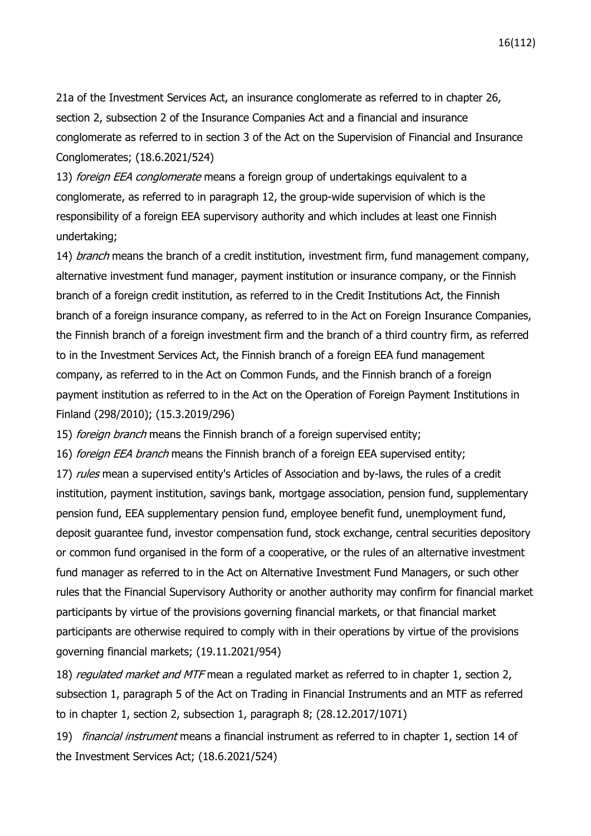21a of the Investment Services Act, an insurance conglomerate as referred to in chapter 26, section 2, subsection 2 of the Insurance Companies Act and a financial and insurance conglomerate as referred to in section 3 of the Act on the Supervision of Financial and Insurance Conglomerates; (18.6.2021/524)

13) foreign EEA conglomerate means a foreign group of undertakings equivalent to a conglomerate, as referred to in paragraph 12, the group-wide supervision of which is the responsibility of a foreign EEA supervisory authority and which includes at least one Finnish undertaking;

14) *branch* means the branch of a credit institution, investment firm, fund management company, alternative investment fund manager, payment institution or insurance company, or the Finnish branch of a foreign credit institution, as referred to in the Credit Institutions Act, the Finnish branch of a foreign insurance company, as referred to in the Act on Foreign Insurance Companies, the Finnish branch of a foreign investment firm and the branch of a third country firm, as referred to in the Investment Services Act, the Finnish branch of a foreign EEA fund management company, as referred to in the Act on Common Funds, and the Finnish branch of a foreign payment institution as referred to in the Act on the Operation of Foreign Payment Institutions in Finland (298/2010); (15.3.2019/296)

15) foreign branch means the Finnish branch of a foreign supervised entity;

16) *foreign EEA branch* means the Finnish branch of a foreign EEA supervised entity;

17) rules mean a supervised entity's Articles of Association and by-laws, the rules of a credit institution, payment institution, savings bank, mortgage association, pension fund, supplementary pension fund, EEA supplementary pension fund, employee benefit fund, unemployment fund, deposit guarantee fund, investor compensation fund, stock exchange, central securities depository or common fund organised in the form of a cooperative, or the rules of an alternative investment fund manager as referred to in the Act on Alternative Investment Fund Managers, or such other rules that the Financial Supervisory Authority or another authority may confirm for financial market participants by virtue of the provisions governing financial markets, or that financial market participants are otherwise required to comply with in their operations by virtue of the provisions governing financial markets; (19.11.2021/954)

18) requlated market and MTF mean a regulated market as referred to in chapter 1, section 2, subsection 1, paragraph 5 of the Act on Trading in Financial Instruments and an MTF as referred to in chapter 1, section 2, subsection 1, paragraph 8; (28.12.2017/1071)

19) *financial instrument* means a financial instrument as referred to in chapter 1, section 14 of the Investment Services Act; (18.6.2021/524)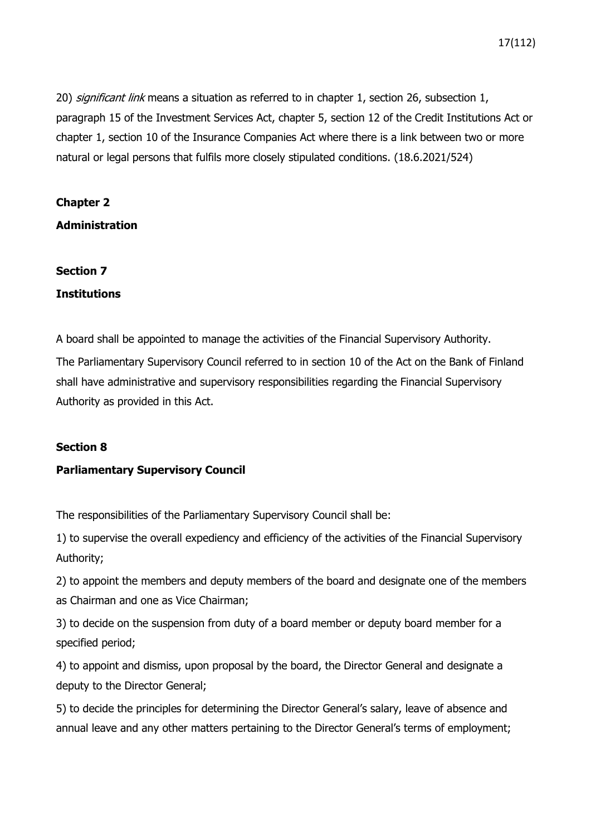20) significant link means a situation as referred to in chapter 1, section 26, subsection 1, paragraph 15 of the Investment Services Act, chapter 5, section 12 of the Credit Institutions Act or chapter 1, section 10 of the Insurance Companies Act where there is a link between two or more natural or legal persons that fulfils more closely stipulated conditions. (18.6.2021/524)

## **Chapter 2 Administration**

## **Section 7**

## **Institutions**

A board shall be appointed to manage the activities of the Financial Supervisory Authority.

The Parliamentary Supervisory Council referred to in section 10 of the Act on the Bank of Finland shall have administrative and supervisory responsibilities regarding the Financial Supervisory Authority as provided in this Act.

#### **Section 8**

#### **Parliamentary Supervisory Council**

The responsibilities of the Parliamentary Supervisory Council shall be:

1) to supervise the overall expediency and efficiency of the activities of the Financial Supervisory Authority;

2) to appoint the members and deputy members of the board and designate one of the members as Chairman and one as Vice Chairman;

3) to decide on the suspension from duty of a board member or deputy board member for a specified period;

4) to appoint and dismiss, upon proposal by the board, the Director General and designate a deputy to the Director General;

5) to decide the principles for determining the Director General's salary, leave of absence and annual leave and any other matters pertaining to the Director General's terms of employment;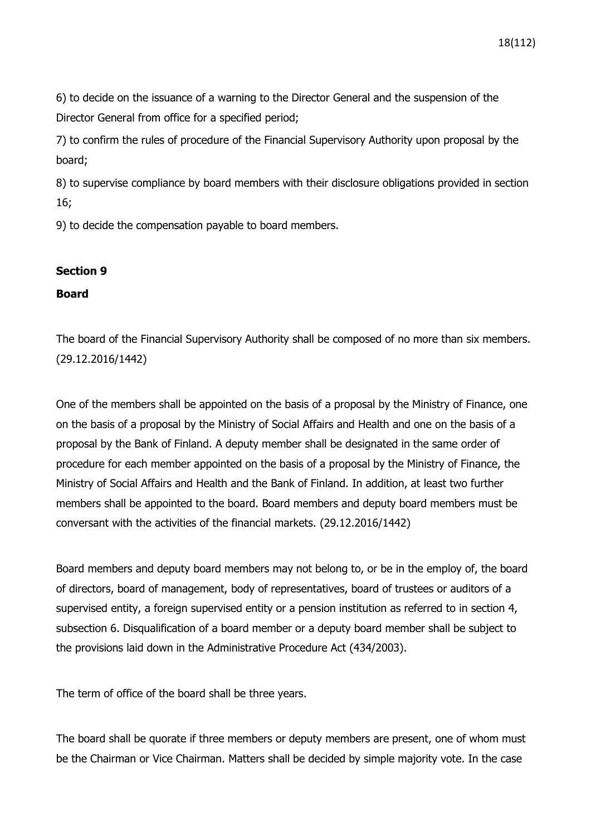6) to decide on the issuance of a warning to the Director General and the suspension of the Director General from office for a specified period;

7) to confirm the rules of procedure of the Financial Supervisory Authority upon proposal by the board;

8) to supervise compliance by board members with their disclosure obligations provided in section 16;

9) to decide the compensation payable to board members.

## **Section 9**

## **Board**

The board of the Financial Supervisory Authority shall be composed of no more than six members. (29.12.2016/1442)

One of the members shall be appointed on the basis of a proposal by the Ministry of Finance, one on the basis of a proposal by the Ministry of Social Affairs and Health and one on the basis of a proposal by the Bank of Finland. A deputy member shall be designated in the same order of procedure for each member appointed on the basis of a proposal by the Ministry of Finance, the Ministry of Social Affairs and Health and the Bank of Finland. In addition, at least two further members shall be appointed to the board. Board members and deputy board members must be conversant with the activities of the financial markets. (29.12.2016/1442)

Board members and deputy board members may not belong to, or be in the employ of, the board of directors, board of management, body of representatives, board of trustees or auditors of a supervised entity, a foreign supervised entity or a pension institution as referred to in section 4, subsection 6. Disqualification of a board member or a deputy board member shall be subject to the provisions laid down in the Administrative Procedure Act (434/2003).

The term of office of the board shall be three years.

The board shall be quorate if three members or deputy members are present, one of whom must be the Chairman or Vice Chairman. Matters shall be decided by simple majority vote. In the case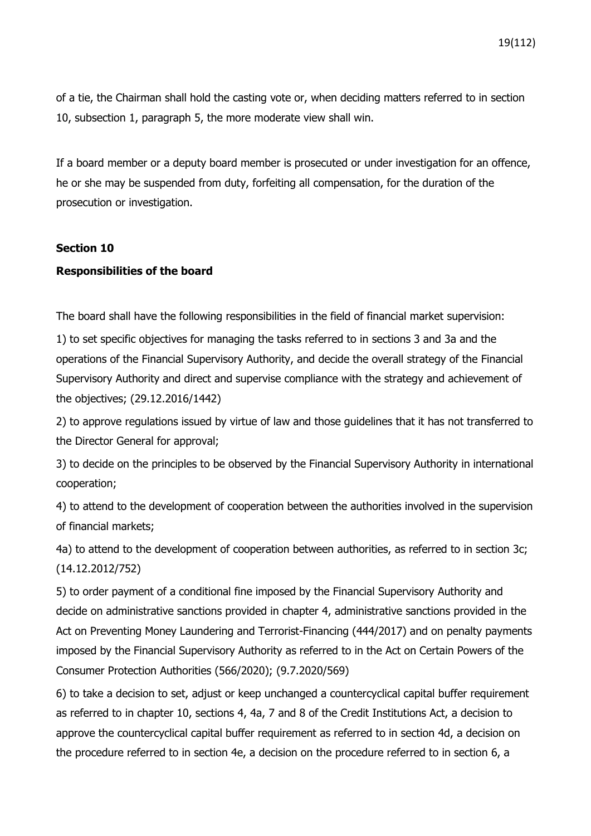of a tie, the Chairman shall hold the casting vote or, when deciding matters referred to in section 10, subsection 1, paragraph 5, the more moderate view shall win.

If a board member or a deputy board member is prosecuted or under investigation for an offence, he or she may be suspended from duty, forfeiting all compensation, for the duration of the prosecution or investigation.

#### **Section 10**

#### **Responsibilities of the board**

The board shall have the following responsibilities in the field of financial market supervision:

1) to set specific objectives for managing the tasks referred to in sections 3 and 3a and the operations of the Financial Supervisory Authority, and decide the overall strategy of the Financial Supervisory Authority and direct and supervise compliance with the strategy and achievement of the objectives; (29.12.2016/1442)

2) to approve regulations issued by virtue of law and those guidelines that it has not transferred to the Director General for approval;

3) to decide on the principles to be observed by the Financial Supervisory Authority in international cooperation;

4) to attend to the development of cooperation between the authorities involved in the supervision of financial markets;

4a) to attend to the development of cooperation between authorities, as referred to in section 3c; (14.12.2012/752)

5) to order payment of a conditional fine imposed by the Financial Supervisory Authority and decide on administrative sanctions provided in chapter 4, administrative sanctions provided in the Act on Preventing Money Laundering and Terrorist-Financing (444/2017) and on penalty payments imposed by the Financial Supervisory Authority as referred to in the Act on Certain Powers of the Consumer Protection Authorities (566/2020); (9.7.2020/569)

6) to take a decision to set, adjust or keep unchanged a countercyclical capital buffer requirement as referred to in chapter 10, sections 4, 4a, 7 and 8 of the Credit Institutions Act, a decision to approve the countercyclical capital buffer requirement as referred to in section 4d, a decision on the procedure referred to in section 4e, a decision on the procedure referred to in section 6, a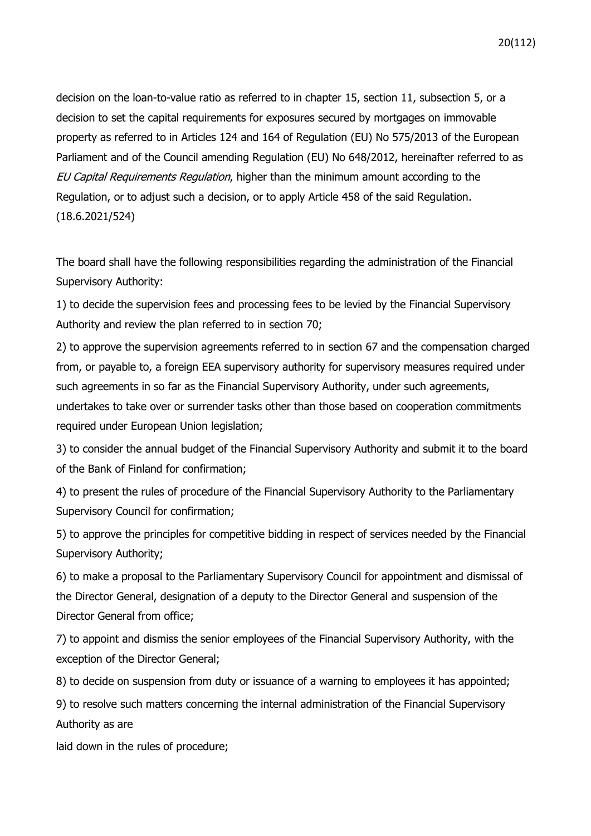decision on the loan-to-value ratio as referred to in chapter 15, section 11, subsection 5, or a decision to set the capital requirements for exposures secured by mortgages on immovable property as referred to in Articles 124 and 164 of Regulation (EU) No 575/2013 of the European Parliament and of the Council amending Regulation (EU) No 648/2012, hereinafter referred to as EU Capital Requirements Regulation, higher than the minimum amount according to the Regulation, or to adjust such a decision, or to apply Article 458 of the said Regulation. (18.6.2021/524)

The board shall have the following responsibilities regarding the administration of the Financial Supervisory Authority:

1) to decide the supervision fees and processing fees to be levied by the Financial Supervisory Authority and review the plan referred to in section 70;

2) to approve the supervision agreements referred to in section 67 and the compensation charged from, or payable to, a foreign EEA supervisory authority for supervisory measures required under such agreements in so far as the Financial Supervisory Authority, under such agreements, undertakes to take over or surrender tasks other than those based on cooperation commitments required under European Union legislation;

3) to consider the annual budget of the Financial Supervisory Authority and submit it to the board of the Bank of Finland for confirmation;

4) to present the rules of procedure of the Financial Supervisory Authority to the Parliamentary Supervisory Council for confirmation;

5) to approve the principles for competitive bidding in respect of services needed by the Financial Supervisory Authority;

6) to make a proposal to the Parliamentary Supervisory Council for appointment and dismissal of the Director General, designation of a deputy to the Director General and suspension of the Director General from office;

7) to appoint and dismiss the senior employees of the Financial Supervisory Authority, with the exception of the Director General;

8) to decide on suspension from duty or issuance of a warning to employees it has appointed;

9) to resolve such matters concerning the internal administration of the Financial Supervisory Authority as are

laid down in the rules of procedure;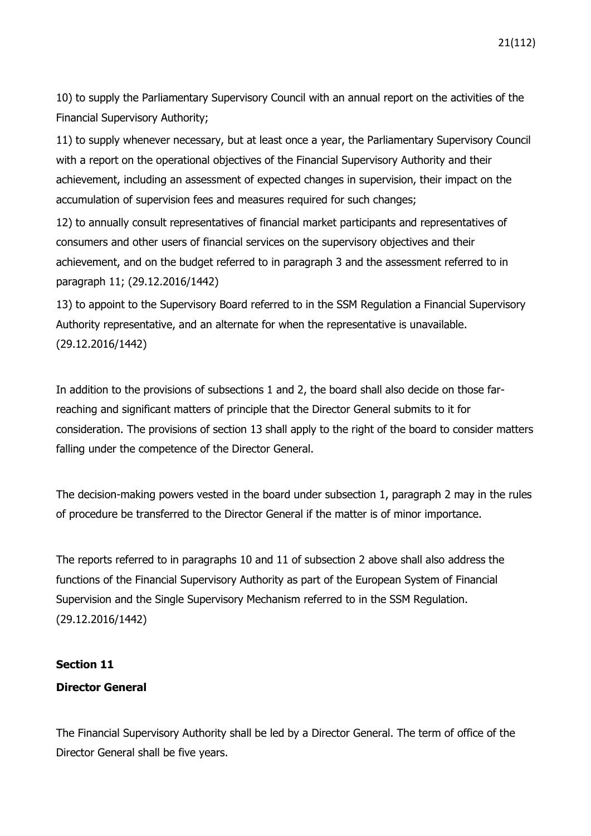10) to supply the Parliamentary Supervisory Council with an annual report on the activities of the Financial Supervisory Authority;

11) to supply whenever necessary, but at least once a year, the Parliamentary Supervisory Council with a report on the operational objectives of the Financial Supervisory Authority and their achievement, including an assessment of expected changes in supervision, their impact on the accumulation of supervision fees and measures required for such changes;

12) to annually consult representatives of financial market participants and representatives of consumers and other users of financial services on the supervisory objectives and their achievement, and on the budget referred to in paragraph 3 and the assessment referred to in paragraph 11; (29.12.2016/1442)

13) to appoint to the Supervisory Board referred to in the SSM Regulation a Financial Supervisory Authority representative, and an alternate for when the representative is unavailable. (29.12.2016/1442)

In addition to the provisions of subsections 1 and 2, the board shall also decide on those farreaching and significant matters of principle that the Director General submits to it for consideration. The provisions of section 13 shall apply to the right of the board to consider matters falling under the competence of the Director General.

The decision-making powers vested in the board under subsection 1, paragraph 2 may in the rules of procedure be transferred to the Director General if the matter is of minor importance.

The reports referred to in paragraphs 10 and 11 of subsection 2 above shall also address the functions of the Financial Supervisory Authority as part of the European System of Financial Supervision and the Single Supervisory Mechanism referred to in the SSM Regulation. (29.12.2016/1442)

## **Section 11**

## **Director General**

The Financial Supervisory Authority shall be led by a Director General. The term of office of the Director General shall be five years.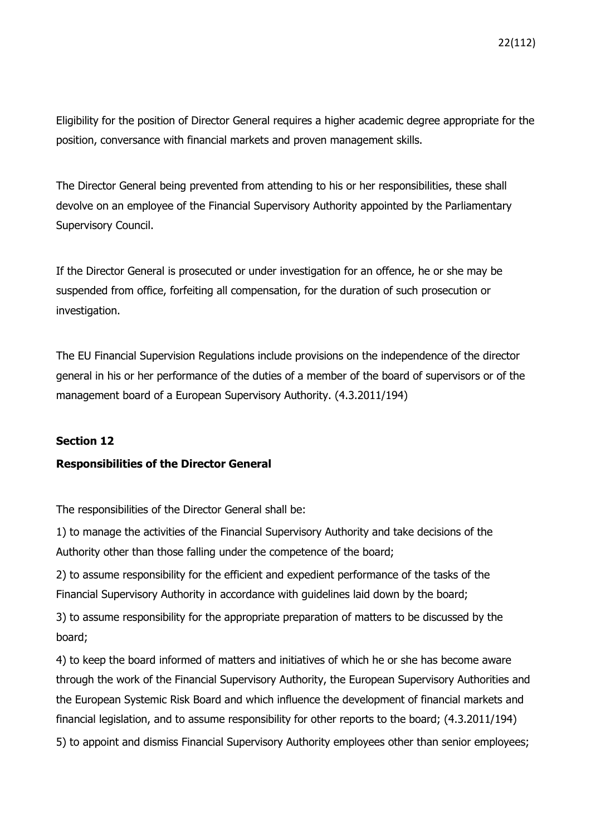Eligibility for the position of Director General requires a higher academic degree appropriate for the position, conversance with financial markets and proven management skills.

The Director General being prevented from attending to his or her responsibilities, these shall devolve on an employee of the Financial Supervisory Authority appointed by the Parliamentary Supervisory Council.

If the Director General is prosecuted or under investigation for an offence, he or she may be suspended from office, forfeiting all compensation, for the duration of such prosecution or investigation.

The EU Financial Supervision Regulations include provisions on the independence of the director general in his or her performance of the duties of a member of the board of supervisors or of the management board of a European Supervisory Authority. (4.3.2011/194)

## **Section 12**

#### **Responsibilities of the Director General**

The responsibilities of the Director General shall be:

1) to manage the activities of the Financial Supervisory Authority and take decisions of the Authority other than those falling under the competence of the board;

2) to assume responsibility for the efficient and expedient performance of the tasks of the Financial Supervisory Authority in accordance with guidelines laid down by the board;

3) to assume responsibility for the appropriate preparation of matters to be discussed by the board;

4) to keep the board informed of matters and initiatives of which he or she has become aware through the work of the Financial Supervisory Authority, the European Supervisory Authorities and the European Systemic Risk Board and which influence the development of financial markets and financial legislation, and to assume responsibility for other reports to the board; (4.3.2011/194)

5) to appoint and dismiss Financial Supervisory Authority employees other than senior employees;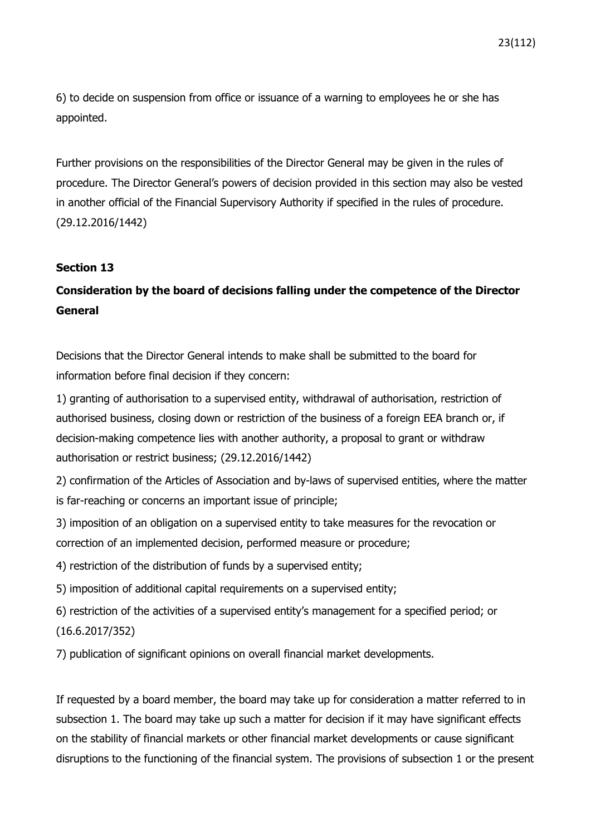6) to decide on suspension from office or issuance of a warning to employees he or she has appointed.

Further provisions on the responsibilities of the Director General may be given in the rules of procedure. The Director General's powers of decision provided in this section may also be vested in another official of the Financial Supervisory Authority if specified in the rules of procedure. (29.12.2016/1442)

## **Section 13**

# **Consideration by the board of decisions falling under the competence of the Director General**

Decisions that the Director General intends to make shall be submitted to the board for information before final decision if they concern:

1) granting of authorisation to a supervised entity, withdrawal of authorisation, restriction of authorised business, closing down or restriction of the business of a foreign EEA branch or, if decision-making competence lies with another authority, a proposal to grant or withdraw authorisation or restrict business; (29.12.2016/1442)

2) confirmation of the Articles of Association and by-laws of supervised entities, where the matter is far-reaching or concerns an important issue of principle;

3) imposition of an obligation on a supervised entity to take measures for the revocation or correction of an implemented decision, performed measure or procedure;

4) restriction of the distribution of funds by a supervised entity;

5) imposition of additional capital requirements on a supervised entity;

6) restriction of the activities of a supervised entity's management for a specified period; or (16.6.2017/352)

7) publication of significant opinions on overall financial market developments.

If requested by a board member, the board may take up for consideration a matter referred to in subsection 1. The board may take up such a matter for decision if it may have significant effects on the stability of financial markets or other financial market developments or cause significant disruptions to the functioning of the financial system. The provisions of subsection 1 or the present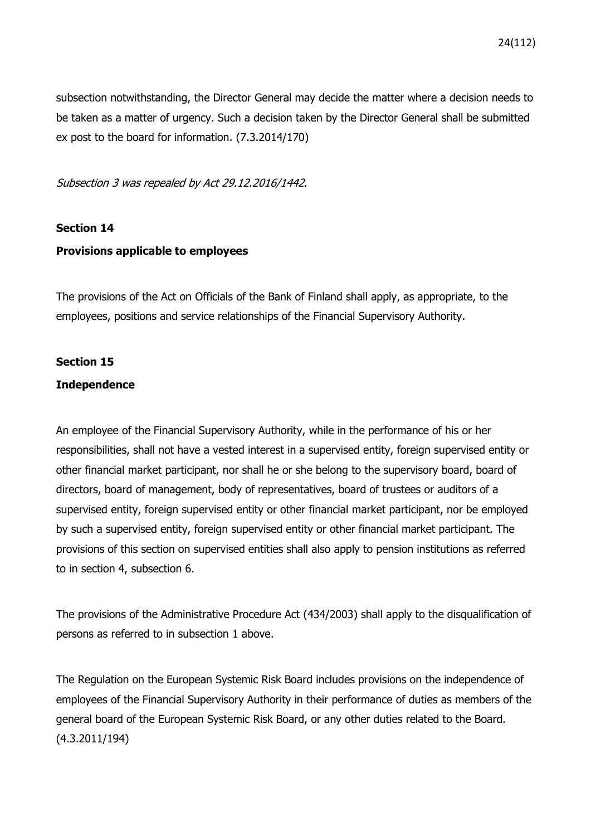subsection notwithstanding, the Director General may decide the matter where a decision needs to be taken as a matter of urgency. Such a decision taken by the Director General shall be submitted ex post to the board for information. (7.3.2014/170)

Subsection 3 was repealed by Act 29.12.2016/1442.

#### **Section 14**

#### **Provisions applicable to employees**

The provisions of the Act on Officials of the Bank of Finland shall apply, as appropriate, to the employees, positions and service relationships of the Financial Supervisory Authority.

## **Section 15**

## **Independence**

An employee of the Financial Supervisory Authority, while in the performance of his or her responsibilities, shall not have a vested interest in a supervised entity, foreign supervised entity or other financial market participant, nor shall he or she belong to the supervisory board, board of directors, board of management, body of representatives, board of trustees or auditors of a supervised entity, foreign supervised entity or other financial market participant, nor be employed by such a supervised entity, foreign supervised entity or other financial market participant. The provisions of this section on supervised entities shall also apply to pension institutions as referred to in section 4, subsection 6.

The provisions of the Administrative Procedure Act (434/2003) shall apply to the disqualification of persons as referred to in subsection 1 above.

The Regulation on the European Systemic Risk Board includes provisions on the independence of employees of the Financial Supervisory Authority in their performance of duties as members of the general board of the European Systemic Risk Board, or any other duties related to the Board. (4.3.2011/194)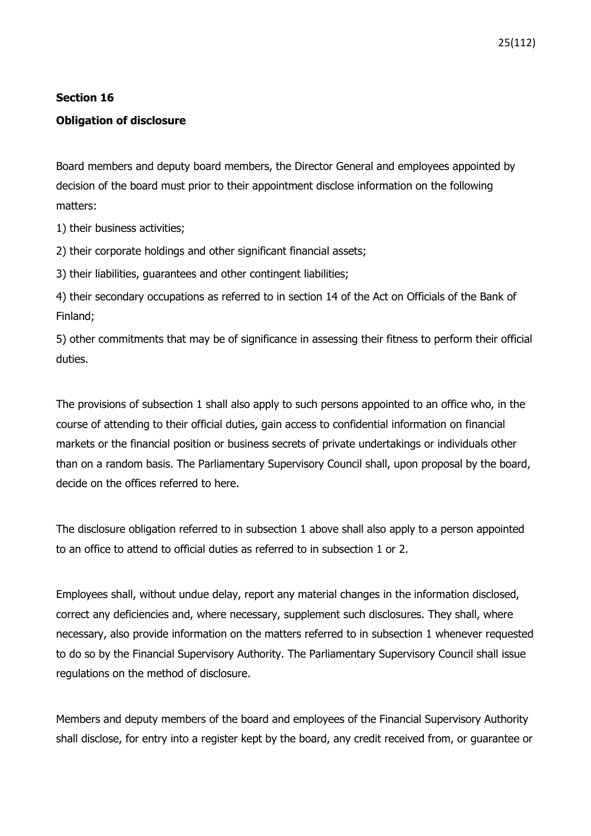## **Section 16**

## **Obligation of disclosure**

Board members and deputy board members, the Director General and employees appointed by decision of the board must prior to their appointment disclose information on the following matters:

1) their business activities;

2) their corporate holdings and other significant financial assets;

3) their liabilities, guarantees and other contingent liabilities;

4) their secondary occupations as referred to in section 14 of the Act on Officials of the Bank of Finland;

5) other commitments that may be of significance in assessing their fitness to perform their official duties.

The provisions of subsection 1 shall also apply to such persons appointed to an office who, in the course of attending to their official duties, gain access to confidential information on financial markets or the financial position or business secrets of private undertakings or individuals other than on a random basis. The Parliamentary Supervisory Council shall, upon proposal by the board, decide on the offices referred to here.

The disclosure obligation referred to in subsection 1 above shall also apply to a person appointed to an office to attend to official duties as referred to in subsection 1 or 2.

Employees shall, without undue delay, report any material changes in the information disclosed, correct any deficiencies and, where necessary, supplement such disclosures. They shall, where necessary, also provide information on the matters referred to in subsection 1 whenever requested to do so by the Financial Supervisory Authority. The Parliamentary Supervisory Council shall issue regulations on the method of disclosure.

Members and deputy members of the board and employees of the Financial Supervisory Authority shall disclose, for entry into a register kept by the board, any credit received from, or guarantee or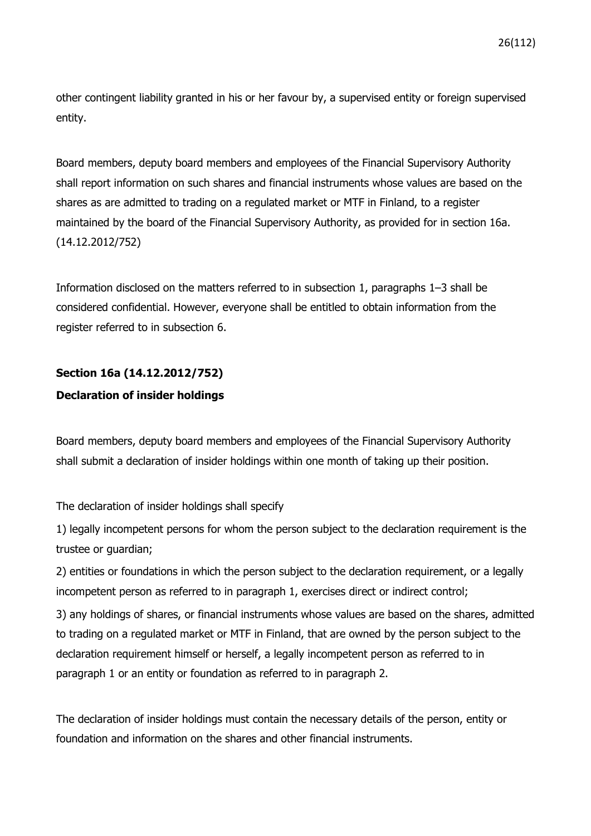other contingent liability granted in his or her favour by, a supervised entity or foreign supervised entity.

Board members, deputy board members and employees of the Financial Supervisory Authority shall report information on such shares and financial instruments whose values are based on the shares as are admitted to trading on a regulated market or MTF in Finland, to a register maintained by the board of the Financial Supervisory Authority, as provided for in section 16a. (14.12.2012/752)

Information disclosed on the matters referred to in subsection 1, paragraphs 1–3 shall be considered confidential. However, everyone shall be entitled to obtain information from the register referred to in subsection 6.

## **Section 16a (14.12.2012/752)**

#### **Declaration of insider holdings**

Board members, deputy board members and employees of the Financial Supervisory Authority shall submit a declaration of insider holdings within one month of taking up their position.

The declaration of insider holdings shall specify

1) legally incompetent persons for whom the person subject to the declaration requirement is the trustee or guardian;

2) entities or foundations in which the person subject to the declaration requirement, or a legally incompetent person as referred to in paragraph 1, exercises direct or indirect control;

3) any holdings of shares, or financial instruments whose values are based on the shares, admitted to trading on a regulated market or MTF in Finland, that are owned by the person subject to the declaration requirement himself or herself, a legally incompetent person as referred to in paragraph 1 or an entity or foundation as referred to in paragraph 2.

The declaration of insider holdings must contain the necessary details of the person, entity or foundation and information on the shares and other financial instruments.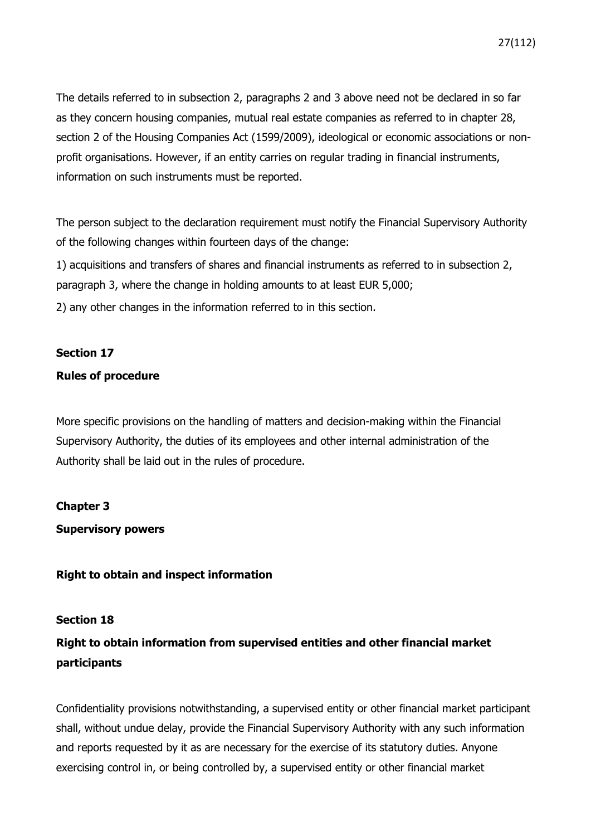The details referred to in subsection 2, paragraphs 2 and 3 above need not be declared in so far as they concern housing companies, mutual real estate companies as referred to in chapter 28, section 2 of the Housing Companies Act (1599/2009), ideological or economic associations or nonprofit organisations. However, if an entity carries on regular trading in financial instruments, information on such instruments must be reported.

The person subject to the declaration requirement must notify the Financial Supervisory Authority of the following changes within fourteen days of the change:

1) acquisitions and transfers of shares and financial instruments as referred to in subsection 2, paragraph 3, where the change in holding amounts to at least EUR 5,000;

2) any other changes in the information referred to in this section.

## **Section 17**

## **Rules of procedure**

More specific provisions on the handling of matters and decision-making within the Financial Supervisory Authority, the duties of its employees and other internal administration of the Authority shall be laid out in the rules of procedure.

#### **Chapter 3**

**Supervisory powers**

## **Right to obtain and inspect information**

## **Section 18**

# **Right to obtain information from supervised entities and other financial market participants**

Confidentiality provisions notwithstanding, a supervised entity or other financial market participant shall, without undue delay, provide the Financial Supervisory Authority with any such information and reports requested by it as are necessary for the exercise of its statutory duties. Anyone exercising control in, or being controlled by, a supervised entity or other financial market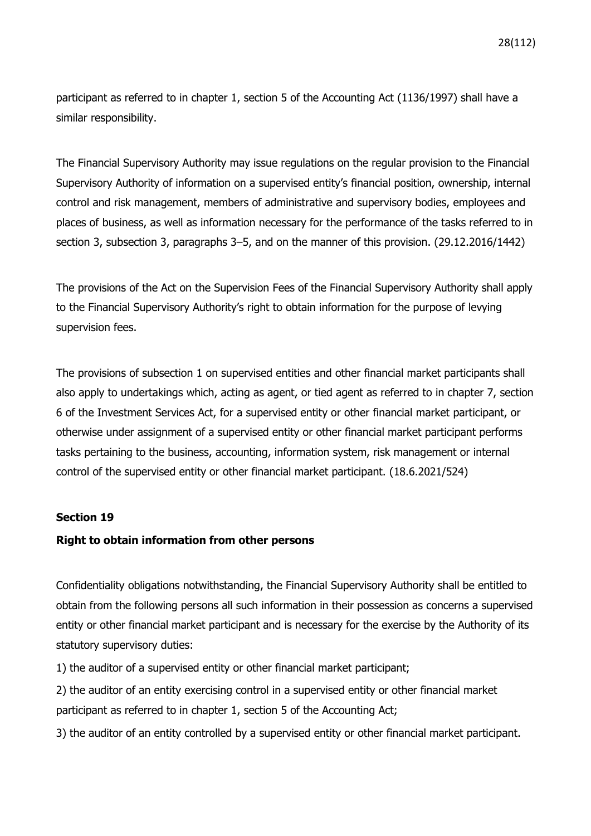participant as referred to in chapter 1, section 5 of the Accounting Act (1136/1997) shall have a similar responsibility.

The Financial Supervisory Authority may issue regulations on the regular provision to the Financial Supervisory Authority of information on a supervised entity's financial position, ownership, internal control and risk management, members of administrative and supervisory bodies, employees and places of business, as well as information necessary for the performance of the tasks referred to in section 3, subsection 3, paragraphs 3–5, and on the manner of this provision. (29.12.2016/1442)

The provisions of the Act on the Supervision Fees of the Financial Supervisory Authority shall apply to the Financial Supervisory Authority's right to obtain information for the purpose of levying supervision fees.

The provisions of subsection 1 on supervised entities and other financial market participants shall also apply to undertakings which, acting as agent, or tied agent as referred to in chapter 7, section 6 of the Investment Services Act, for a supervised entity or other financial market participant, or otherwise under assignment of a supervised entity or other financial market participant performs tasks pertaining to the business, accounting, information system, risk management or internal control of the supervised entity or other financial market participant. (18.6.2021/524)

#### **Section 19**

#### **Right to obtain information from other persons**

Confidentiality obligations notwithstanding, the Financial Supervisory Authority shall be entitled to obtain from the following persons all such information in their possession as concerns a supervised entity or other financial market participant and is necessary for the exercise by the Authority of its statutory supervisory duties:

1) the auditor of a supervised entity or other financial market participant;

2) the auditor of an entity exercising control in a supervised entity or other financial market participant as referred to in chapter 1, section 5 of the Accounting Act;

3) the auditor of an entity controlled by a supervised entity or other financial market participant.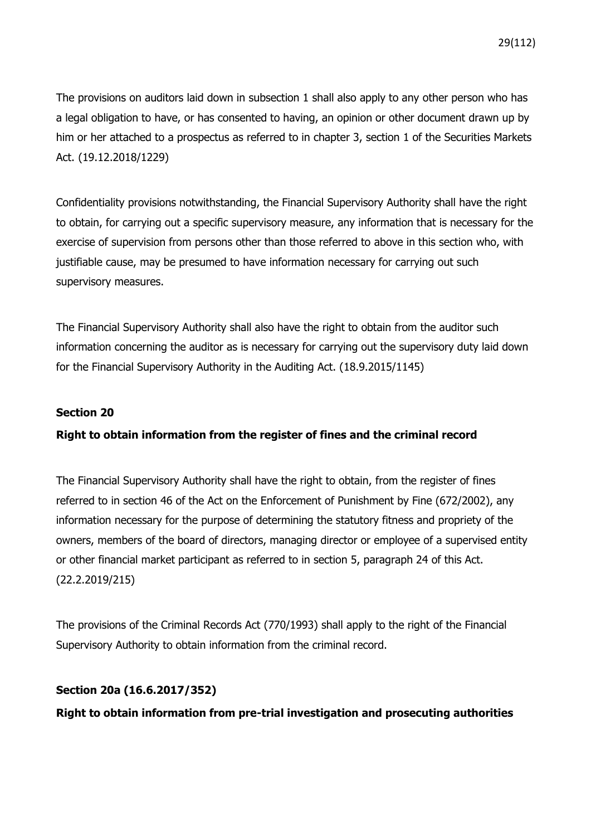The provisions on auditors laid down in subsection 1 shall also apply to any other person who has a legal obligation to have, or has consented to having, an opinion or other document drawn up by him or her attached to a prospectus as referred to in chapter 3, section 1 of the Securities Markets Act. (19.12.2018/1229)

Confidentiality provisions notwithstanding, the Financial Supervisory Authority shall have the right to obtain, for carrying out a specific supervisory measure, any information that is necessary for the exercise of supervision from persons other than those referred to above in this section who, with justifiable cause, may be presumed to have information necessary for carrying out such supervisory measures.

The Financial Supervisory Authority shall also have the right to obtain from the auditor such information concerning the auditor as is necessary for carrying out the supervisory duty laid down for the Financial Supervisory Authority in the Auditing Act. (18.9.2015/1145)

## **Section 20**

## **Right to obtain information from the register of fines and the criminal record**

The Financial Supervisory Authority shall have the right to obtain, from the register of fines referred to in section 46 of the Act on the Enforcement of Punishment by Fine (672/2002), any information necessary for the purpose of determining the statutory fitness and propriety of the owners, members of the board of directors, managing director or employee of a supervised entity or other financial market participant as referred to in section 5, paragraph 24 of this Act. (22.2.2019/215)

The provisions of the Criminal Records Act (770/1993) shall apply to the right of the Financial Supervisory Authority to obtain information from the criminal record.

#### **Section 20a (16.6.2017/352)**

**Right to obtain information from pre-trial investigation and prosecuting authorities**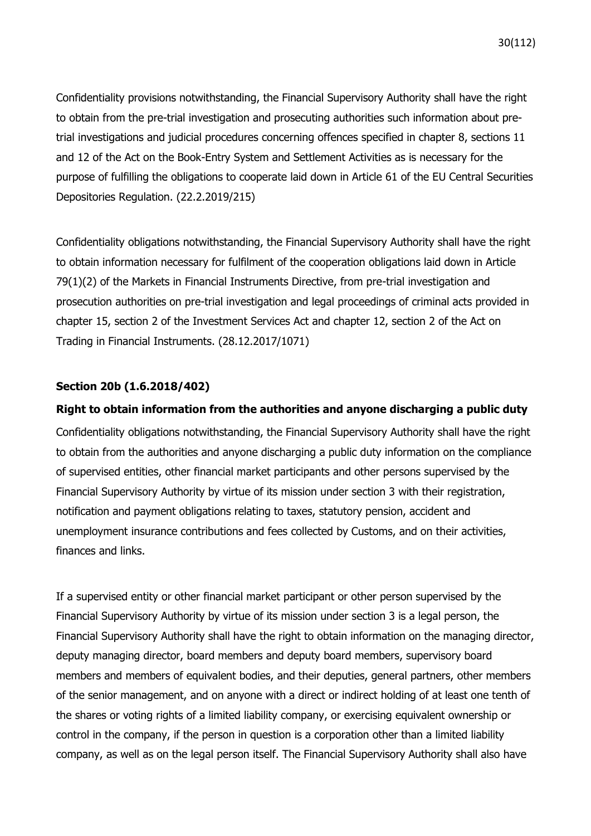Confidentiality provisions notwithstanding, the Financial Supervisory Authority shall have the right to obtain from the pre-trial investigation and prosecuting authorities such information about pretrial investigations and judicial procedures concerning offences specified in chapter 8, sections 11 and 12 of the Act on the Book-Entry System and Settlement Activities as is necessary for the purpose of fulfilling the obligations to cooperate laid down in Article 61 of the EU Central Securities Depositories Regulation. (22.2.2019/215)

Confidentiality obligations notwithstanding, the Financial Supervisory Authority shall have the right to obtain information necessary for fulfilment of the cooperation obligations laid down in Article 79(1)(2) of the Markets in Financial Instruments Directive, from pre-trial investigation and prosecution authorities on pre-trial investigation and legal proceedings of criminal acts provided in chapter 15, section 2 of the Investment Services Act and chapter 12, section 2 of the Act on Trading in Financial Instruments. (28.12.2017/1071)

#### **Section 20b (1.6.2018/402)**

#### **Right to obtain information from the authorities and anyone discharging a public duty**

Confidentiality obligations notwithstanding, the Financial Supervisory Authority shall have the right to obtain from the authorities and anyone discharging a public duty information on the compliance of supervised entities, other financial market participants and other persons supervised by the Financial Supervisory Authority by virtue of its mission under section 3 with their registration, notification and payment obligations relating to taxes, statutory pension, accident and unemployment insurance contributions and fees collected by Customs, and on their activities, finances and links.

If a supervised entity or other financial market participant or other person supervised by the Financial Supervisory Authority by virtue of its mission under section 3 is a legal person, the Financial Supervisory Authority shall have the right to obtain information on the managing director, deputy managing director, board members and deputy board members, supervisory board members and members of equivalent bodies, and their deputies, general partners, other members of the senior management, and on anyone with a direct or indirect holding of at least one tenth of the shares or voting rights of a limited liability company, or exercising equivalent ownership or control in the company, if the person in question is a corporation other than a limited liability company, as well as on the legal person itself. The Financial Supervisory Authority shall also have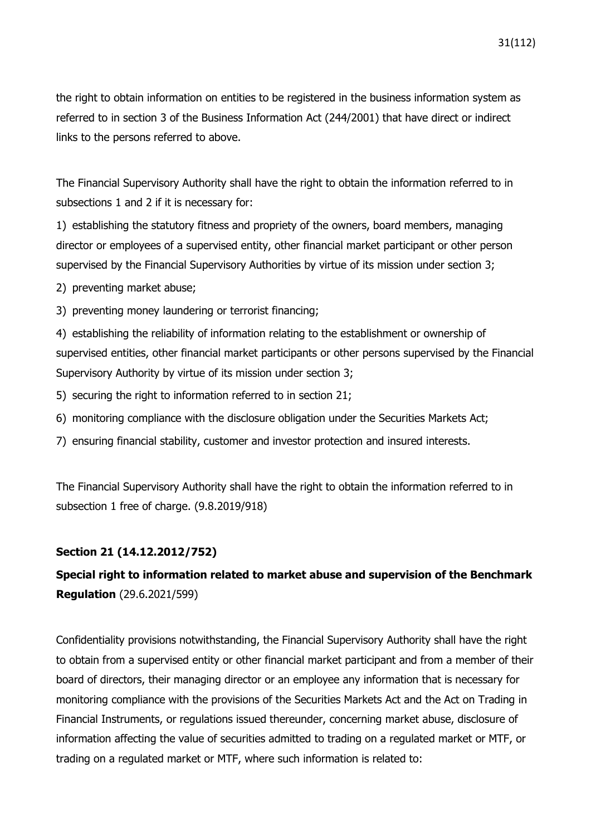the right to obtain information on entities to be registered in the business information system as referred to in section 3 of the Business Information Act (244/2001) that have direct or indirect links to the persons referred to above.

The Financial Supervisory Authority shall have the right to obtain the information referred to in subsections 1 and 2 if it is necessary for:

1) establishing the statutory fitness and propriety of the owners, board members, managing director or employees of a supervised entity, other financial market participant or other person supervised by the Financial Supervisory Authorities by virtue of its mission under section 3;

2) preventing market abuse;

3) preventing money laundering or terrorist financing;

4) establishing the reliability of information relating to the establishment or ownership of supervised entities, other financial market participants or other persons supervised by the Financial Supervisory Authority by virtue of its mission under section 3;

- 5) securing the right to information referred to in section 21;
- 6) monitoring compliance with the disclosure obligation under the Securities Markets Act;
- 7) ensuring financial stability, customer and investor protection and insured interests.

The Financial Supervisory Authority shall have the right to obtain the information referred to in subsection 1 free of charge. (9.8.2019/918)

## **Section 21 (14.12.2012/752)**

# **Special right to information related to market abuse and supervision of the Benchmark Regulation** (29.6.2021/599)

Confidentiality provisions notwithstanding, the Financial Supervisory Authority shall have the right to obtain from a supervised entity or other financial market participant and from a member of their board of directors, their managing director or an employee any information that is necessary for monitoring compliance with the provisions of the Securities Markets Act and the Act on Trading in Financial Instruments, or regulations issued thereunder, concerning market abuse, disclosure of information affecting the value of securities admitted to trading on a regulated market or MTF, or trading on a regulated market or MTF, where such information is related to: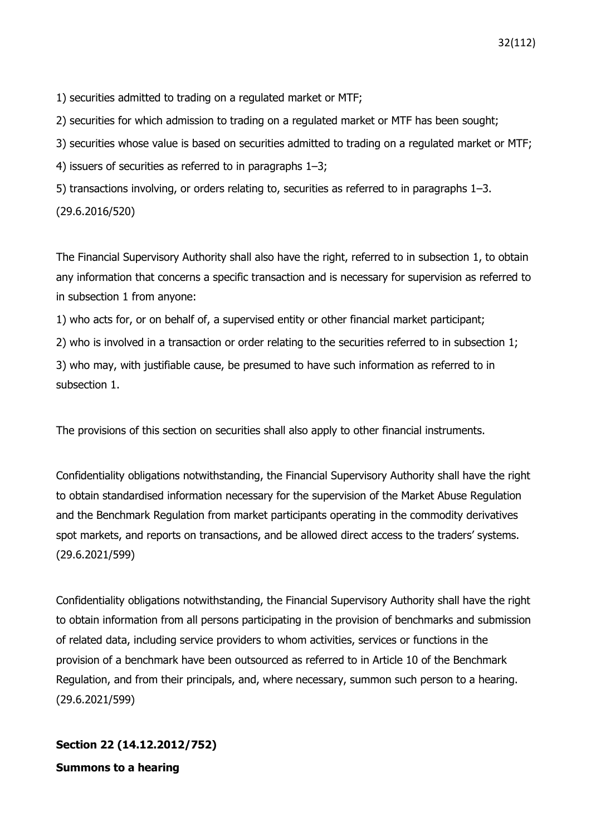1) securities admitted to trading on a regulated market or MTF;

2) securities for which admission to trading on a regulated market or MTF has been sought;

3) securities whose value is based on securities admitted to trading on a regulated market or MTF;

4) issuers of securities as referred to in paragraphs 1–3;

5) transactions involving, or orders relating to, securities as referred to in paragraphs 1–3.

(29.6.2016/520)

The Financial Supervisory Authority shall also have the right, referred to in subsection 1, to obtain any information that concerns a specific transaction and is necessary for supervision as referred to in subsection 1 from anyone:

1) who acts for, or on behalf of, a supervised entity or other financial market participant;

2) who is involved in a transaction or order relating to the securities referred to in subsection 1;

3) who may, with justifiable cause, be presumed to have such information as referred to in subsection 1.

The provisions of this section on securities shall also apply to other financial instruments.

Confidentiality obligations notwithstanding, the Financial Supervisory Authority shall have the right to obtain standardised information necessary for the supervision of the Market Abuse Regulation and the Benchmark Regulation from market participants operating in the commodity derivatives spot markets, and reports on transactions, and be allowed direct access to the traders' systems. (29.6.2021/599)

Confidentiality obligations notwithstanding, the Financial Supervisory Authority shall have the right to obtain information from all persons participating in the provision of benchmarks and submission of related data, including service providers to whom activities, services or functions in the provision of a benchmark have been outsourced as referred to in Article 10 of the Benchmark Regulation, and from their principals, and, where necessary, summon such person to a hearing. (29.6.2021/599)

# **Section 22 (14.12.2012/752) Summons to a hearing**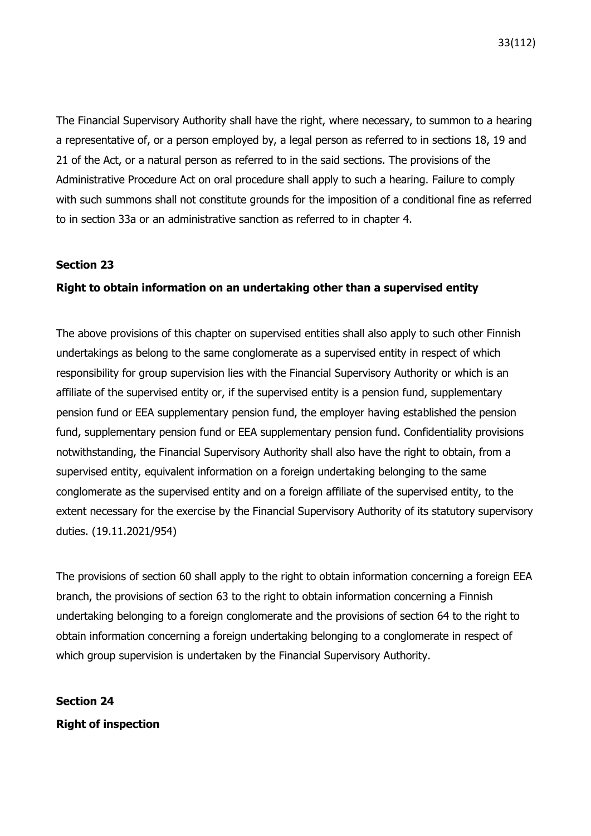The Financial Supervisory Authority shall have the right, where necessary, to summon to a hearing a representative of, or a person employed by, a legal person as referred to in sections 18, 19 and 21 of the Act, or a natural person as referred to in the said sections. The provisions of the

Administrative Procedure Act on oral procedure shall apply to such a hearing. Failure to comply with such summons shall not constitute grounds for the imposition of a conditional fine as referred to in section 33a or an administrative sanction as referred to in chapter 4.

## **Section 23**

## **Right to obtain information on an undertaking other than a supervised entity**

The above provisions of this chapter on supervised entities shall also apply to such other Finnish undertakings as belong to the same conglomerate as a supervised entity in respect of which responsibility for group supervision lies with the Financial Supervisory Authority or which is an affiliate of the supervised entity or, if the supervised entity is a pension fund, supplementary pension fund or EEA supplementary pension fund, the employer having established the pension fund, supplementary pension fund or EEA supplementary pension fund. Confidentiality provisions notwithstanding, the Financial Supervisory Authority shall also have the right to obtain, from a supervised entity, equivalent information on a foreign undertaking belonging to the same conglomerate as the supervised entity and on a foreign affiliate of the supervised entity, to the extent necessary for the exercise by the Financial Supervisory Authority of its statutory supervisory duties. (19.11.2021/954)

The provisions of section 60 shall apply to the right to obtain information concerning a foreign EEA branch, the provisions of section 63 to the right to obtain information concerning a Finnish undertaking belonging to a foreign conglomerate and the provisions of section 64 to the right to obtain information concerning a foreign undertaking belonging to a conglomerate in respect of which group supervision is undertaken by the Financial Supervisory Authority.

**Section 24 Right of inspection**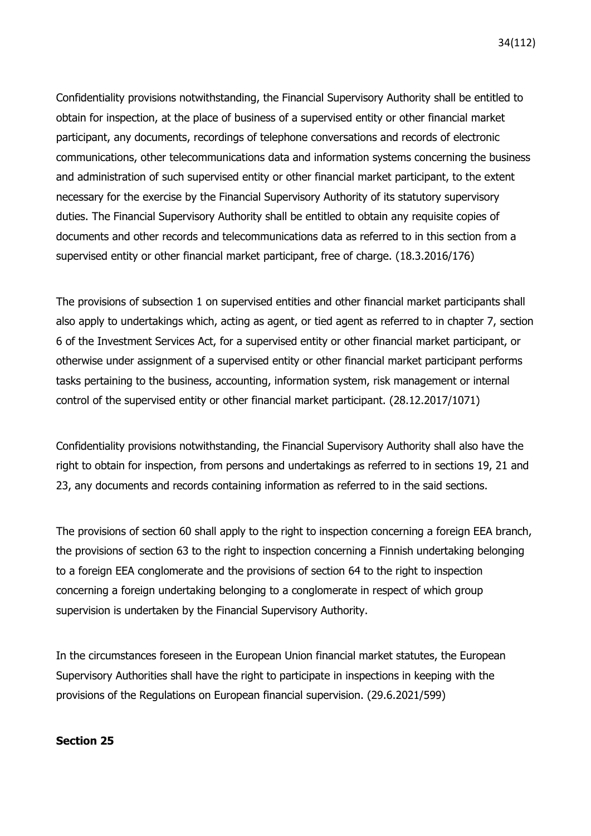Confidentiality provisions notwithstanding, the Financial Supervisory Authority shall be entitled to obtain for inspection, at the place of business of a supervised entity or other financial market participant, any documents, recordings of telephone conversations and records of electronic communications, other telecommunications data and information systems concerning the business and administration of such supervised entity or other financial market participant, to the extent necessary for the exercise by the Financial Supervisory Authority of its statutory supervisory duties. The Financial Supervisory Authority shall be entitled to obtain any requisite copies of documents and other records and telecommunications data as referred to in this section from a supervised entity or other financial market participant, free of charge. (18.3.2016/176)

The provisions of subsection 1 on supervised entities and other financial market participants shall also apply to undertakings which, acting as agent, or tied agent as referred to in chapter 7, section 6 of the Investment Services Act, for a supervised entity or other financial market participant, or otherwise under assignment of a supervised entity or other financial market participant performs tasks pertaining to the business, accounting, information system, risk management or internal control of the supervised entity or other financial market participant. (28.12.2017/1071)

Confidentiality provisions notwithstanding, the Financial Supervisory Authority shall also have the right to obtain for inspection, from persons and undertakings as referred to in sections 19, 21 and 23, any documents and records containing information as referred to in the said sections.

The provisions of section 60 shall apply to the right to inspection concerning a foreign EEA branch, the provisions of section 63 to the right to inspection concerning a Finnish undertaking belonging to a foreign EEA conglomerate and the provisions of section 64 to the right to inspection concerning a foreign undertaking belonging to a conglomerate in respect of which group supervision is undertaken by the Financial Supervisory Authority.

In the circumstances foreseen in the European Union financial market statutes, the European Supervisory Authorities shall have the right to participate in inspections in keeping with the provisions of the Regulations on European financial supervision. (29.6.2021/599)

#### **Section 25**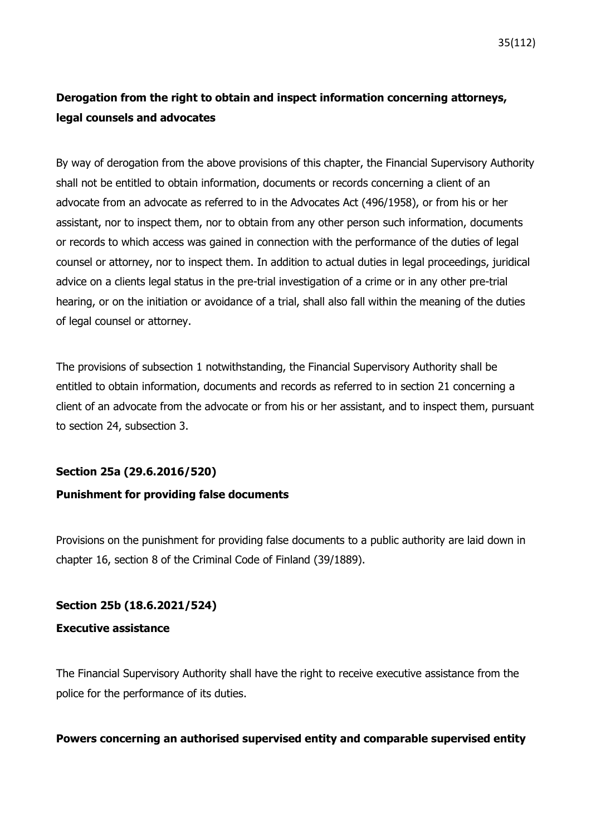# **Derogation from the right to obtain and inspect information concerning attorneys, legal counsels and advocates**

By way of derogation from the above provisions of this chapter, the Financial Supervisory Authority shall not be entitled to obtain information, documents or records concerning a client of an advocate from an advocate as referred to in the Advocates Act (496/1958), or from his or her assistant, nor to inspect them, nor to obtain from any other person such information, documents or records to which access was gained in connection with the performance of the duties of legal counsel or attorney, nor to inspect them. In addition to actual duties in legal proceedings, juridical advice on a clients legal status in the pre-trial investigation of a crime or in any other pre-trial hearing, or on the initiation or avoidance of a trial, shall also fall within the meaning of the duties of legal counsel or attorney.

The provisions of subsection 1 notwithstanding, the Financial Supervisory Authority shall be entitled to obtain information, documents and records as referred to in section 21 concerning a client of an advocate from the advocate or from his or her assistant, and to inspect them, pursuant to section 24, subsection 3.

## **Section 25a (29.6.2016/520)**

#### **Punishment for providing false documents**

Provisions on the punishment for providing false documents to a public authority are laid down in chapter 16, section 8 of the Criminal Code of Finland (39/1889).

## **Section 25b (18.6.2021/524)**

## **Executive assistance**

The Financial Supervisory Authority shall have the right to receive executive assistance from the police for the performance of its duties.

#### **Powers concerning an authorised supervised entity and comparable supervised entity**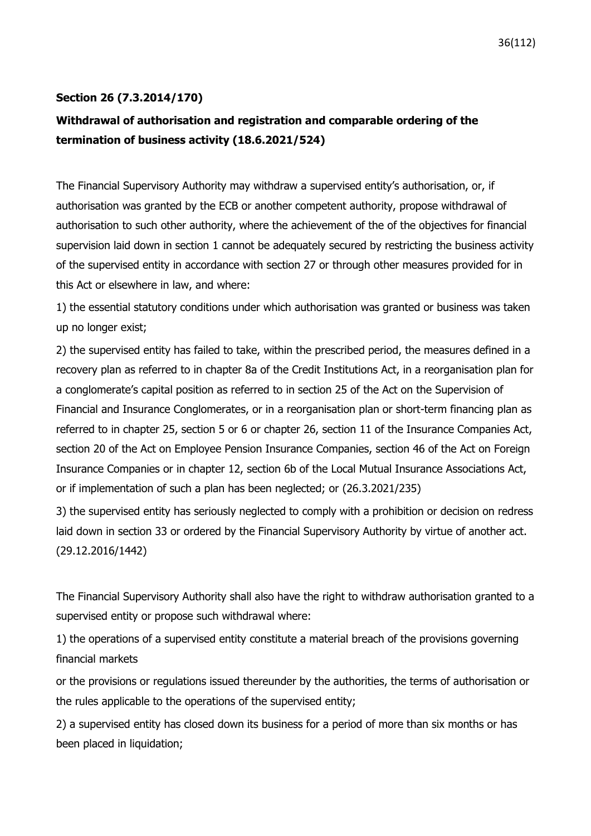## **Section 26 (7.3.2014/170)**

# **Withdrawal of authorisation and registration and comparable ordering of the termination of business activity (18.6.2021/524)**

The Financial Supervisory Authority may withdraw a supervised entity's authorisation, or, if authorisation was granted by the ECB or another competent authority, propose withdrawal of authorisation to such other authority, where the achievement of the of the objectives for financial supervision laid down in section 1 cannot be adequately secured by restricting the business activity of the supervised entity in accordance with section 27 or through other measures provided for in this Act or elsewhere in law, and where:

1) the essential statutory conditions under which authorisation was granted or business was taken up no longer exist;

2) the supervised entity has failed to take, within the prescribed period, the measures defined in a recovery plan as referred to in chapter 8a of the Credit Institutions Act, in a reorganisation plan for a conglomerate's capital position as referred to in section 25 of the Act on the Supervision of Financial and Insurance Conglomerates, or in a reorganisation plan or short-term financing plan as referred to in chapter 25, section 5 or 6 or chapter 26, section 11 of the Insurance Companies Act, section 20 of the Act on Employee Pension Insurance Companies, section 46 of the Act on Foreign Insurance Companies or in chapter 12, section 6b of the Local Mutual Insurance Associations Act, or if implementation of such a plan has been neglected; or (26.3.2021/235)

3) the supervised entity has seriously neglected to comply with a prohibition or decision on redress laid down in section 33 or ordered by the Financial Supervisory Authority by virtue of another act. (29.12.2016/1442)

The Financial Supervisory Authority shall also have the right to withdraw authorisation granted to a supervised entity or propose such withdrawal where:

1) the operations of a supervised entity constitute a material breach of the provisions governing financial markets

or the provisions or regulations issued thereunder by the authorities, the terms of authorisation or the rules applicable to the operations of the supervised entity;

2) a supervised entity has closed down its business for a period of more than six months or has been placed in liquidation;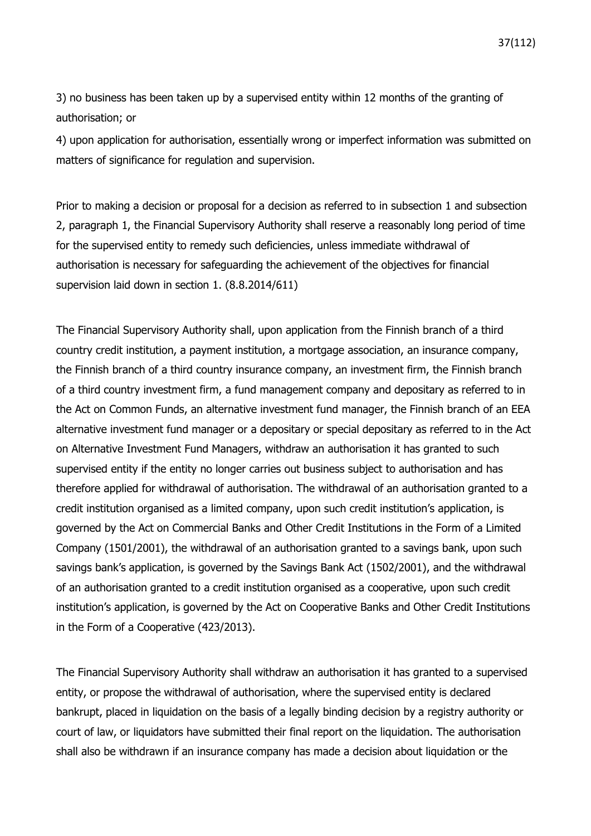3) no business has been taken up by a supervised entity within 12 months of the granting of authorisation; or

4) upon application for authorisation, essentially wrong or imperfect information was submitted on matters of significance for regulation and supervision.

Prior to making a decision or proposal for a decision as referred to in subsection 1 and subsection 2, paragraph 1, the Financial Supervisory Authority shall reserve a reasonably long period of time for the supervised entity to remedy such deficiencies, unless immediate withdrawal of authorisation is necessary for safeguarding the achievement of the objectives for financial supervision laid down in section 1. (8.8.2014/611)

The Financial Supervisory Authority shall, upon application from the Finnish branch of a third country credit institution, a payment institution, a mortgage association, an insurance company, the Finnish branch of a third country insurance company, an investment firm, the Finnish branch of a third country investment firm, a fund management company and depositary as referred to in the Act on Common Funds, an alternative investment fund manager, the Finnish branch of an EEA alternative investment fund manager or a depositary or special depositary as referred to in the Act on Alternative Investment Fund Managers, withdraw an authorisation it has granted to such supervised entity if the entity no longer carries out business subject to authorisation and has therefore applied for withdrawal of authorisation. The withdrawal of an authorisation granted to a credit institution organised as a limited company, upon such credit institution's application, is governed by the Act on Commercial Banks and Other Credit Institutions in the Form of a Limited Company (1501/2001), the withdrawal of an authorisation granted to a savings bank, upon such savings bank's application, is governed by the Savings Bank Act (1502/2001), and the withdrawal of an authorisation granted to a credit institution organised as a cooperative, upon such credit institution's application, is governed by the Act on Cooperative Banks and Other Credit Institutions in the Form of a Cooperative (423/2013).

The Financial Supervisory Authority shall withdraw an authorisation it has granted to a supervised entity, or propose the withdrawal of authorisation, where the supervised entity is declared bankrupt, placed in liquidation on the basis of a legally binding decision by a registry authority or court of law, or liquidators have submitted their final report on the liquidation. The authorisation shall also be withdrawn if an insurance company has made a decision about liquidation or the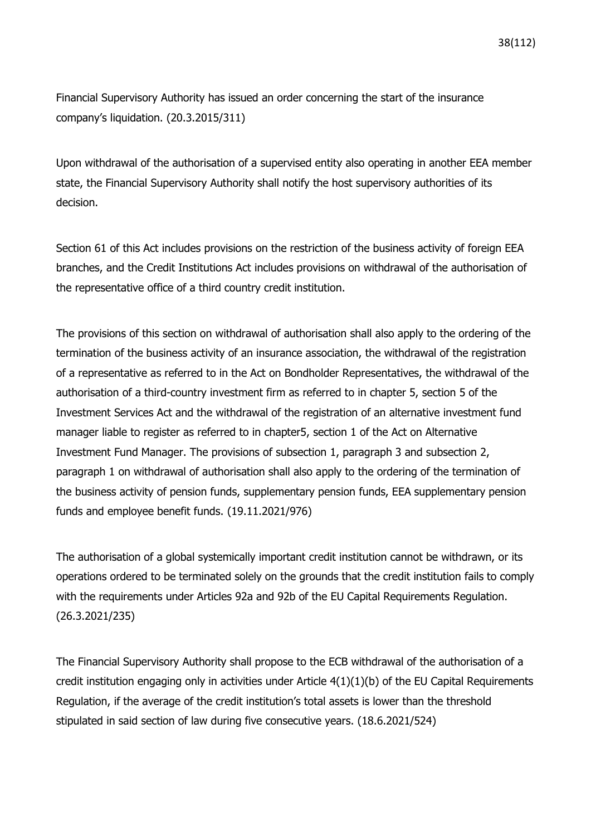Financial Supervisory Authority has issued an order concerning the start of the insurance company's liquidation. (20.3.2015/311)

Upon withdrawal of the authorisation of a supervised entity also operating in another EEA member state, the Financial Supervisory Authority shall notify the host supervisory authorities of its decision.

Section 61 of this Act includes provisions on the restriction of the business activity of foreign EEA branches, and the Credit Institutions Act includes provisions on withdrawal of the authorisation of the representative office of a third country credit institution.

The provisions of this section on withdrawal of authorisation shall also apply to the ordering of the termination of the business activity of an insurance association, the withdrawal of the registration of a representative as referred to in the Act on Bondholder Representatives, the withdrawal of the authorisation of a third-country investment firm as referred to in chapter 5, section 5 of the Investment Services Act and the withdrawal of the registration of an alternative investment fund manager liable to register as referred to in chapter5, section 1 of the Act on Alternative Investment Fund Manager. The provisions of subsection 1, paragraph 3 and subsection 2, paragraph 1 on withdrawal of authorisation shall also apply to the ordering of the termination of the business activity of pension funds, supplementary pension funds, EEA supplementary pension funds and employee benefit funds. (19.11.2021/976)

The authorisation of a global systemically important credit institution cannot be withdrawn, or its operations ordered to be terminated solely on the grounds that the credit institution fails to comply with the requirements under Articles 92a and 92b of the EU Capital Requirements Regulation. (26.3.2021/235)

The Financial Supervisory Authority shall propose to the ECB withdrawal of the authorisation of a credit institution engaging only in activities under Article 4(1)(1)(b) of the EU Capital Requirements Regulation, if the average of the credit institution's total assets is lower than the threshold stipulated in said section of law during five consecutive years. (18.6.2021/524)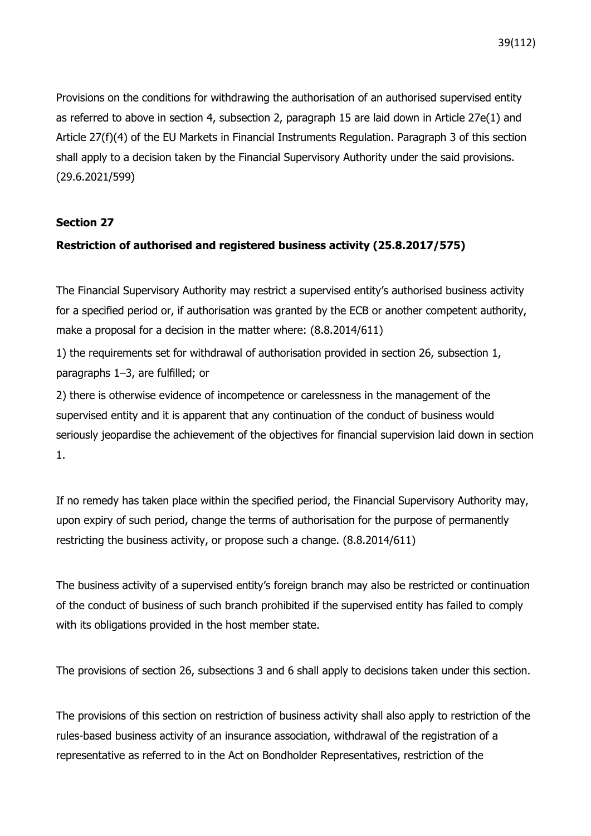Provisions on the conditions for withdrawing the authorisation of an authorised supervised entity as referred to above in section 4, subsection 2, paragraph 15 are laid down in Article 27e(1) and Article 27(f)(4) of the EU Markets in Financial Instruments Regulation. Paragraph 3 of this section shall apply to a decision taken by the Financial Supervisory Authority under the said provisions. (29.6.2021/599)

### **Section 27**

### **Restriction of authorised and registered business activity (25.8.2017/575)**

The Financial Supervisory Authority may restrict a supervised entity's authorised business activity for a specified period or, if authorisation was granted by the ECB or another competent authority, make a proposal for a decision in the matter where: (8.8.2014/611)

1) the requirements set for withdrawal of authorisation provided in section 26, subsection 1, paragraphs 1–3, are fulfilled; or

2) there is otherwise evidence of incompetence or carelessness in the management of the supervised entity and it is apparent that any continuation of the conduct of business would seriously jeopardise the achievement of the objectives for financial supervision laid down in section 1.

If no remedy has taken place within the specified period, the Financial Supervisory Authority may, upon expiry of such period, change the terms of authorisation for the purpose of permanently restricting the business activity, or propose such a change. (8.8.2014/611)

The business activity of a supervised entity's foreign branch may also be restricted or continuation of the conduct of business of such branch prohibited if the supervised entity has failed to comply with its obligations provided in the host member state.

The provisions of section 26, subsections 3 and 6 shall apply to decisions taken under this section.

The provisions of this section on restriction of business activity shall also apply to restriction of the rules-based business activity of an insurance association, withdrawal of the registration of a representative as referred to in the Act on Bondholder Representatives, restriction of the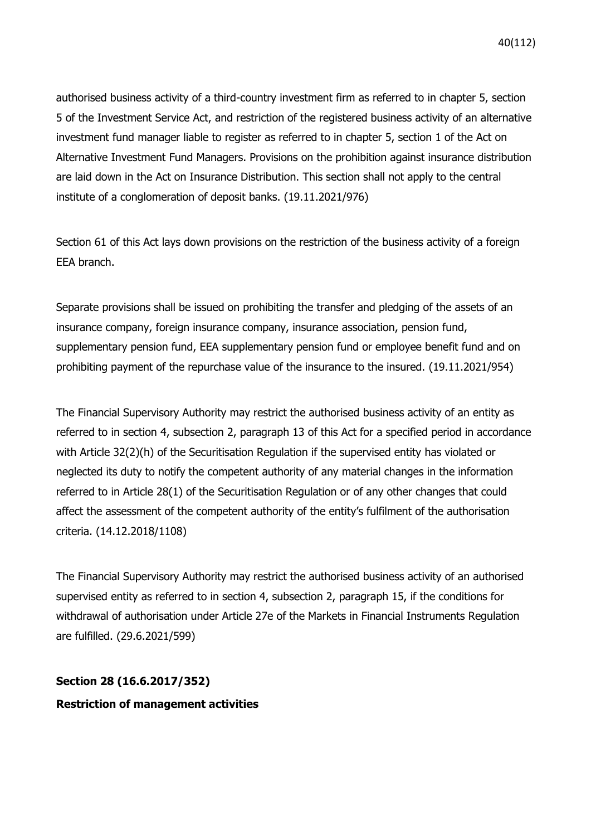authorised business activity of a third-country investment firm as referred to in chapter 5, section 5 of the Investment Service Act, and restriction of the registered business activity of an alternative investment fund manager liable to register as referred to in chapter 5, section 1 of the Act on Alternative Investment Fund Managers. Provisions on the prohibition against insurance distribution are laid down in the Act on Insurance Distribution. This section shall not apply to the central institute of a conglomeration of deposit banks. (19.11.2021/976)

Section 61 of this Act lays down provisions on the restriction of the business activity of a foreign EEA branch.

Separate provisions shall be issued on prohibiting the transfer and pledging of the assets of an insurance company, foreign insurance company, insurance association, pension fund, supplementary pension fund, EEA supplementary pension fund or employee benefit fund and on prohibiting payment of the repurchase value of the insurance to the insured. (19.11.2021/954)

The Financial Supervisory Authority may restrict the authorised business activity of an entity as referred to in section 4, subsection 2, paragraph 13 of this Act for a specified period in accordance with Article 32(2)(h) of the Securitisation Regulation if the supervised entity has violated or neglected its duty to notify the competent authority of any material changes in the information referred to in Article 28(1) of the Securitisation Regulation or of any other changes that could affect the assessment of the competent authority of the entity's fulfilment of the authorisation criteria. (14.12.2018/1108)

The Financial Supervisory Authority may restrict the authorised business activity of an authorised supervised entity as referred to in section 4, subsection 2, paragraph 15, if the conditions for withdrawal of authorisation under Article 27e of the Markets in Financial Instruments Regulation are fulfilled. (29.6.2021/599)

**Section 28 (16.6.2017/352) Restriction of management activities**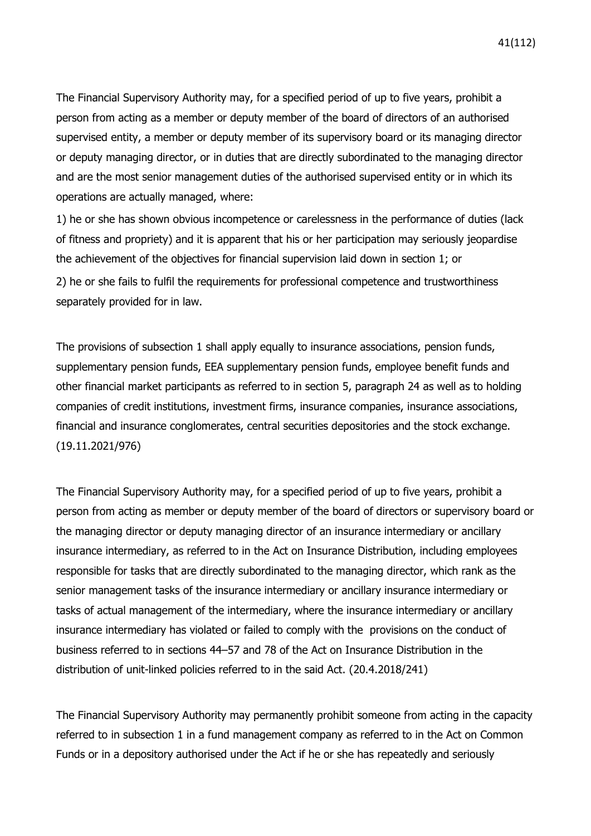The Financial Supervisory Authority may, for a specified period of up to five years, prohibit a person from acting as a member or deputy member of the board of directors of an authorised supervised entity, a member or deputy member of its supervisory board or its managing director or deputy managing director, or in duties that are directly subordinated to the managing director and are the most senior management duties of the authorised supervised entity or in which its operations are actually managed, where:

1) he or she has shown obvious incompetence or carelessness in the performance of duties (lack of fitness and propriety) and it is apparent that his or her participation may seriously jeopardise the achievement of the objectives for financial supervision laid down in section 1; or

2) he or she fails to fulfil the requirements for professional competence and trustworthiness separately provided for in law.

The provisions of subsection 1 shall apply equally to insurance associations, pension funds, supplementary pension funds, EEA supplementary pension funds, employee benefit funds and other financial market participants as referred to in section 5, paragraph 24 as well as to holding companies of credit institutions, investment firms, insurance companies, insurance associations, financial and insurance conglomerates, central securities depositories and the stock exchange. (19.11.2021/976)

The Financial Supervisory Authority may, for a specified period of up to five years, prohibit a person from acting as member or deputy member of the board of directors or supervisory board or the managing director or deputy managing director of an insurance intermediary or ancillary insurance intermediary, as referred to in the Act on Insurance Distribution, including employees responsible for tasks that are directly subordinated to the managing director, which rank as the senior management tasks of the insurance intermediary or ancillary insurance intermediary or tasks of actual management of the intermediary, where the insurance intermediary or ancillary insurance intermediary has violated or failed to comply with the provisions on the conduct of business referred to in sections 44–57 and 78 of the Act on Insurance Distribution in the distribution of unit-linked policies referred to in the said Act. (20.4.2018/241)

The Financial Supervisory Authority may permanently prohibit someone from acting in the capacity referred to in subsection 1 in a fund management company as referred to in the Act on Common Funds or in a depository authorised under the Act if he or she has repeatedly and seriously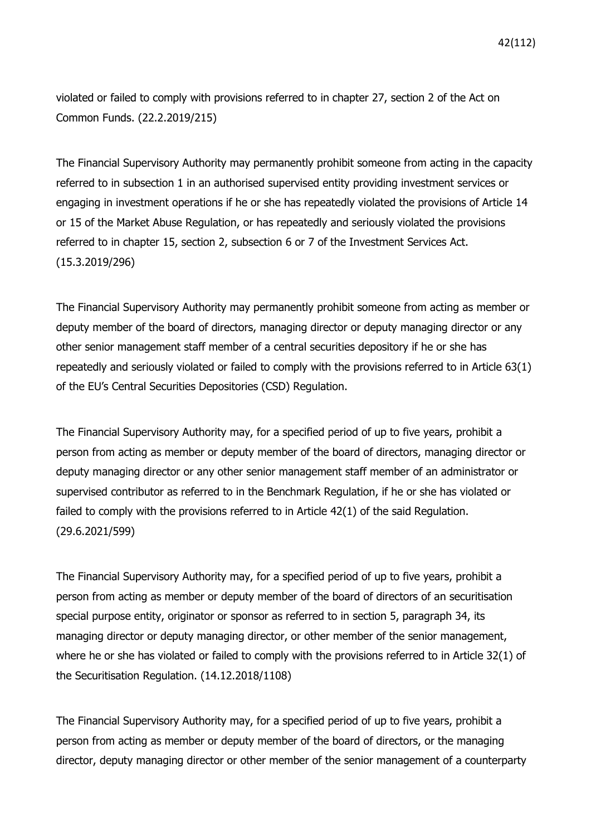violated or failed to comply with provisions referred to in chapter 27, section 2 of the Act on Common Funds. (22.2.2019/215)

The Financial Supervisory Authority may permanently prohibit someone from acting in the capacity referred to in subsection 1 in an authorised supervised entity providing investment services or engaging in investment operations if he or she has repeatedly violated the provisions of Article 14 or 15 of the Market Abuse Regulation, or has repeatedly and seriously violated the provisions referred to in chapter 15, section 2, subsection 6 or 7 of the Investment Services Act. (15.3.2019/296)

The Financial Supervisory Authority may permanently prohibit someone from acting as member or deputy member of the board of directors, managing director or deputy managing director or any other senior management staff member of a central securities depository if he or she has repeatedly and seriously violated or failed to comply with the provisions referred to in Article 63(1) of the EU's Central Securities Depositories (CSD) Regulation.

The Financial Supervisory Authority may, for a specified period of up to five years, prohibit a person from acting as member or deputy member of the board of directors, managing director or deputy managing director or any other senior management staff member of an administrator or supervised contributor as referred to in the Benchmark Regulation, if he or she has violated or failed to comply with the provisions referred to in Article 42(1) of the said Regulation. (29.6.2021/599)

The Financial Supervisory Authority may, for a specified period of up to five years, prohibit a person from acting as member or deputy member of the board of directors of an securitisation special purpose entity, originator or sponsor as referred to in section 5, paragraph 34, its managing director or deputy managing director, or other member of the senior management, where he or she has violated or failed to comply with the provisions referred to in Article 32(1) of the Securitisation Regulation. (14.12.2018/1108)

The Financial Supervisory Authority may, for a specified period of up to five years, prohibit a person from acting as member or deputy member of the board of directors, or the managing director, deputy managing director or other member of the senior management of a counterparty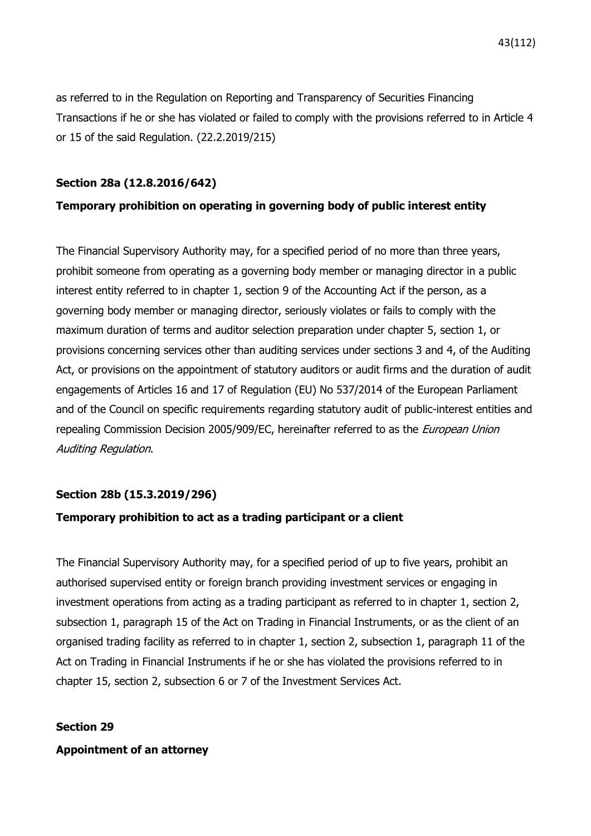as referred to in the Regulation on Reporting and Transparency of Securities Financing Transactions if he or she has violated or failed to comply with the provisions referred to in Article 4 or 15 of the said Regulation. (22.2.2019/215)

### **Section 28a (12.8.2016/642)**

### **Temporary prohibition on operating in governing body of public interest entity**

The Financial Supervisory Authority may, for a specified period of no more than three years, prohibit someone from operating as a governing body member or managing director in a public interest entity referred to in chapter 1, section 9 of the Accounting Act if the person, as a governing body member or managing director, seriously violates or fails to comply with the maximum duration of terms and auditor selection preparation under chapter 5, section 1, or provisions concerning services other than auditing services under sections 3 and 4, of the Auditing Act, or provisions on the appointment of statutory auditors or audit firms and the duration of audit engagements of Articles 16 and 17 of Regulation (EU) No 537/2014 of the European Parliament and of the Council on specific requirements regarding statutory audit of public-interest entities and repealing Commission Decision 2005/909/EC, hereinafter referred to as the *European Union* Auditing Regulation.

### **Section 28b (15.3.2019/296)**

### **Temporary prohibition to act as a trading participant or a client**

The Financial Supervisory Authority may, for a specified period of up to five years, prohibit an authorised supervised entity or foreign branch providing investment services or engaging in investment operations from acting as a trading participant as referred to in chapter 1, section 2, subsection 1, paragraph 15 of the Act on Trading in Financial Instruments, or as the client of an organised trading facility as referred to in chapter 1, section 2, subsection 1, paragraph 11 of the Act on Trading in Financial Instruments if he or she has violated the provisions referred to in chapter 15, section 2, subsection 6 or 7 of the Investment Services Act.

### **Section 29**

### **Appointment of an attorney**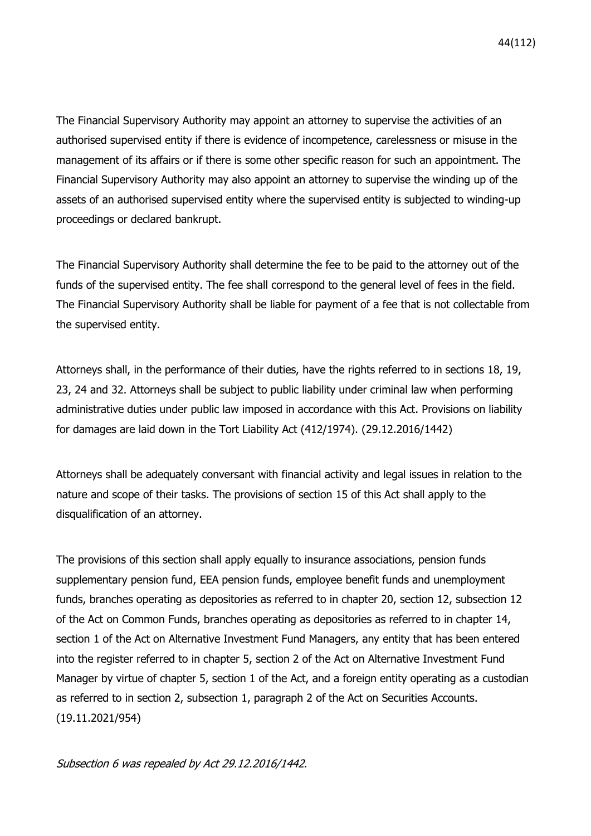The Financial Supervisory Authority may appoint an attorney to supervise the activities of an authorised supervised entity if there is evidence of incompetence, carelessness or misuse in the management of its affairs or if there is some other specific reason for such an appointment. The Financial Supervisory Authority may also appoint an attorney to supervise the winding up of the assets of an authorised supervised entity where the supervised entity is subjected to winding-up proceedings or declared bankrupt.

The Financial Supervisory Authority shall determine the fee to be paid to the attorney out of the funds of the supervised entity. The fee shall correspond to the general level of fees in the field. The Financial Supervisory Authority shall be liable for payment of a fee that is not collectable from the supervised entity.

Attorneys shall, in the performance of their duties, have the rights referred to in sections 18, 19, 23, 24 and 32. Attorneys shall be subject to public liability under criminal law when performing administrative duties under public law imposed in accordance with this Act. Provisions on liability for damages are laid down in the Tort Liability Act (412/1974). (29.12.2016/1442)

Attorneys shall be adequately conversant with financial activity and legal issues in relation to the nature and scope of their tasks. The provisions of section 15 of this Act shall apply to the disqualification of an attorney.

The provisions of this section shall apply equally to insurance associations, pension funds supplementary pension fund, EEA pension funds, employee benefit funds and unemployment funds, branches operating as depositories as referred to in chapter 20, section 12, subsection 12 of the Act on Common Funds, branches operating as depositories as referred to in chapter 14, section 1 of the Act on Alternative Investment Fund Managers, any entity that has been entered into the register referred to in chapter 5, section 2 of the Act on Alternative Investment Fund Manager by virtue of chapter 5, section 1 of the Act, and a foreign entity operating as a custodian as referred to in section 2, subsection 1, paragraph 2 of the Act on Securities Accounts. (19.11.2021/954)

Subsection 6 was repealed by Act 29.12.2016/1442.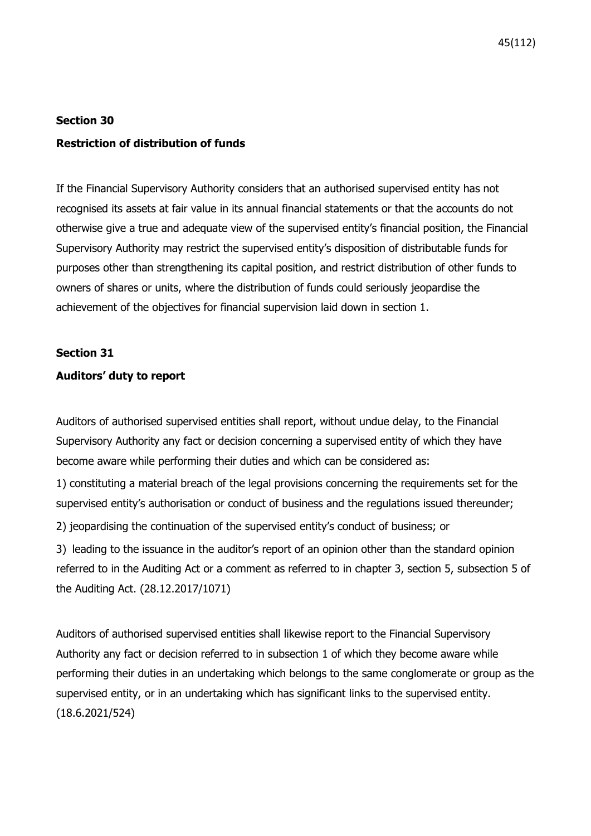### **Section 30**

### **Restriction of distribution of funds**

If the Financial Supervisory Authority considers that an authorised supervised entity has not recognised its assets at fair value in its annual financial statements or that the accounts do not otherwise give a true and adequate view of the supervised entity's financial position, the Financial Supervisory Authority may restrict the supervised entity's disposition of distributable funds for purposes other than strengthening its capital position, and restrict distribution of other funds to owners of shares or units, where the distribution of funds could seriously jeopardise the achievement of the objectives for financial supervision laid down in section 1.

#### **Section 31**

### **Auditors' duty to report**

Auditors of authorised supervised entities shall report, without undue delay, to the Financial Supervisory Authority any fact or decision concerning a supervised entity of which they have become aware while performing their duties and which can be considered as:

1) constituting a material breach of the legal provisions concerning the requirements set for the supervised entity's authorisation or conduct of business and the regulations issued thereunder;

2) jeopardising the continuation of the supervised entity's conduct of business; or

3) leading to the issuance in the auditor's report of an opinion other than the standard opinion referred to in the Auditing Act or a comment as referred to in chapter 3, section 5, subsection 5 of the Auditing Act. (28.12.2017/1071)

Auditors of authorised supervised entities shall likewise report to the Financial Supervisory Authority any fact or decision referred to in subsection 1 of which they become aware while performing their duties in an undertaking which belongs to the same conglomerate or group as the supervised entity, or in an undertaking which has significant links to the supervised entity. (18.6.2021/524)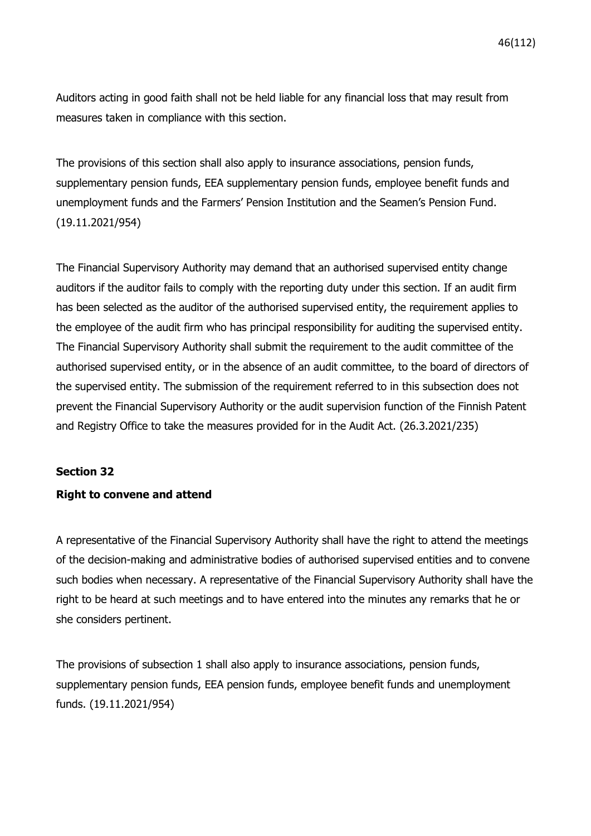Auditors acting in good faith shall not be held liable for any financial loss that may result from measures taken in compliance with this section.

The provisions of this section shall also apply to insurance associations, pension funds, supplementary pension funds, EEA supplementary pension funds, employee benefit funds and unemployment funds and the Farmers' Pension Institution and the Seamen's Pension Fund. (19.11.2021/954)

The Financial Supervisory Authority may demand that an authorised supervised entity change auditors if the auditor fails to comply with the reporting duty under this section. If an audit firm has been selected as the auditor of the authorised supervised entity, the requirement applies to the employee of the audit firm who has principal responsibility for auditing the supervised entity. The Financial Supervisory Authority shall submit the requirement to the audit committee of the authorised supervised entity, or in the absence of an audit committee, to the board of directors of the supervised entity. The submission of the requirement referred to in this subsection does not prevent the Financial Supervisory Authority or the audit supervision function of the Finnish Patent and Registry Office to take the measures provided for in the Audit Act. (26.3.2021/235)

### **Section 32**

### **Right to convene and attend**

A representative of the Financial Supervisory Authority shall have the right to attend the meetings of the decision-making and administrative bodies of authorised supervised entities and to convene such bodies when necessary. A representative of the Financial Supervisory Authority shall have the right to be heard at such meetings and to have entered into the minutes any remarks that he or she considers pertinent.

The provisions of subsection 1 shall also apply to insurance associations, pension funds, supplementary pension funds, EEA pension funds, employee benefit funds and unemployment funds. (19.11.2021/954)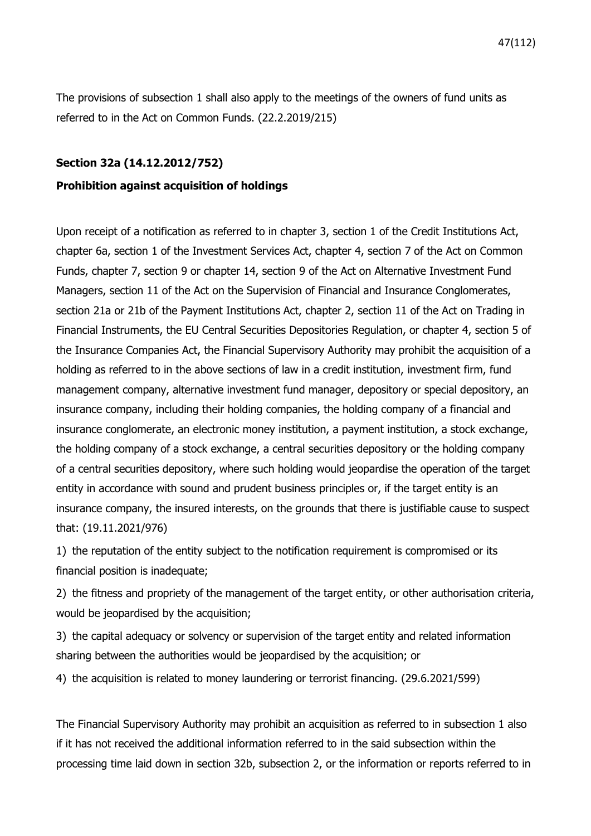The provisions of subsection 1 shall also apply to the meetings of the owners of fund units as referred to in the Act on Common Funds. (22.2.2019/215)

#### **Section 32a (14.12.2012/752)**

#### **Prohibition against acquisition of holdings**

Upon receipt of a notification as referred to in chapter 3, section 1 of the Credit Institutions Act, chapter 6a, section 1 of the Investment Services Act, chapter 4, section 7 of the Act on Common Funds, chapter 7, section 9 or chapter 14, section 9 of the Act on Alternative Investment Fund Managers, section 11 of the Act on the Supervision of Financial and Insurance Conglomerates, section 21a or 21b of the Payment Institutions Act, chapter 2, section 11 of the Act on Trading in Financial Instruments, the EU Central Securities Depositories Regulation, or chapter 4, section 5 of the Insurance Companies Act, the Financial Supervisory Authority may prohibit the acquisition of a holding as referred to in the above sections of law in a credit institution, investment firm, fund management company, alternative investment fund manager, depository or special depository, an insurance company, including their holding companies, the holding company of a financial and insurance conglomerate, an electronic money institution, a payment institution, a stock exchange, the holding company of a stock exchange, a central securities depository or the holding company of a central securities depository, where such holding would jeopardise the operation of the target entity in accordance with sound and prudent business principles or, if the target entity is an insurance company, the insured interests, on the grounds that there is justifiable cause to suspect that: (19.11.2021/976)

1) the reputation of the entity subject to the notification requirement is compromised or its financial position is inadequate;

2) the fitness and propriety of the management of the target entity, or other authorisation criteria, would be jeopardised by the acquisition;

3) the capital adequacy or solvency or supervision of the target entity and related information sharing between the authorities would be jeopardised by the acquisition; or

4) the acquisition is related to money laundering or terrorist financing. (29.6.2021/599)

The Financial Supervisory Authority may prohibit an acquisition as referred to in subsection 1 also if it has not received the additional information referred to in the said subsection within the processing time laid down in section 32b, subsection 2, or the information or reports referred to in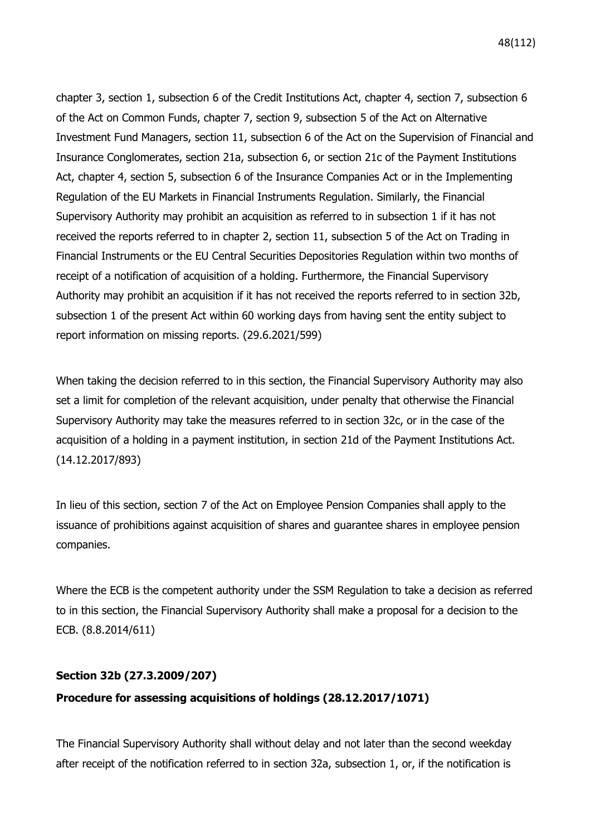chapter 3, section 1, subsection 6 of the Credit Institutions Act, chapter 4, section 7, subsection 6 of the Act on Common Funds, chapter 7, section 9, subsection 5 of the Act on Alternative Investment Fund Managers, section 11, subsection 6 of the Act on the Supervision of Financial and Insurance Conglomerates, section 21a, subsection 6, or section 21c of the Payment Institutions Act, chapter 4, section 5, subsection 6 of the Insurance Companies Act or in the Implementing Regulation of the EU Markets in Financial Instruments Regulation. Similarly, the Financial Supervisory Authority may prohibit an acquisition as referred to in subsection 1 if it has not received the reports referred to in chapter 2, section 11, subsection 5 of the Act on Trading in Financial Instruments or the EU Central Securities Depositories Regulation within two months of receipt of a notification of acquisition of a holding. Furthermore, the Financial Supervisory Authority may prohibit an acquisition if it has not received the reports referred to in section 32b, subsection 1 of the present Act within 60 working days from having sent the entity subject to report information on missing reports. (29.6.2021/599)

When taking the decision referred to in this section, the Financial Supervisory Authority may also set a limit for completion of the relevant acquisition, under penalty that otherwise the Financial Supervisory Authority may take the measures referred to in section 32c, or in the case of the acquisition of a holding in a payment institution, in section 21d of the Payment Institutions Act. (14.12.2017/893)

In lieu of this section, section 7 of the Act on Employee Pension Companies shall apply to the issuance of prohibitions against acquisition of shares and guarantee shares in employee pension companies.

Where the ECB is the competent authority under the SSM Regulation to take a decision as referred to in this section, the Financial Supervisory Authority shall make a proposal for a decision to the ECB. (8.8.2014/611)

### **Section 32b (27.3.2009/207)**

## **Procedure for assessing acquisitions of holdings (28.12.2017/1071)**

The Financial Supervisory Authority shall without delay and not later than the second weekday after receipt of the notification referred to in section 32a, subsection 1, or, if the notification is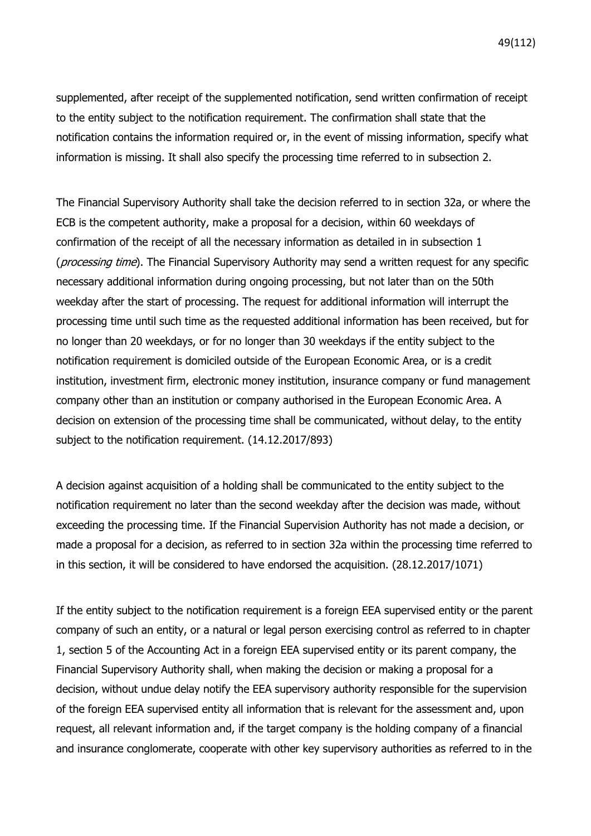supplemented, after receipt of the supplemented notification, send written confirmation of receipt to the entity subject to the notification requirement. The confirmation shall state that the notification contains the information required or, in the event of missing information, specify what information is missing. It shall also specify the processing time referred to in subsection 2.

The Financial Supervisory Authority shall take the decision referred to in section 32a, or where the ECB is the competent authority, make a proposal for a decision, within 60 weekdays of confirmation of the receipt of all the necessary information as detailed in in subsection 1 (*processing time*). The Financial Supervisory Authority may send a written request for any specific necessary additional information during ongoing processing, but not later than on the 50th weekday after the start of processing. The request for additional information will interrupt the processing time until such time as the requested additional information has been received, but for no longer than 20 weekdays, or for no longer than 30 weekdays if the entity subject to the notification requirement is domiciled outside of the European Economic Area, or is a credit institution, investment firm, electronic money institution, insurance company or fund management company other than an institution or company authorised in the European Economic Area. A decision on extension of the processing time shall be communicated, without delay, to the entity subject to the notification requirement. (14.12.2017/893)

A decision against acquisition of a holding shall be communicated to the entity subject to the notification requirement no later than the second weekday after the decision was made, without exceeding the processing time. If the Financial Supervision Authority has not made a decision, or made a proposal for a decision, as referred to in section 32a within the processing time referred to in this section, it will be considered to have endorsed the acquisition. (28.12.2017/1071)

If the entity subject to the notification requirement is a foreign EEA supervised entity or the parent company of such an entity, or a natural or legal person exercising control as referred to in chapter 1, section 5 of the Accounting Act in a foreign EEA supervised entity or its parent company, the Financial Supervisory Authority shall, when making the decision or making a proposal for a decision, without undue delay notify the EEA supervisory authority responsible for the supervision of the foreign EEA supervised entity all information that is relevant for the assessment and, upon request, all relevant information and, if the target company is the holding company of a financial and insurance conglomerate, cooperate with other key supervisory authorities as referred to in the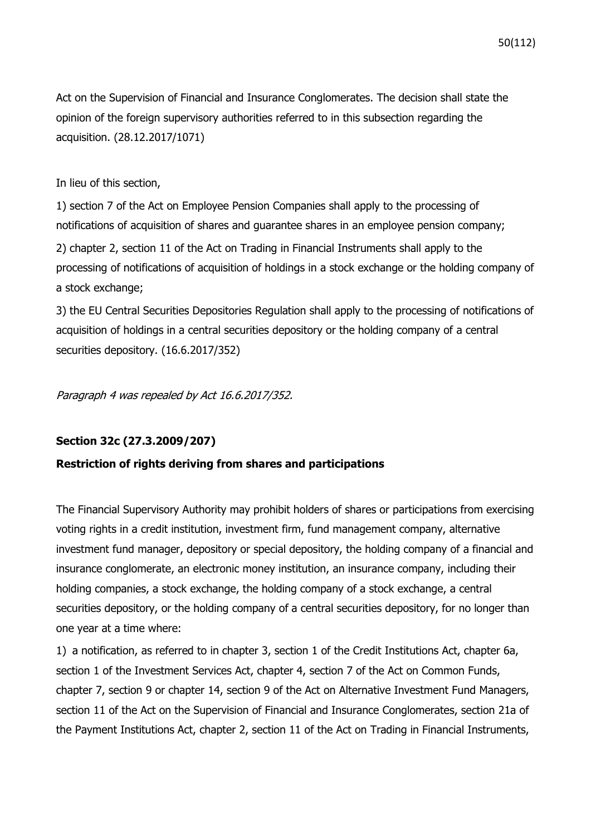Act on the Supervision of Financial and Insurance Conglomerates. The decision shall state the opinion of the foreign supervisory authorities referred to in this subsection regarding the acquisition. (28.12.2017/1071)

## In lieu of this section,

1) section 7 of the Act on Employee Pension Companies shall apply to the processing of notifications of acquisition of shares and guarantee shares in an employee pension company;

2) chapter 2, section 11 of the Act on Trading in Financial Instruments shall apply to the processing of notifications of acquisition of holdings in a stock exchange or the holding company of a stock exchange;

3) the EU Central Securities Depositories Regulation shall apply to the processing of notifications of acquisition of holdings in a central securities depository or the holding company of a central securities depository. (16.6.2017/352)

Paragraph 4 was repealed by Act 16.6.2017/352.

## **Section 32c (27.3.2009/207)**

## **Restriction of rights deriving from shares and participations**

The Financial Supervisory Authority may prohibit holders of shares or participations from exercising voting rights in a credit institution, investment firm, fund management company, alternative investment fund manager, depository or special depository, the holding company of a financial and insurance conglomerate, an electronic money institution, an insurance company, including their holding companies, a stock exchange, the holding company of a stock exchange, a central securities depository, or the holding company of a central securities depository, for no longer than one year at a time where:

1) a notification, as referred to in chapter 3, section 1 of the Credit Institutions Act, chapter 6a, section 1 of the Investment Services Act, chapter 4, section 7 of the Act on Common Funds, chapter 7, section 9 or chapter 14, section 9 of the Act on Alternative Investment Fund Managers, section 11 of the Act on the Supervision of Financial and Insurance Conglomerates, section 21a of the Payment Institutions Act, chapter 2, section 11 of the Act on Trading in Financial Instruments,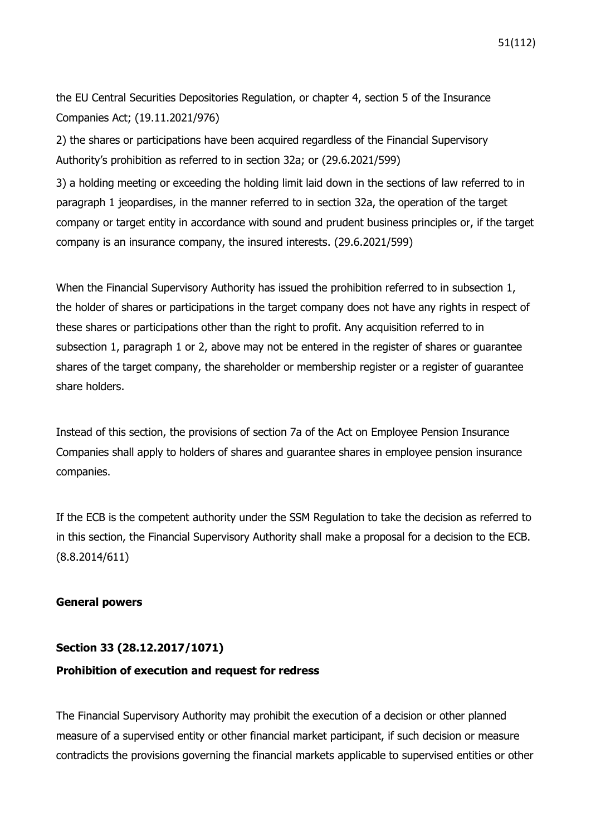the EU Central Securities Depositories Regulation, or chapter 4, section 5 of the Insurance Companies Act; (19.11.2021/976)

2) the shares or participations have been acquired regardless of the Financial Supervisory Authority's prohibition as referred to in section 32a; or (29.6.2021/599)

3) a holding meeting or exceeding the holding limit laid down in the sections of law referred to in paragraph 1 jeopardises, in the manner referred to in section 32a, the operation of the target company or target entity in accordance with sound and prudent business principles or, if the target company is an insurance company, the insured interests. (29.6.2021/599)

When the Financial Supervisory Authority has issued the prohibition referred to in subsection 1, the holder of shares or participations in the target company does not have any rights in respect of these shares or participations other than the right to profit. Any acquisition referred to in subsection 1, paragraph 1 or 2, above may not be entered in the register of shares or guarantee shares of the target company, the shareholder or membership register or a register of guarantee share holders.

Instead of this section, the provisions of section 7a of the Act on Employee Pension Insurance Companies shall apply to holders of shares and guarantee shares in employee pension insurance companies.

If the ECB is the competent authority under the SSM Regulation to take the decision as referred to in this section, the Financial Supervisory Authority shall make a proposal for a decision to the ECB. (8.8.2014/611)

### **General powers**

## **Section 33 (28.12.2017/1071)**

### **Prohibition of execution and request for redress**

The Financial Supervisory Authority may prohibit the execution of a decision or other planned measure of a supervised entity or other financial market participant, if such decision or measure contradicts the provisions governing the financial markets applicable to supervised entities or other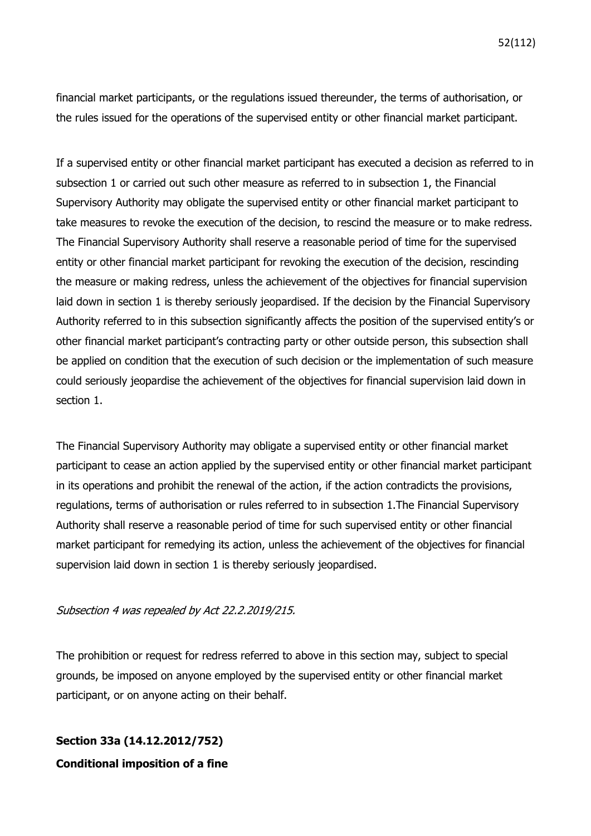financial market participants, or the regulations issued thereunder, the terms of authorisation, or the rules issued for the operations of the supervised entity or other financial market participant.

If a supervised entity or other financial market participant has executed a decision as referred to in subsection 1 or carried out such other measure as referred to in subsection 1, the Financial Supervisory Authority may obligate the supervised entity or other financial market participant to take measures to revoke the execution of the decision, to rescind the measure or to make redress. The Financial Supervisory Authority shall reserve a reasonable period of time for the supervised entity or other financial market participant for revoking the execution of the decision, rescinding the measure or making redress, unless the achievement of the objectives for financial supervision laid down in section 1 is thereby seriously jeopardised. If the decision by the Financial Supervisory Authority referred to in this subsection significantly affects the position of the supervised entity's or other financial market participant's contracting party or other outside person, this subsection shall be applied on condition that the execution of such decision or the implementation of such measure could seriously jeopardise the achievement of the objectives for financial supervision laid down in section 1.

The Financial Supervisory Authority may obligate a supervised entity or other financial market participant to cease an action applied by the supervised entity or other financial market participant in its operations and prohibit the renewal of the action, if the action contradicts the provisions, regulations, terms of authorisation or rules referred to in subsection 1.The Financial Supervisory Authority shall reserve a reasonable period of time for such supervised entity or other financial market participant for remedying its action, unless the achievement of the objectives for financial supervision laid down in section 1 is thereby seriously jeopardised.

### Subsection 4 was repealed by Act 22.2.2019/215.

The prohibition or request for redress referred to above in this section may, subject to special grounds, be imposed on anyone employed by the supervised entity or other financial market participant, or on anyone acting on their behalf.

# **Section 33a (14.12.2012/752) Conditional imposition of a fine**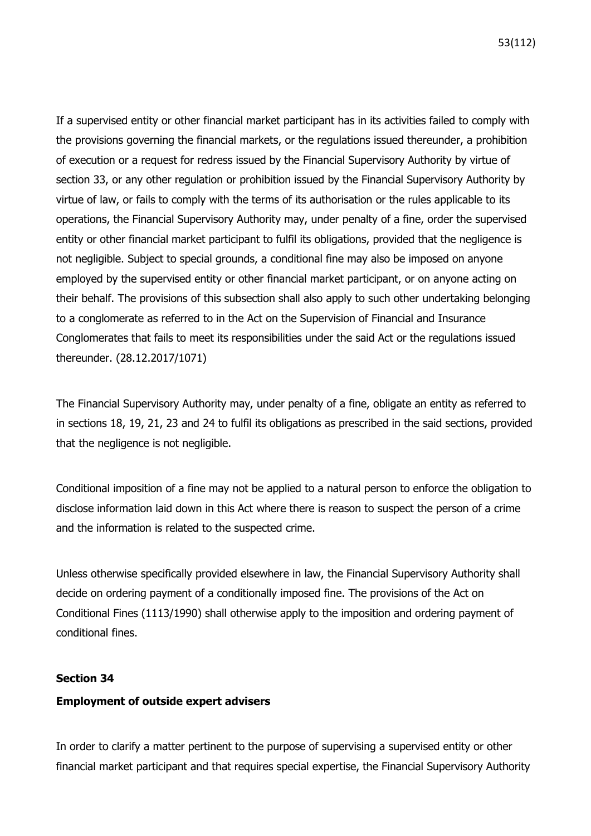If a supervised entity or other financial market participant has in its activities failed to comply with the provisions governing the financial markets, or the regulations issued thereunder, a prohibition of execution or a request for redress issued by the Financial Supervisory Authority by virtue of section 33, or any other regulation or prohibition issued by the Financial Supervisory Authority by virtue of law, or fails to comply with the terms of its authorisation or the rules applicable to its operations, the Financial Supervisory Authority may, under penalty of a fine, order the supervised entity or other financial market participant to fulfil its obligations, provided that the negligence is not negligible. Subject to special grounds, a conditional fine may also be imposed on anyone employed by the supervised entity or other financial market participant, or on anyone acting on their behalf. The provisions of this subsection shall also apply to such other undertaking belonging to a conglomerate as referred to in the Act on the Supervision of Financial and Insurance Conglomerates that fails to meet its responsibilities under the said Act or the regulations issued thereunder. (28.12.2017/1071)

The Financial Supervisory Authority may, under penalty of a fine, obligate an entity as referred to in sections 18, 19, 21, 23 and 24 to fulfil its obligations as prescribed in the said sections, provided that the negligence is not negligible.

Conditional imposition of a fine may not be applied to a natural person to enforce the obligation to disclose information laid down in this Act where there is reason to suspect the person of a crime and the information is related to the suspected crime.

Unless otherwise specifically provided elsewhere in law, the Financial Supervisory Authority shall decide on ordering payment of a conditionally imposed fine. The provisions of the Act on Conditional Fines (1113/1990) shall otherwise apply to the imposition and ordering payment of conditional fines.

### **Section 34**

### **Employment of outside expert advisers**

In order to clarify a matter pertinent to the purpose of supervising a supervised entity or other financial market participant and that requires special expertise, the Financial Supervisory Authority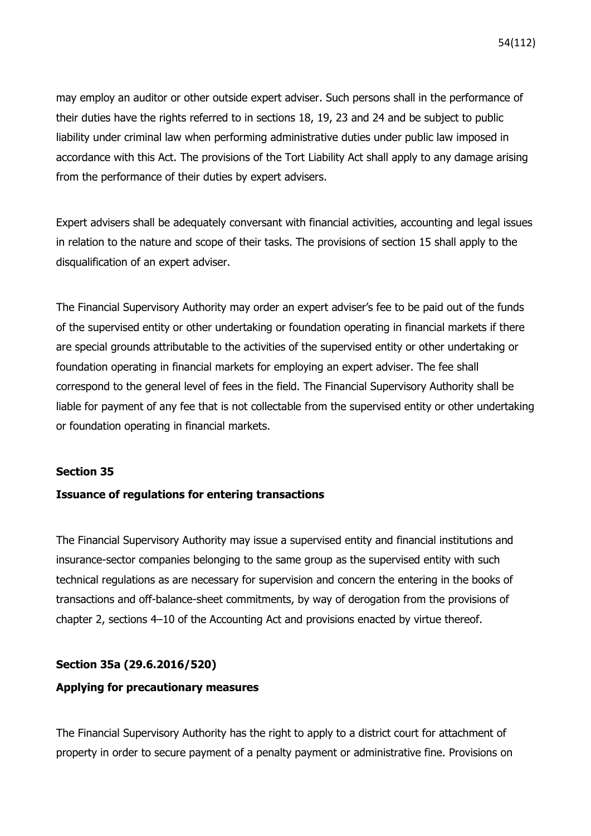may employ an auditor or other outside expert adviser. Such persons shall in the performance of their duties have the rights referred to in sections 18, 19, 23 and 24 and be subject to public liability under criminal law when performing administrative duties under public law imposed in accordance with this Act. The provisions of the Tort Liability Act shall apply to any damage arising from the performance of their duties by expert advisers.

Expert advisers shall be adequately conversant with financial activities, accounting and legal issues in relation to the nature and scope of their tasks. The provisions of section 15 shall apply to the disqualification of an expert adviser.

The Financial Supervisory Authority may order an expert adviser's fee to be paid out of the funds of the supervised entity or other undertaking or foundation operating in financial markets if there are special grounds attributable to the activities of the supervised entity or other undertaking or foundation operating in financial markets for employing an expert adviser. The fee shall correspond to the general level of fees in the field. The Financial Supervisory Authority shall be liable for payment of any fee that is not collectable from the supervised entity or other undertaking or foundation operating in financial markets.

### **Section 35**

### **Issuance of regulations for entering transactions**

The Financial Supervisory Authority may issue a supervised entity and financial institutions and insurance-sector companies belonging to the same group as the supervised entity with such technical regulations as are necessary for supervision and concern the entering in the books of transactions and off-balance-sheet commitments, by way of derogation from the provisions of chapter 2, sections 4–10 of the Accounting Act and provisions enacted by virtue thereof.

### **Section 35a (29.6.2016/520)**

### **Applying for precautionary measures**

The Financial Supervisory Authority has the right to apply to a district court for attachment of property in order to secure payment of a penalty payment or administrative fine. Provisions on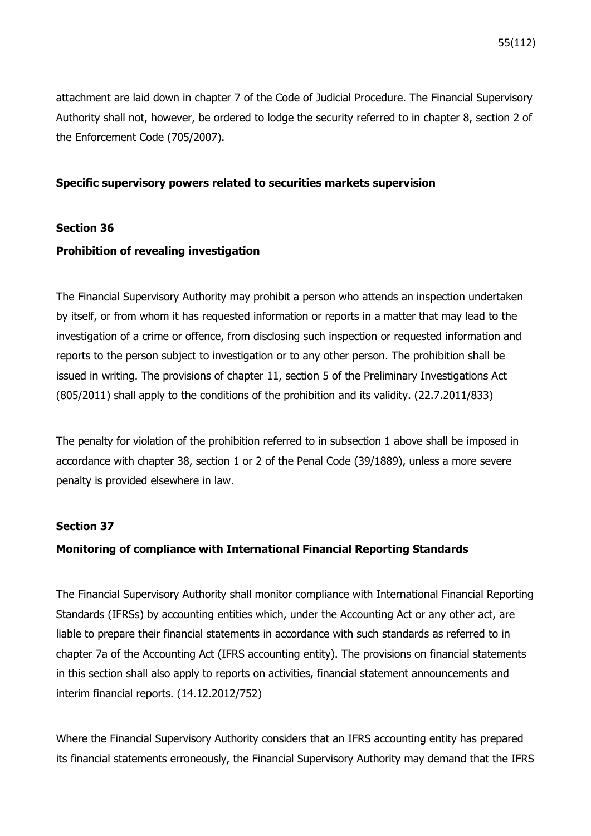attachment are laid down in chapter 7 of the Code of Judicial Procedure. The Financial Supervisory Authority shall not, however, be ordered to lodge the security referred to in chapter 8, section 2 of the Enforcement Code (705/2007).

### **Specific supervisory powers related to securities markets supervision**

### **Section 36**

### **Prohibition of revealing investigation**

The Financial Supervisory Authority may prohibit a person who attends an inspection undertaken by itself, or from whom it has requested information or reports in a matter that may lead to the investigation of a crime or offence, from disclosing such inspection or requested information and reports to the person subject to investigation or to any other person. The prohibition shall be issued in writing. The provisions of chapter 11, section 5 of the Preliminary Investigations Act (805/2011) shall apply to the conditions of the prohibition and its validity. (22.7.2011/833)

The penalty for violation of the prohibition referred to in subsection 1 above shall be imposed in accordance with chapter 38, section 1 or 2 of the Penal Code (39/1889), unless a more severe penalty is provided elsewhere in law.

#### **Section 37**

### **Monitoring of compliance with International Financial Reporting Standards**

The Financial Supervisory Authority shall monitor compliance with International Financial Reporting Standards (IFRSs) by accounting entities which, under the Accounting Act or any other act, are liable to prepare their financial statements in accordance with such standards as referred to in chapter 7a of the Accounting Act (IFRS accounting entity). The provisions on financial statements in this section shall also apply to reports on activities, financial statement announcements and interim financial reports. (14.12.2012/752)

Where the Financial Supervisory Authority considers that an IFRS accounting entity has prepared its financial statements erroneously, the Financial Supervisory Authority may demand that the IFRS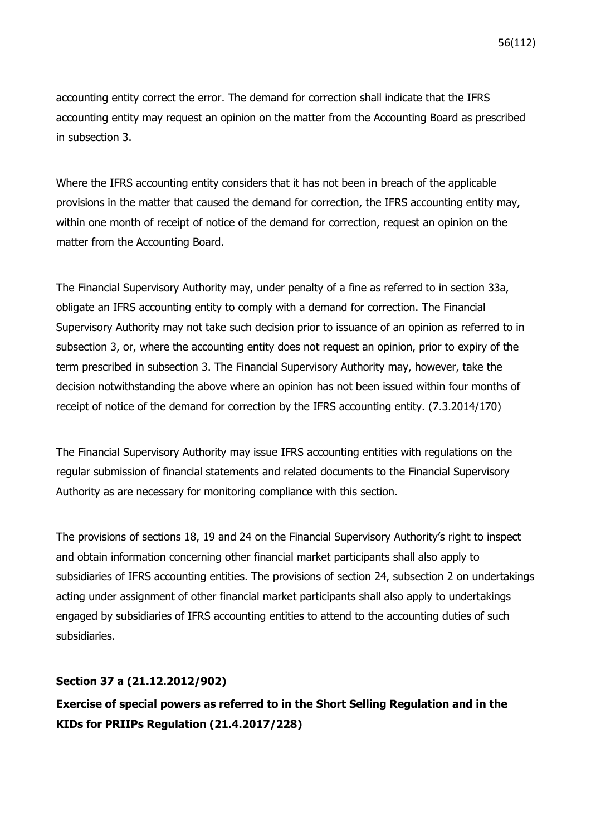accounting entity correct the error. The demand for correction shall indicate that the IFRS accounting entity may request an opinion on the matter from the Accounting Board as prescribed in subsection 3.

Where the IFRS accounting entity considers that it has not been in breach of the applicable provisions in the matter that caused the demand for correction, the IFRS accounting entity may, within one month of receipt of notice of the demand for correction, request an opinion on the matter from the Accounting Board.

The Financial Supervisory Authority may, under penalty of a fine as referred to in section 33a, obligate an IFRS accounting entity to comply with a demand for correction. The Financial Supervisory Authority may not take such decision prior to issuance of an opinion as referred to in subsection 3, or, where the accounting entity does not request an opinion, prior to expiry of the term prescribed in subsection 3. The Financial Supervisory Authority may, however, take the decision notwithstanding the above where an opinion has not been issued within four months of receipt of notice of the demand for correction by the IFRS accounting entity. (7.3.2014/170)

The Financial Supervisory Authority may issue IFRS accounting entities with regulations on the regular submission of financial statements and related documents to the Financial Supervisory Authority as are necessary for monitoring compliance with this section.

The provisions of sections 18, 19 and 24 on the Financial Supervisory Authority's right to inspect and obtain information concerning other financial market participants shall also apply to subsidiaries of IFRS accounting entities. The provisions of section 24, subsection 2 on undertakings acting under assignment of other financial market participants shall also apply to undertakings engaged by subsidiaries of IFRS accounting entities to attend to the accounting duties of such subsidiaries.

## **Section 37 a (21.12.2012/902)**

**Exercise of special powers as referred to in the Short Selling Regulation and in the KIDs for PRIIPs Regulation (21.4.2017/228)**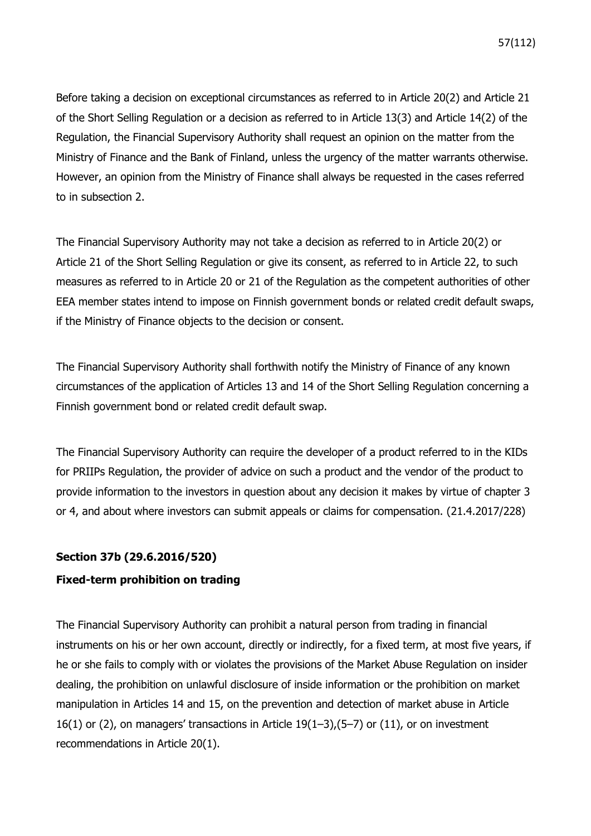Before taking a decision on exceptional circumstances as referred to in Article 20(2) and Article 21 of the Short Selling Regulation or a decision as referred to in Article 13(3) and Article 14(2) of the Regulation, the Financial Supervisory Authority shall request an opinion on the matter from the Ministry of Finance and the Bank of Finland, unless the urgency of the matter warrants otherwise. However, an opinion from the Ministry of Finance shall always be requested in the cases referred to in subsection 2.

The Financial Supervisory Authority may not take a decision as referred to in Article 20(2) or Article 21 of the Short Selling Regulation or give its consent, as referred to in Article 22, to such measures as referred to in Article 20 or 21 of the Regulation as the competent authorities of other EEA member states intend to impose on Finnish government bonds or related credit default swaps, if the Ministry of Finance objects to the decision or consent.

The Financial Supervisory Authority shall forthwith notify the Ministry of Finance of any known circumstances of the application of Articles 13 and 14 of the Short Selling Regulation concerning a Finnish government bond or related credit default swap.

The Financial Supervisory Authority can require the developer of a product referred to in the KIDs for PRIIPs Regulation, the provider of advice on such a product and the vendor of the product to provide information to the investors in question about any decision it makes by virtue of chapter 3 or 4, and about where investors can submit appeals or claims for compensation. (21.4.2017/228)

## **Section 37b (29.6.2016/520)**

## **Fixed-term prohibition on trading**

The Financial Supervisory Authority can prohibit a natural person from trading in financial instruments on his or her own account, directly or indirectly, for a fixed term, at most five years, if he or she fails to comply with or violates the provisions of the Market Abuse Regulation on insider dealing, the prohibition on unlawful disclosure of inside information or the prohibition on market manipulation in Articles 14 and 15, on the prevention and detection of market abuse in Article 16(1) or (2), on managers' transactions in Article  $19(1-3)$ ,  $(5-7)$  or (11), or on investment recommendations in Article 20(1).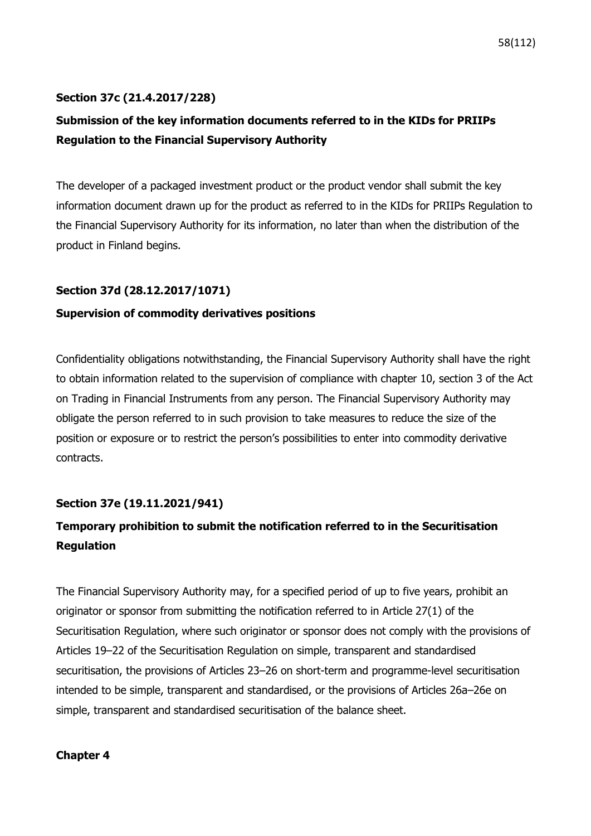## **Section 37c (21.4.2017/228)**

# **Submission of the key information documents referred to in the KIDs for PRIIPs Regulation to the Financial Supervisory Authority**

The developer of a packaged investment product or the product vendor shall submit the key information document drawn up for the product as referred to in the KIDs for PRIIPs Regulation to the Financial Supervisory Authority for its information, no later than when the distribution of the product in Finland begins.

## **Section 37d (28.12.2017/1071)**

## **Supervision of commodity derivatives positions**

Confidentiality obligations notwithstanding, the Financial Supervisory Authority shall have the right to obtain information related to the supervision of compliance with chapter 10, section 3 of the Act on Trading in Financial Instruments from any person. The Financial Supervisory Authority may obligate the person referred to in such provision to take measures to reduce the size of the position or exposure or to restrict the person's possibilities to enter into commodity derivative contracts.

## **Section 37e (19.11.2021/941)**

# **Temporary prohibition to submit the notification referred to in the Securitisation Regulation**

The Financial Supervisory Authority may, for a specified period of up to five years, prohibit an originator or sponsor from submitting the notification referred to in Article 27(1) of the Securitisation Regulation, where such originator or sponsor does not comply with the provisions of Articles 19–22 of the Securitisation Regulation on simple, transparent and standardised securitisation, the provisions of Articles 23–26 on short-term and programme-level securitisation intended to be simple, transparent and standardised, or the provisions of Articles 26a–26e on simple, transparent and standardised securitisation of the balance sheet.

## **Chapter 4**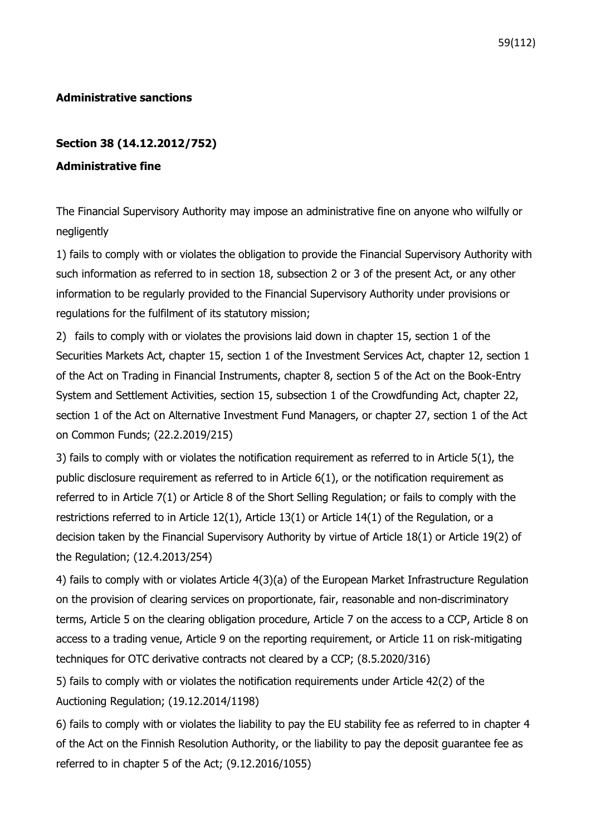## **Administrative sanctions**

## **Section 38 (14.12.2012/752)**

## **Administrative fine**

The Financial Supervisory Authority may impose an administrative fine on anyone who wilfully or negligently

1) fails to comply with or violates the obligation to provide the Financial Supervisory Authority with such information as referred to in section 18, subsection 2 or 3 of the present Act, or any other information to be regularly provided to the Financial Supervisory Authority under provisions or regulations for the fulfilment of its statutory mission;

2) fails to comply with or violates the provisions laid down in chapter 15, section 1 of the Securities Markets Act, chapter 15, section 1 of the Investment Services Act, chapter 12, section 1 of the Act on Trading in Financial Instruments, chapter 8, section 5 of the Act on the Book-Entry System and Settlement Activities, section 15, subsection 1 of the Crowdfunding Act, chapter 22, section 1 of the Act on Alternative Investment Fund Managers, or chapter 27, section 1 of the Act on Common Funds; (22.2.2019/215)

3) fails to comply with or violates the notification requirement as referred to in Article 5(1), the public disclosure requirement as referred to in Article 6(1), or the notification requirement as referred to in Article 7(1) or Article 8 of the Short Selling Regulation; or fails to comply with the restrictions referred to in Article 12(1), Article 13(1) or Article 14(1) of the Regulation, or a decision taken by the Financial Supervisory Authority by virtue of Article 18(1) or Article 19(2) of the Regulation; (12.4.2013/254)

4) fails to comply with or violates Article 4(3)(a) of the European Market Infrastructure Regulation on the provision of clearing services on proportionate, fair, reasonable and non-discriminatory terms, Article 5 on the clearing obligation procedure, Article 7 on the access to a CCP, Article 8 on access to a trading venue, Article 9 on the reporting requirement, or Article 11 on risk-mitigating techniques for OTC derivative contracts not cleared by a CCP; (8.5.2020/316)

5) fails to comply with or violates the notification requirements under Article 42(2) of the Auctioning Regulation; (19.12.2014/1198)

6) fails to comply with or violates the liability to pay the EU stability fee as referred to in chapter 4 of the Act on the Finnish Resolution Authority, or the liability to pay the deposit guarantee fee as referred to in chapter 5 of the Act; (9.12.2016/1055)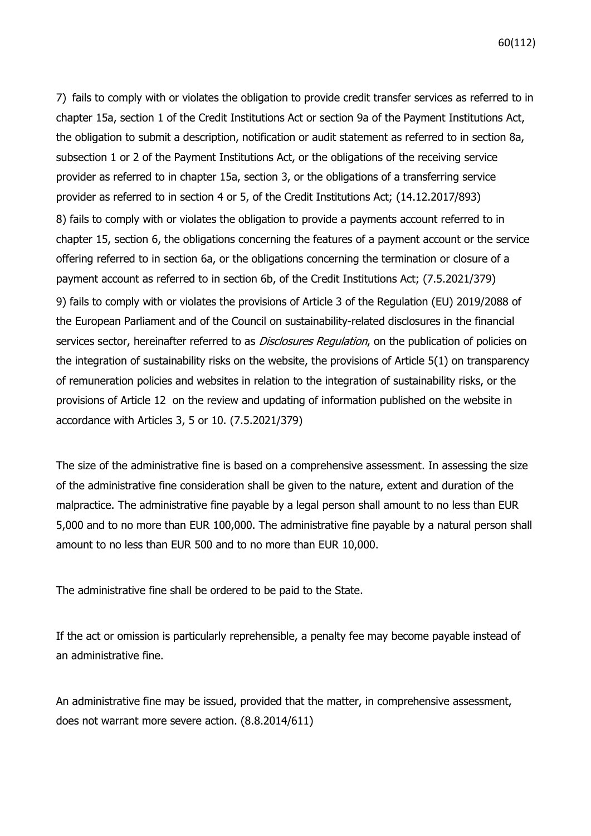7) fails to comply with or violates the obligation to provide credit transfer services as referred to in chapter 15a, section 1 of the Credit Institutions Act or section 9a of the Payment Institutions Act, the obligation to submit a description, notification or audit statement as referred to in section 8a, subsection 1 or 2 of the Payment Institutions Act, or the obligations of the receiving service provider as referred to in chapter 15a, section 3, or the obligations of a transferring service provider as referred to in section 4 or 5, of the Credit Institutions Act; (14.12.2017/893) 8) fails to comply with or violates the obligation to provide a payments account referred to in chapter 15, section 6, the obligations concerning the features of a payment account or the service offering referred to in section 6a, or the obligations concerning the termination or closure of a payment account as referred to in section 6b, of the Credit Institutions Act; (7.5.2021/379) 9) fails to comply with or violates the provisions of Article 3 of the Regulation (EU) 2019/2088 of the European Parliament and of the Council on sustainability-related disclosures in the financial services sector, hereinafter referred to as *Disclosures Regulation*, on the publication of policies on the integration of sustainability risks on the website, the provisions of Article 5(1) on transparency of remuneration policies and websites in relation to the integration of sustainability risks, or the provisions of Article 12 on the review and updating of information published on the website in accordance with Articles 3, 5 or 10. (7.5.2021/379)

The size of the administrative fine is based on a comprehensive assessment. In assessing the size of the administrative fine consideration shall be given to the nature, extent and duration of the malpractice. The administrative fine payable by a legal person shall amount to no less than EUR 5,000 and to no more than EUR 100,000. The administrative fine payable by a natural person shall amount to no less than EUR 500 and to no more than EUR 10,000.

The administrative fine shall be ordered to be paid to the State.

If the act or omission is particularly reprehensible, a penalty fee may become payable instead of an administrative fine.

An administrative fine may be issued, provided that the matter, in comprehensive assessment, does not warrant more severe action. (8.8.2014/611)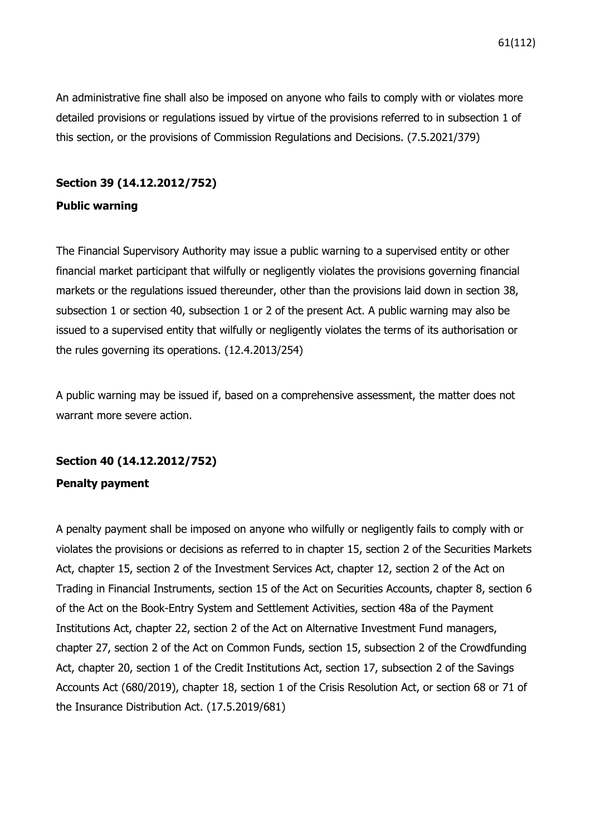An administrative fine shall also be imposed on anyone who fails to comply with or violates more detailed provisions or regulations issued by virtue of the provisions referred to in subsection 1 of this section, or the provisions of Commission Regulations and Decisions. (7.5.2021/379)

### **Section 39 (14.12.2012/752)**

### **Public warning**

The Financial Supervisory Authority may issue a public warning to a supervised entity or other financial market participant that wilfully or negligently violates the provisions governing financial markets or the regulations issued thereunder, other than the provisions laid down in section 38, subsection 1 or section 40, subsection 1 or 2 of the present Act. A public warning may also be issued to a supervised entity that wilfully or negligently violates the terms of its authorisation or the rules governing its operations. (12.4.2013/254)

A public warning may be issued if, based on a comprehensive assessment, the matter does not warrant more severe action.

## **Section 40 (14.12.2012/752)**

### **Penalty payment**

A penalty payment shall be imposed on anyone who wilfully or negligently fails to comply with or violates the provisions or decisions as referred to in chapter 15, section 2 of the Securities Markets Act, chapter 15, section 2 of the Investment Services Act, chapter 12, section 2 of the Act on Trading in Financial Instruments, section 15 of the Act on Securities Accounts, chapter 8, section 6 of the Act on the Book-Entry System and Settlement Activities, section 48a of the Payment Institutions Act, chapter 22, section 2 of the Act on Alternative Investment Fund managers, chapter 27, section 2 of the Act on Common Funds, section 15, subsection 2 of the Crowdfunding Act, chapter 20, section 1 of the Credit Institutions Act, section 17, subsection 2 of the Savings Accounts Act (680/2019), chapter 18, section 1 of the Crisis Resolution Act, or section 68 or 71 of the Insurance Distribution Act. (17.5.2019/681)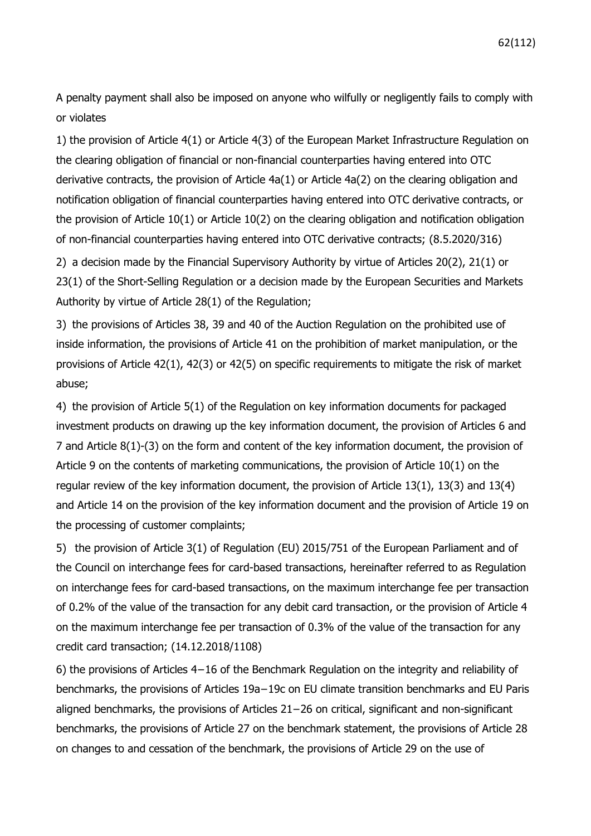A penalty payment shall also be imposed on anyone who wilfully or negligently fails to comply with or violates

1) the provision of Article 4(1) or Article 4(3) of the European Market Infrastructure Regulation on the clearing obligation of financial or non-financial counterparties having entered into OTC derivative contracts, the provision of Article 4a(1) or Article 4a(2) on the clearing obligation and notification obligation of financial counterparties having entered into OTC derivative contracts, or the provision of Article 10(1) or Article 10(2) on the clearing obligation and notification obligation of non-financial counterparties having entered into OTC derivative contracts; (8.5.2020/316)

2) a decision made by the Financial Supervisory Authority by virtue of Articles 20(2), 21(1) or 23(1) of the Short-Selling Regulation or a decision made by the European Securities and Markets Authority by virtue of Article 28(1) of the Regulation;

3) the provisions of Articles 38, 39 and 40 of the Auction Regulation on the prohibited use of inside information, the provisions of Article 41 on the prohibition of market manipulation, or the provisions of Article 42(1), 42(3) or 42(5) on specific requirements to mitigate the risk of market abuse;

4) the provision of Article 5(1) of the Regulation on key information documents for packaged investment products on drawing up the key information document, the provision of Articles 6 and 7 and Article 8(1)-(3) on the form and content of the key information document, the provision of Article 9 on the contents of marketing communications, the provision of Article 10(1) on the regular review of the key information document, the provision of Article 13(1), 13(3) and 13(4) and Article 14 on the provision of the key information document and the provision of Article 19 on the processing of customer complaints;

5) the provision of Article 3(1) of Regulation (EU) 2015/751 of the European Parliament and of the Council on interchange fees for card-based transactions, hereinafter referred to as Regulation on interchange fees for card-based transactions, on the maximum interchange fee per transaction of 0.2% of the value of the transaction for any debit card transaction, or the provision of Article 4 on the maximum interchange fee per transaction of 0.3% of the value of the transaction for any credit card transaction; (14.12.2018/1108)

6) the provisions of Articles 4−16 of the Benchmark Regulation on the integrity and reliability of benchmarks, the provisions of Articles 19a−19c on EU climate transition benchmarks and EU Paris aligned benchmarks, the provisions of Articles 21−26 on critical, significant and non-significant benchmarks, the provisions of Article 27 on the benchmark statement, the provisions of Article 28 on changes to and cessation of the benchmark, the provisions of Article 29 on the use of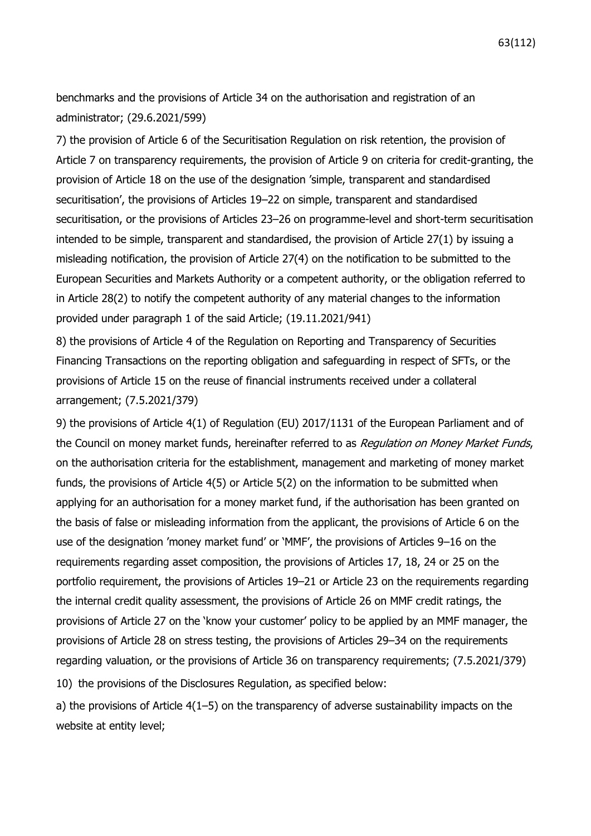benchmarks and the provisions of Article 34 on the authorisation and registration of an administrator; (29.6.2021/599)

7) the provision of Article 6 of the Securitisation Regulation on risk retention, the provision of Article 7 on transparency requirements, the provision of Article 9 on criteria for credit-granting, the provision of Article 18 on the use of the designation 'simple, transparent and standardised securitisation', the provisions of Articles 19–22 on simple, transparent and standardised securitisation, or the provisions of Articles 23–26 on programme-level and short-term securitisation intended to be simple, transparent and standardised, the provision of Article 27(1) by issuing a misleading notification, the provision of Article 27(4) on the notification to be submitted to the European Securities and Markets Authority or a competent authority, or the obligation referred to in Article 28(2) to notify the competent authority of any material changes to the information provided under paragraph 1 of the said Article; (19.11.2021/941)

8) the provisions of Article 4 of the Regulation on Reporting and Transparency of Securities Financing Transactions on the reporting obligation and safeguarding in respect of SFTs, or the provisions of Article 15 on the reuse of financial instruments received under a collateral arrangement; (7.5.2021/379)

9) the provisions of Article 4(1) of Regulation (EU) 2017/1131 of the European Parliament and of the Council on money market funds, hereinafter referred to as Regulation on Money Market Funds, on the authorisation criteria for the establishment, management and marketing of money market funds, the provisions of Article 4(5) or Article 5(2) on the information to be submitted when applying for an authorisation for a money market fund, if the authorisation has been granted on the basis of false or misleading information from the applicant, the provisions of Article 6 on the use of the designation 'money market fund' or 'MMF', the provisions of Articles 9–16 on the requirements regarding asset composition, the provisions of Articles 17, 18, 24 or 25 on the portfolio requirement, the provisions of Articles 19–21 or Article 23 on the requirements regarding the internal credit quality assessment, the provisions of Article 26 on MMF credit ratings, the provisions of Article 27 on the 'know your customer' policy to be applied by an MMF manager, the provisions of Article 28 on stress testing, the provisions of Articles 29–34 on the requirements regarding valuation, or the provisions of Article 36 on transparency requirements; (7.5.2021/379) 10) the provisions of the Disclosures Regulation, as specified below:

a) the provisions of Article 4(1–5) on the transparency of adverse sustainability impacts on the website at entity level;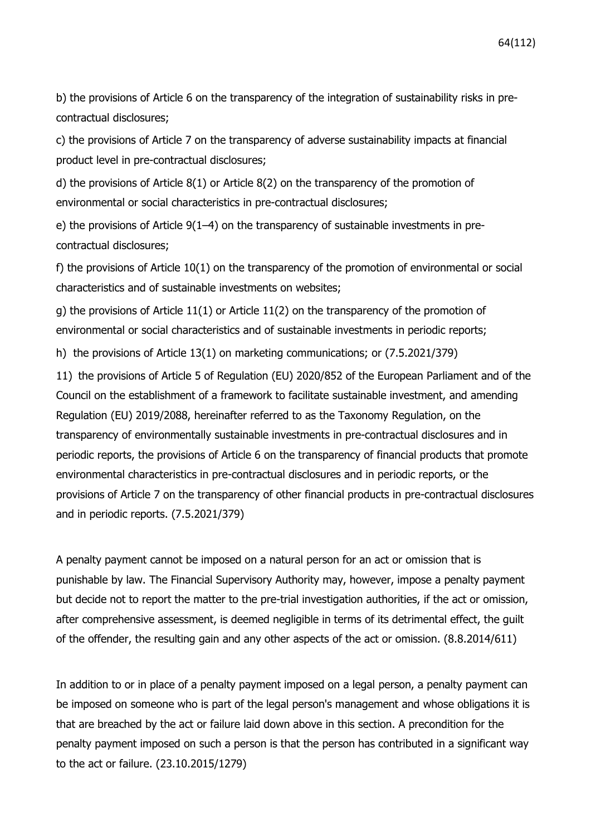b) the provisions of Article 6 on the transparency of the integration of sustainability risks in precontractual disclosures;

c) the provisions of Article 7 on the transparency of adverse sustainability impacts at financial product level in pre-contractual disclosures;

d) the provisions of Article 8(1) or Article 8(2) on the transparency of the promotion of environmental or social characteristics in pre-contractual disclosures;

e) the provisions of Article 9(1–4) on the transparency of sustainable investments in precontractual disclosures;

f) the provisions of Article 10(1) on the transparency of the promotion of environmental or social characteristics and of sustainable investments on websites;

g) the provisions of Article 11(1) or Article 11(2) on the transparency of the promotion of environmental or social characteristics and of sustainable investments in periodic reports;

h) the provisions of Article 13(1) on marketing communications; or (7.5.2021/379)

11) the provisions of Article 5 of Regulation (EU) 2020/852 of the European Parliament and of the Council on the establishment of a framework to facilitate sustainable investment, and amending Regulation (EU) 2019/2088, hereinafter referred to as the Taxonomy Regulation, on the transparency of environmentally sustainable investments in pre-contractual disclosures and in periodic reports, the provisions of Article 6 on the transparency of financial products that promote environmental characteristics in pre-contractual disclosures and in periodic reports, or the provisions of Article 7 on the transparency of other financial products in pre-contractual disclosures and in periodic reports. (7.5.2021/379)

A penalty payment cannot be imposed on a natural person for an act or omission that is punishable by law. The Financial Supervisory Authority may, however, impose a penalty payment but decide not to report the matter to the pre-trial investigation authorities, if the act or omission, after comprehensive assessment, is deemed negligible in terms of its detrimental effect, the guilt of the offender, the resulting gain and any other aspects of the act or omission. (8.8.2014/611)

In addition to or in place of a penalty payment imposed on a legal person, a penalty payment can be imposed on someone who is part of the legal person's management and whose obligations it is that are breached by the act or failure laid down above in this section. A precondition for the penalty payment imposed on such a person is that the person has contributed in a significant way to the act or failure. (23.10.2015/1279)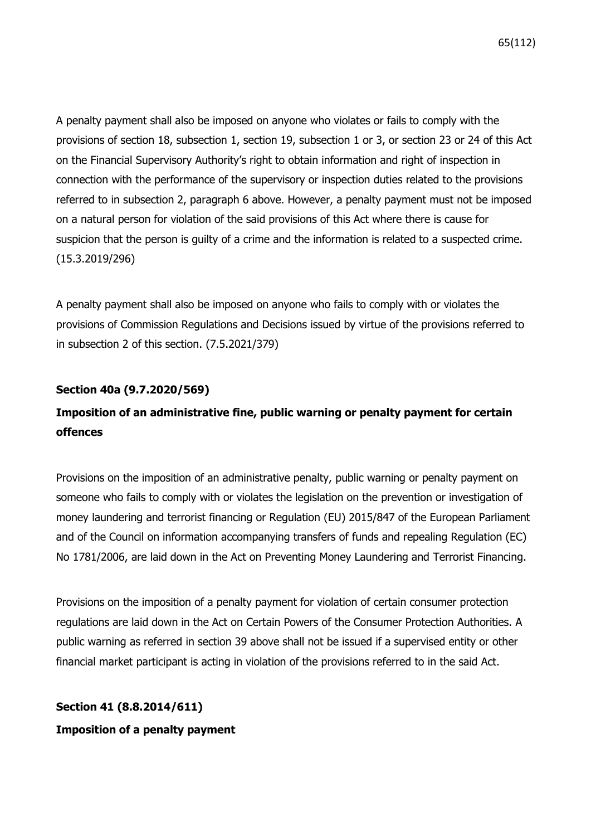A penalty payment shall also be imposed on anyone who violates or fails to comply with the provisions of section 18, subsection 1, section 19, subsection 1 or 3, or section 23 or 24 of this Act on the Financial Supervisory Authority's right to obtain information and right of inspection in connection with the performance of the supervisory or inspection duties related to the provisions referred to in subsection 2, paragraph 6 above. However, a penalty payment must not be imposed on a natural person for violation of the said provisions of this Act where there is cause for suspicion that the person is guilty of a crime and the information is related to a suspected crime. (15.3.2019/296)

A penalty payment shall also be imposed on anyone who fails to comply with or violates the provisions of Commission Regulations and Decisions issued by virtue of the provisions referred to in subsection 2 of this section. (7.5.2021/379)

## **Section 40a (9.7.2020/569)**

# **Imposition of an administrative fine, public warning or penalty payment for certain offences**

Provisions on the imposition of an administrative penalty, public warning or penalty payment on someone who fails to comply with or violates the legislation on the prevention or investigation of money laundering and terrorist financing or Regulation (EU) 2015/847 of the European Parliament and of the Council on information accompanying transfers of funds and repealing Regulation (EC) No 1781/2006, are laid down in the Act on Preventing Money Laundering and Terrorist Financing.

Provisions on the imposition of a penalty payment for violation of certain consumer protection regulations are laid down in the Act on Certain Powers of the Consumer Protection Authorities. A public warning as referred in section 39 above shall not be issued if a supervised entity or other financial market participant is acting in violation of the provisions referred to in the said Act.

**Section 41 (8.8.2014/611) Imposition of a penalty payment**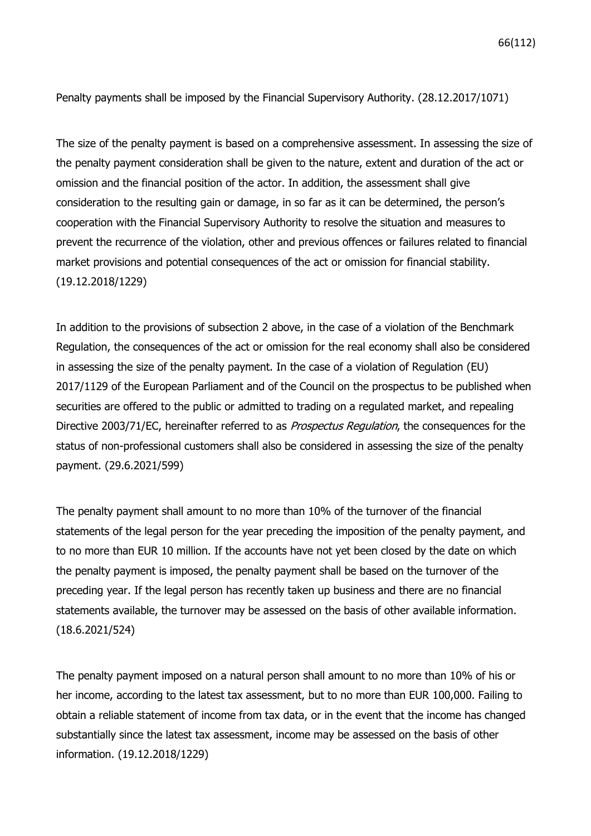Penalty payments shall be imposed by the Financial Supervisory Authority. (28.12.2017/1071)

The size of the penalty payment is based on a comprehensive assessment. In assessing the size of the penalty payment consideration shall be given to the nature, extent and duration of the act or omission and the financial position of the actor. In addition, the assessment shall give consideration to the resulting gain or damage, in so far as it can be determined, the person's cooperation with the Financial Supervisory Authority to resolve the situation and measures to prevent the recurrence of the violation, other and previous offences or failures related to financial market provisions and potential consequences of the act or omission for financial stability. (19.12.2018/1229)

In addition to the provisions of subsection 2 above, in the case of a violation of the Benchmark Regulation, the consequences of the act or omission for the real economy shall also be considered in assessing the size of the penalty payment. In the case of a violation of Regulation (EU) 2017/1129 of the European Parliament and of the Council on the prospectus to be published when securities are offered to the public or admitted to trading on a regulated market, and repealing Directive 2003/71/EC, hereinafter referred to as *Prospectus Regulation*, the consequences for the status of non-professional customers shall also be considered in assessing the size of the penalty payment. (29.6.2021/599)

The penalty payment shall amount to no more than 10% of the turnover of the financial statements of the legal person for the year preceding the imposition of the penalty payment, and to no more than EUR 10 million. If the accounts have not yet been closed by the date on which the penalty payment is imposed, the penalty payment shall be based on the turnover of the preceding year. If the legal person has recently taken up business and there are no financial statements available, the turnover may be assessed on the basis of other available information. (18.6.2021/524)

The penalty payment imposed on a natural person shall amount to no more than 10% of his or her income, according to the latest tax assessment, but to no more than EUR 100,000. Failing to obtain a reliable statement of income from tax data, or in the event that the income has changed substantially since the latest tax assessment, income may be assessed on the basis of other information. (19.12.2018/1229)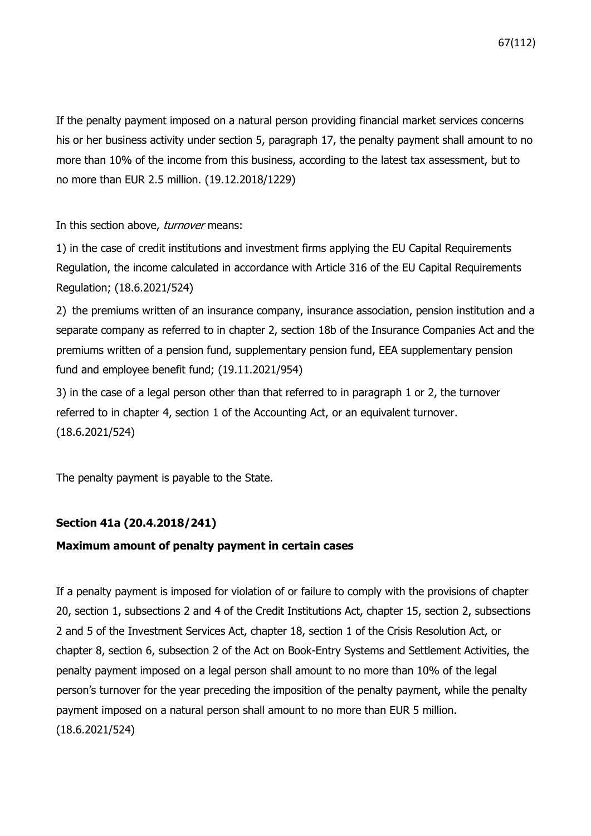If the penalty payment imposed on a natural person providing financial market services concerns his or her business activity under section 5, paragraph 17, the penalty payment shall amount to no more than 10% of the income from this business, according to the latest tax assessment, but to no more than EUR 2.5 million. (19.12.2018/1229)

In this section above, turnover means:

1) in the case of credit institutions and investment firms applying the EU Capital Requirements Regulation, the income calculated in accordance with Article 316 of the EU Capital Requirements Regulation; (18.6.2021/524)

2) the premiums written of an insurance company, insurance association, pension institution and a separate company as referred to in chapter 2, section 18b of the Insurance Companies Act and the premiums written of a pension fund, supplementary pension fund, EEA supplementary pension fund and employee benefit fund; (19.11.2021/954)

3) in the case of a legal person other than that referred to in paragraph 1 or 2, the turnover referred to in chapter 4, section 1 of the Accounting Act, or an equivalent turnover. (18.6.2021/524)

The penalty payment is payable to the State.

### **Section 41a (20.4.2018/241)**

### **Maximum amount of penalty payment in certain cases**

If a penalty payment is imposed for violation of or failure to comply with the provisions of chapter 20, section 1, subsections 2 and 4 of the Credit Institutions Act, chapter 15, section 2, subsections 2 and 5 of the Investment Services Act, chapter 18, section 1 of the Crisis Resolution Act, or chapter 8, section 6, subsection 2 of the Act on Book-Entry Systems and Settlement Activities, the penalty payment imposed on a legal person shall amount to no more than 10% of the legal person's turnover for the year preceding the imposition of the penalty payment, while the penalty payment imposed on a natural person shall amount to no more than EUR 5 million. (18.6.2021/524)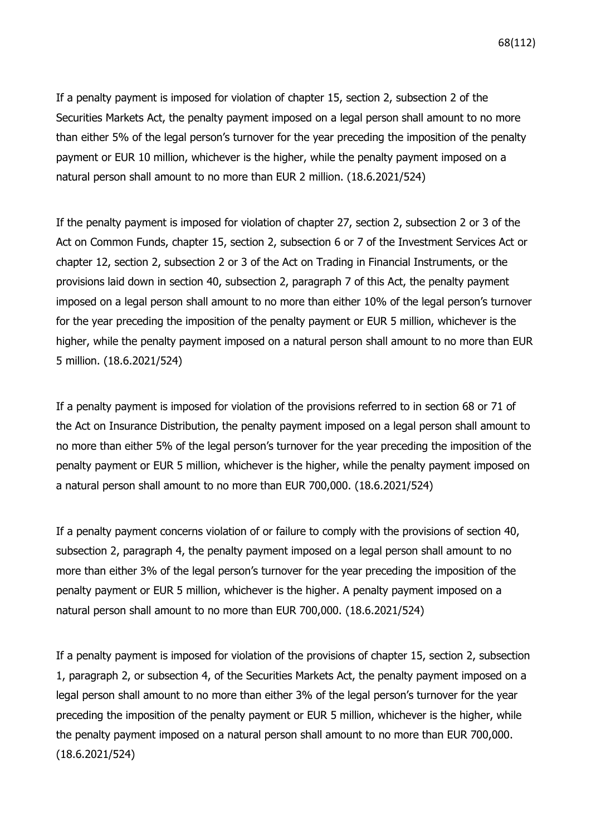If a penalty payment is imposed for violation of chapter 15, section 2, subsection 2 of the Securities Markets Act, the penalty payment imposed on a legal person shall amount to no more than either 5% of the legal person's turnover for the year preceding the imposition of the penalty payment or EUR 10 million, whichever is the higher, while the penalty payment imposed on a natural person shall amount to no more than EUR 2 million. (18.6.2021/524)

If the penalty payment is imposed for violation of chapter 27, section 2, subsection 2 or 3 of the Act on Common Funds, chapter 15, section 2, subsection 6 or 7 of the Investment Services Act or chapter 12, section 2, subsection 2 or 3 of the Act on Trading in Financial Instruments, or the provisions laid down in section 40, subsection 2, paragraph 7 of this Act, the penalty payment imposed on a legal person shall amount to no more than either 10% of the legal person's turnover for the year preceding the imposition of the penalty payment or EUR 5 million, whichever is the higher, while the penalty payment imposed on a natural person shall amount to no more than EUR 5 million. (18.6.2021/524)

If a penalty payment is imposed for violation of the provisions referred to in section 68 or 71 of the Act on Insurance Distribution, the penalty payment imposed on a legal person shall amount to no more than either 5% of the legal person's turnover for the year preceding the imposition of the penalty payment or EUR 5 million, whichever is the higher, while the penalty payment imposed on a natural person shall amount to no more than EUR 700,000. (18.6.2021/524)

If a penalty payment concerns violation of or failure to comply with the provisions of section 40, subsection 2, paragraph 4, the penalty payment imposed on a legal person shall amount to no more than either 3% of the legal person's turnover for the year preceding the imposition of the penalty payment or EUR 5 million, whichever is the higher. A penalty payment imposed on a natural person shall amount to no more than EUR 700,000. (18.6.2021/524)

If a penalty payment is imposed for violation of the provisions of chapter 15, section 2, subsection 1, paragraph 2, or subsection 4, of the Securities Markets Act, the penalty payment imposed on a legal person shall amount to no more than either 3% of the legal person's turnover for the year preceding the imposition of the penalty payment or EUR 5 million, whichever is the higher, while the penalty payment imposed on a natural person shall amount to no more than EUR 700,000. (18.6.2021/524)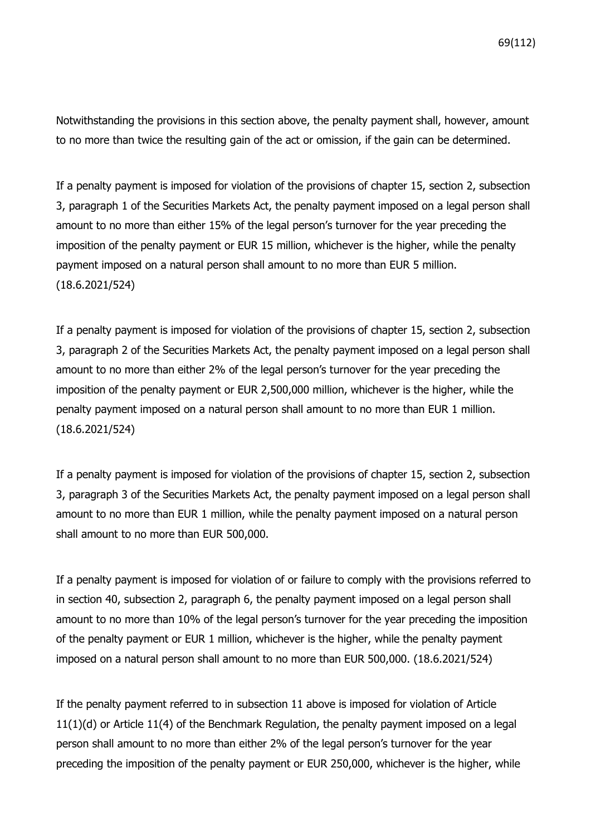Notwithstanding the provisions in this section above, the penalty payment shall, however, amount to no more than twice the resulting gain of the act or omission, if the gain can be determined.

If a penalty payment is imposed for violation of the provisions of chapter 15, section 2, subsection 3, paragraph 1 of the Securities Markets Act, the penalty payment imposed on a legal person shall amount to no more than either 15% of the legal person's turnover for the year preceding the imposition of the penalty payment or EUR 15 million, whichever is the higher, while the penalty payment imposed on a natural person shall amount to no more than EUR 5 million. (18.6.2021/524)

If a penalty payment is imposed for violation of the provisions of chapter 15, section 2, subsection 3, paragraph 2 of the Securities Markets Act, the penalty payment imposed on a legal person shall amount to no more than either 2% of the legal person's turnover for the year preceding the imposition of the penalty payment or EUR 2,500,000 million, whichever is the higher, while the penalty payment imposed on a natural person shall amount to no more than EUR 1 million. (18.6.2021/524)

If a penalty payment is imposed for violation of the provisions of chapter 15, section 2, subsection 3, paragraph 3 of the Securities Markets Act, the penalty payment imposed on a legal person shall amount to no more than EUR 1 million, while the penalty payment imposed on a natural person shall amount to no more than EUR 500,000.

If a penalty payment is imposed for violation of or failure to comply with the provisions referred to in section 40, subsection 2, paragraph 6, the penalty payment imposed on a legal person shall amount to no more than 10% of the legal person's turnover for the year preceding the imposition of the penalty payment or EUR 1 million, whichever is the higher, while the penalty payment imposed on a natural person shall amount to no more than EUR 500,000. (18.6.2021/524)

If the penalty payment referred to in subsection 11 above is imposed for violation of Article 11(1)(d) or Article 11(4) of the Benchmark Regulation, the penalty payment imposed on a legal person shall amount to no more than either 2% of the legal person's turnover for the year preceding the imposition of the penalty payment or EUR 250,000, whichever is the higher, while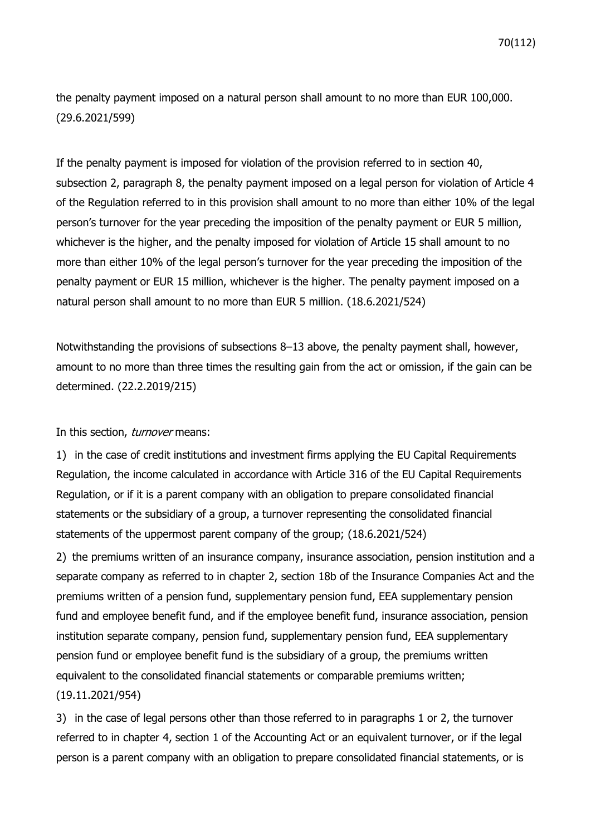the penalty payment imposed on a natural person shall amount to no more than EUR 100,000. (29.6.2021/599)

If the penalty payment is imposed for violation of the provision referred to in section 40, subsection 2, paragraph 8, the penalty payment imposed on a legal person for violation of Article 4 of the Regulation referred to in this provision shall amount to no more than either 10% of the legal person's turnover for the year preceding the imposition of the penalty payment or EUR 5 million, whichever is the higher, and the penalty imposed for violation of Article 15 shall amount to no more than either 10% of the legal person's turnover for the year preceding the imposition of the penalty payment or EUR 15 million, whichever is the higher. The penalty payment imposed on a natural person shall amount to no more than EUR 5 million. (18.6.2021/524)

Notwithstanding the provisions of subsections 8–13 above, the penalty payment shall, however, amount to no more than three times the resulting gain from the act or omission, if the gain can be determined. (22.2.2019/215)

#### In this section, turnover means:

1) in the case of credit institutions and investment firms applying the EU Capital Requirements Regulation, the income calculated in accordance with Article 316 of the EU Capital Requirements Regulation, or if it is a parent company with an obligation to prepare consolidated financial statements or the subsidiary of a group, a turnover representing the consolidated financial statements of the uppermost parent company of the group; (18.6.2021/524)

2) the premiums written of an insurance company, insurance association, pension institution and a separate company as referred to in chapter 2, section 18b of the Insurance Companies Act and the premiums written of a pension fund, supplementary pension fund, EEA supplementary pension fund and employee benefit fund, and if the employee benefit fund, insurance association, pension institution separate company, pension fund, supplementary pension fund, EEA supplementary pension fund or employee benefit fund is the subsidiary of a group, the premiums written equivalent to the consolidated financial statements or comparable premiums written; (19.11.2021/954)

3) in the case of legal persons other than those referred to in paragraphs 1 or 2, the turnover referred to in chapter 4, section 1 of the Accounting Act or an equivalent turnover, or if the legal person is a parent company with an obligation to prepare consolidated financial statements, or is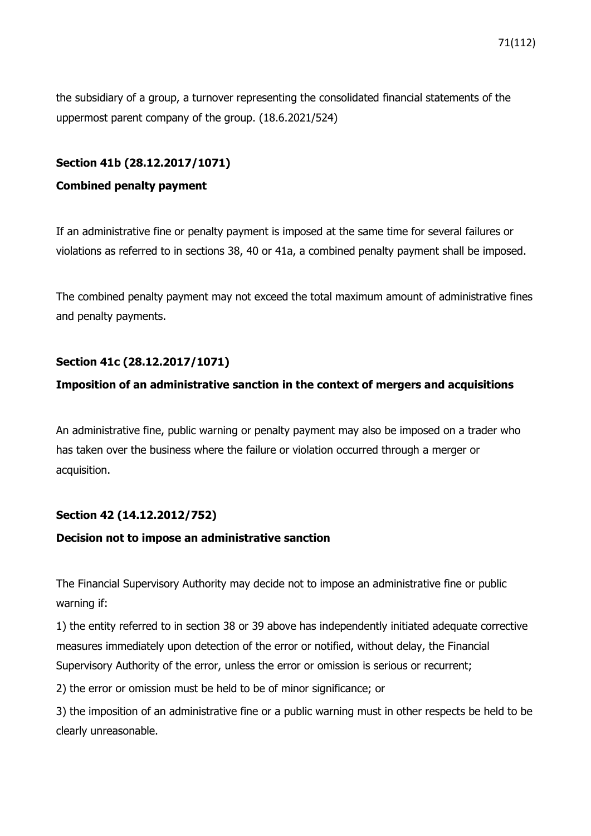the subsidiary of a group, a turnover representing the consolidated financial statements of the uppermost parent company of the group. (18.6.2021/524)

## **Section 41b (28.12.2017/1071)**

### **Combined penalty payment**

If an administrative fine or penalty payment is imposed at the same time for several failures or violations as referred to in sections 38, 40 or 41a, a combined penalty payment shall be imposed.

The combined penalty payment may not exceed the total maximum amount of administrative fines and penalty payments.

## **Section 41c (28.12.2017/1071)**

## **Imposition of an administrative sanction in the context of mergers and acquisitions**

An administrative fine, public warning or penalty payment may also be imposed on a trader who has taken over the business where the failure or violation occurred through a merger or acquisition.

## **Section 42 (14.12.2012/752)**

## **Decision not to impose an administrative sanction**

The Financial Supervisory Authority may decide not to impose an administrative fine or public warning if:

1) the entity referred to in section 38 or 39 above has independently initiated adequate corrective measures immediately upon detection of the error or notified, without delay, the Financial Supervisory Authority of the error, unless the error or omission is serious or recurrent;

2) the error or omission must be held to be of minor significance; or

3) the imposition of an administrative fine or a public warning must in other respects be held to be clearly unreasonable.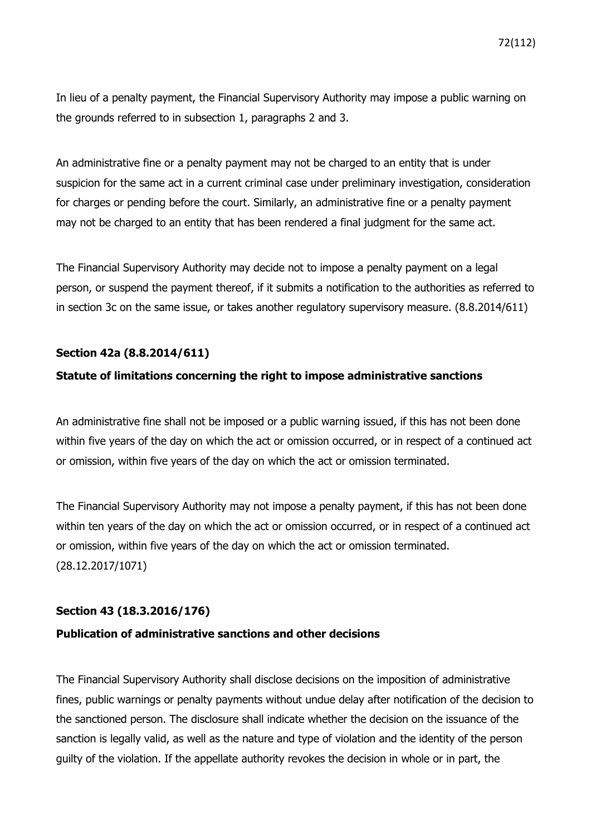In lieu of a penalty payment, the Financial Supervisory Authority may impose a public warning on the grounds referred to in subsection 1, paragraphs 2 and 3.

An administrative fine or a penalty payment may not be charged to an entity that is under suspicion for the same act in a current criminal case under preliminary investigation, consideration for charges or pending before the court. Similarly, an administrative fine or a penalty payment may not be charged to an entity that has been rendered a final judgment for the same act.

The Financial Supervisory Authority may decide not to impose a penalty payment on a legal person, or suspend the payment thereof, if it submits a notification to the authorities as referred to in section 3c on the same issue, or takes another regulatory supervisory measure. (8.8.2014/611)

### **Section 42a (8.8.2014/611)**

### **Statute of limitations concerning the right to impose administrative sanctions**

An administrative fine shall not be imposed or a public warning issued, if this has not been done within five years of the day on which the act or omission occurred, or in respect of a continued act or omission, within five years of the day on which the act or omission terminated.

The Financial Supervisory Authority may not impose a penalty payment, if this has not been done within ten years of the day on which the act or omission occurred, or in respect of a continued act or omission, within five years of the day on which the act or omission terminated. (28.12.2017/1071)

### **Section 43 (18.3.2016/176)**

### **Publication of administrative sanctions and other decisions**

The Financial Supervisory Authority shall disclose decisions on the imposition of administrative fines, public warnings or penalty payments without undue delay after notification of the decision to the sanctioned person. The disclosure shall indicate whether the decision on the issuance of the sanction is legally valid, as well as the nature and type of violation and the identity of the person guilty of the violation. If the appellate authority revokes the decision in whole or in part, the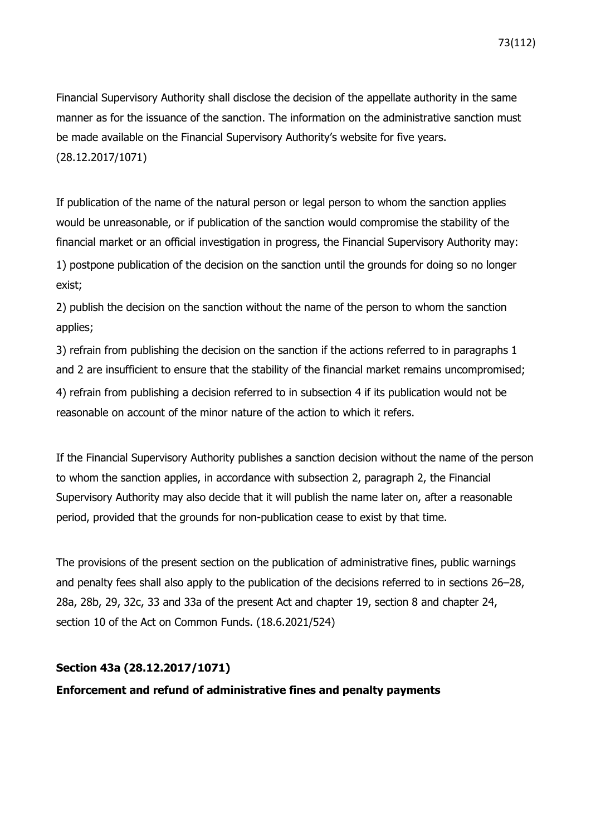Financial Supervisory Authority shall disclose the decision of the appellate authority in the same manner as for the issuance of the sanction. The information on the administrative sanction must be made available on the Financial Supervisory Authority's website for five years. (28.12.2017/1071)

If publication of the name of the natural person or legal person to whom the sanction applies would be unreasonable, or if publication of the sanction would compromise the stability of the financial market or an official investigation in progress, the Financial Supervisory Authority may: 1) postpone publication of the decision on the sanction until the grounds for doing so no longer exist;

2) publish the decision on the sanction without the name of the person to whom the sanction applies;

3) refrain from publishing the decision on the sanction if the actions referred to in paragraphs 1 and 2 are insufficient to ensure that the stability of the financial market remains uncompromised; 4) refrain from publishing a decision referred to in subsection 4 if its publication would not be reasonable on account of the minor nature of the action to which it refers.

If the Financial Supervisory Authority publishes a sanction decision without the name of the person to whom the sanction applies, in accordance with subsection 2, paragraph 2, the Financial Supervisory Authority may also decide that it will publish the name later on, after a reasonable period, provided that the grounds for non-publication cease to exist by that time.

The provisions of the present section on the publication of administrative fines, public warnings and penalty fees shall also apply to the publication of the decisions referred to in sections 26–28, 28a, 28b, 29, 32c, 33 and 33a of the present Act and chapter 19, section 8 and chapter 24, section 10 of the Act on Common Funds. (18.6.2021/524)

## **Section 43a (28.12.2017/1071)**

**Enforcement and refund of administrative fines and penalty payments**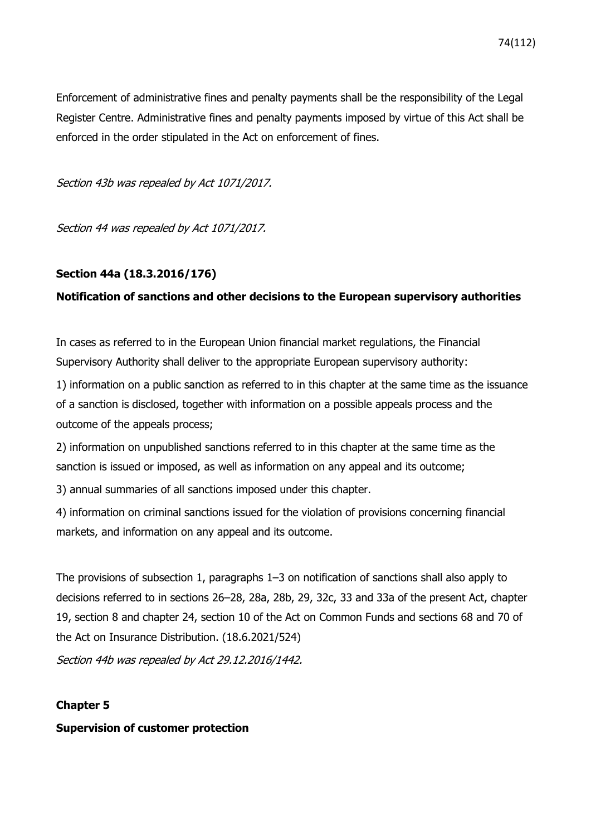Enforcement of administrative fines and penalty payments shall be the responsibility of the Legal Register Centre. Administrative fines and penalty payments imposed by virtue of this Act shall be enforced in the order stipulated in the Act on enforcement of fines.

Section 43b was repealed by Act 1071/2017.

Section 44 was repealed by Act 1071/2017.

## **Section 44a (18.3.2016/176)**

## **Notification of sanctions and other decisions to the European supervisory authorities**

In cases as referred to in the European Union financial market regulations, the Financial Supervisory Authority shall deliver to the appropriate European supervisory authority:

1) information on a public sanction as referred to in this chapter at the same time as the issuance of a sanction is disclosed, together with information on a possible appeals process and the outcome of the appeals process;

2) information on unpublished sanctions referred to in this chapter at the same time as the sanction is issued or imposed, as well as information on any appeal and its outcome;

3) annual summaries of all sanctions imposed under this chapter.

4) information on criminal sanctions issued for the violation of provisions concerning financial markets, and information on any appeal and its outcome.

The provisions of subsection 1, paragraphs 1–3 on notification of sanctions shall also apply to decisions referred to in sections 26–28, 28a, 28b, 29, 32c, 33 and 33a of the present Act, chapter 19, section 8 and chapter 24, section 10 of the Act on Common Funds and sections 68 and 70 of the Act on Insurance Distribution. (18.6.2021/524)

Section 44b was repealed by Act 29.12.2016/1442.

## **Chapter 5**

### **Supervision of customer protection**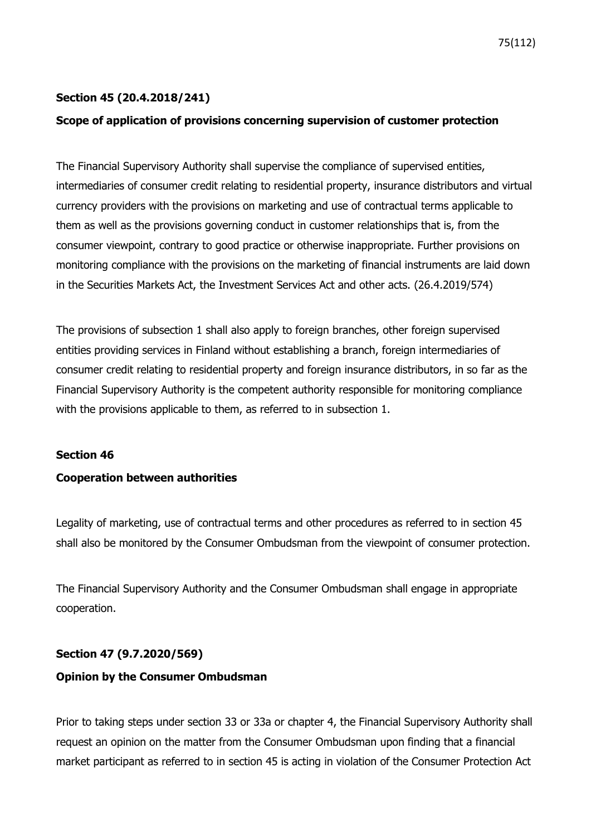## **Section 45 (20.4.2018/241)**

### **Scope of application of provisions concerning supervision of customer protection**

The Financial Supervisory Authority shall supervise the compliance of supervised entities, intermediaries of consumer credit relating to residential property, insurance distributors and virtual currency providers with the provisions on marketing and use of contractual terms applicable to them as well as the provisions governing conduct in customer relationships that is, from the consumer viewpoint, contrary to good practice or otherwise inappropriate. Further provisions on monitoring compliance with the provisions on the marketing of financial instruments are laid down in the Securities Markets Act, the Investment Services Act and other acts. (26.4.2019/574)

The provisions of subsection 1 shall also apply to foreign branches, other foreign supervised entities providing services in Finland without establishing a branch, foreign intermediaries of consumer credit relating to residential property and foreign insurance distributors, in so far as the Financial Supervisory Authority is the competent authority responsible for monitoring compliance with the provisions applicable to them, as referred to in subsection 1.

### **Section 46**

### **Cooperation between authorities**

Legality of marketing, use of contractual terms and other procedures as referred to in section 45 shall also be monitored by the Consumer Ombudsman from the viewpoint of consumer protection.

The Financial Supervisory Authority and the Consumer Ombudsman shall engage in appropriate cooperation.

## **Section 47 (9.7.2020/569)**

### **Opinion by the Consumer Ombudsman**

Prior to taking steps under section 33 or 33a or chapter 4, the Financial Supervisory Authority shall request an opinion on the matter from the Consumer Ombudsman upon finding that a financial market participant as referred to in section 45 is acting in violation of the Consumer Protection Act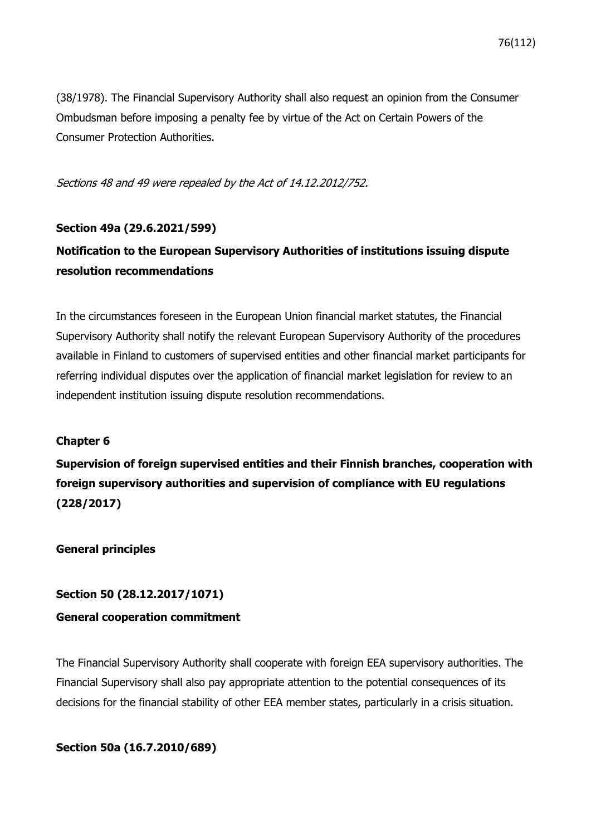(38/1978). The Financial Supervisory Authority shall also request an opinion from the Consumer Ombudsman before imposing a penalty fee by virtue of the Act on Certain Powers of the Consumer Protection Authorities.

Sections 48 and 49 were repealed by the Act of 14.12.2012/752.

## **Section 49a (29.6.2021/599)**

# **Notification to the European Supervisory Authorities of institutions issuing dispute resolution recommendations**

In the circumstances foreseen in the European Union financial market statutes, the Financial Supervisory Authority shall notify the relevant European Supervisory Authority of the procedures available in Finland to customers of supervised entities and other financial market participants for referring individual disputes over the application of financial market legislation for review to an independent institution issuing dispute resolution recommendations.

## **Chapter 6**

**Supervision of foreign supervised entities and their Finnish branches, cooperation with foreign supervisory authorities and supervision of compliance with EU regulations (228/2017)**

**General principles**

## **Section 50 (28.12.2017/1071)**

### **General cooperation commitment**

The Financial Supervisory Authority shall cooperate with foreign EEA supervisory authorities. The Financial Supervisory shall also pay appropriate attention to the potential consequences of its decisions for the financial stability of other EEA member states, particularly in a crisis situation.

## **Section 50a (16.7.2010/689)**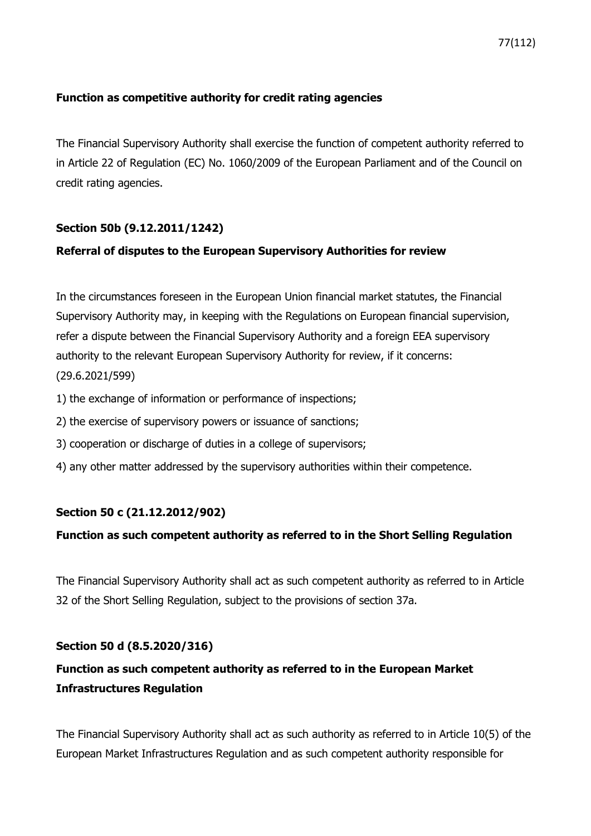## **Function as competitive authority for credit rating agencies**

The Financial Supervisory Authority shall exercise the function of competent authority referred to in Article 22 of Regulation (EC) No. 1060/2009 of the European Parliament and of the Council on credit rating agencies.

## **Section 50b (9.12.2011/1242)**

## **Referral of disputes to the European Supervisory Authorities for review**

In the circumstances foreseen in the European Union financial market statutes, the Financial Supervisory Authority may, in keeping with the Regulations on European financial supervision, refer a dispute between the Financial Supervisory Authority and a foreign EEA supervisory authority to the relevant European Supervisory Authority for review, if it concerns: (29.6.2021/599)

- 1) the exchange of information or performance of inspections;
- 2) the exercise of supervisory powers or issuance of sanctions;
- 3) cooperation or discharge of duties in a college of supervisors;
- 4) any other matter addressed by the supervisory authorities within their competence.

## **Section 50 c (21.12.2012/902)**

## **Function as such competent authority as referred to in the Short Selling Regulation**

The Financial Supervisory Authority shall act as such competent authority as referred to in Article 32 of the Short Selling Regulation, subject to the provisions of section 37a.

## **Section 50 d (8.5.2020/316)**

# **Function as such competent authority as referred to in the European Market Infrastructures Regulation**

The Financial Supervisory Authority shall act as such authority as referred to in Article 10(5) of the European Market Infrastructures Regulation and as such competent authority responsible for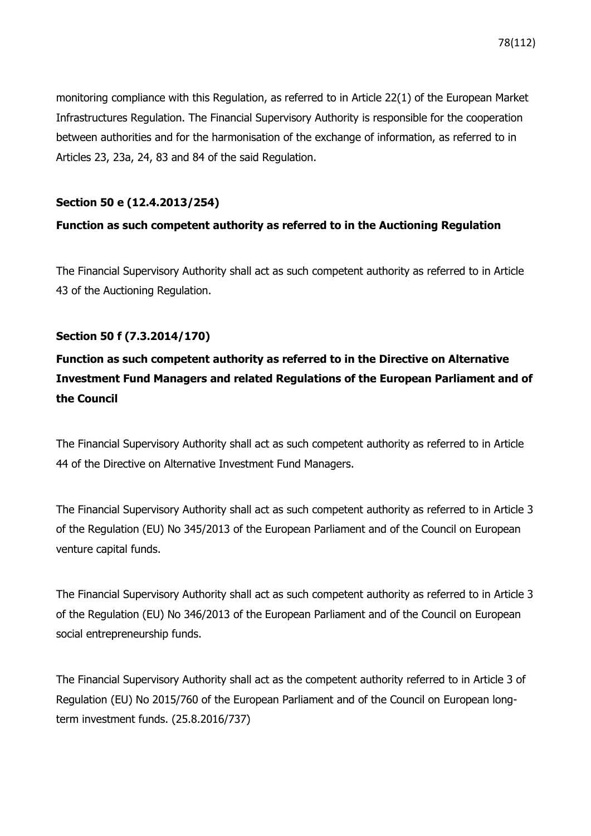monitoring compliance with this Regulation, as referred to in Article 22(1) of the European Market Infrastructures Regulation. The Financial Supervisory Authority is responsible for the cooperation between authorities and for the harmonisation of the exchange of information, as referred to in Articles 23, 23a, 24, 83 and 84 of the said Regulation.

## **Section 50 e (12.4.2013/254)**

## **Function as such competent authority as referred to in the Auctioning Regulation**

The Financial Supervisory Authority shall act as such competent authority as referred to in Article 43 of the Auctioning Regulation.

## **Section 50 f (7.3.2014/170)**

# **Function as such competent authority as referred to in the Directive on Alternative Investment Fund Managers and related Regulations of the European Parliament and of the Council**

The Financial Supervisory Authority shall act as such competent authority as referred to in Article 44 of the Directive on Alternative Investment Fund Managers.

The Financial Supervisory Authority shall act as such competent authority as referred to in Article 3 of the Regulation (EU) No 345/2013 of the European Parliament and of the Council on European venture capital funds.

The Financial Supervisory Authority shall act as such competent authority as referred to in Article 3 of the Regulation (EU) No 346/2013 of the European Parliament and of the Council on European social entrepreneurship funds.

The Financial Supervisory Authority shall act as the competent authority referred to in Article 3 of Regulation (EU) No 2015/760 of the European Parliament and of the Council on European longterm investment funds. (25.8.2016/737)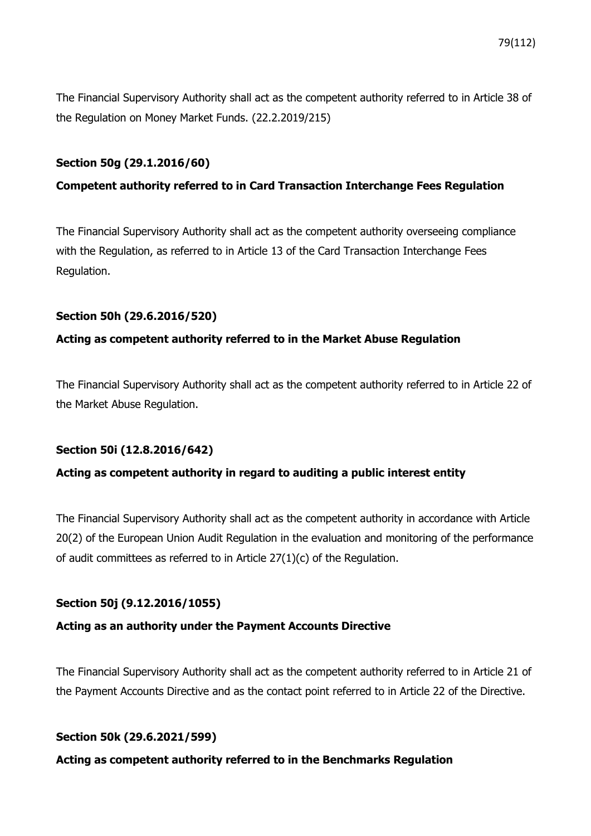The Financial Supervisory Authority shall act as the competent authority referred to in Article 38 of the Regulation on Money Market Funds. (22.2.2019/215)

## **Section 50g (29.1.2016/60)**

## **Competent authority referred to in Card Transaction Interchange Fees Regulation**

The Financial Supervisory Authority shall act as the competent authority overseeing compliance with the Regulation, as referred to in Article 13 of the Card Transaction Interchange Fees Regulation.

## **Section 50h (29.6.2016/520)**

## **Acting as competent authority referred to in the Market Abuse Regulation**

The Financial Supervisory Authority shall act as the competent authority referred to in Article 22 of the Market Abuse Regulation.

## **Section 50i (12.8.2016/642)**

## **Acting as competent authority in regard to auditing a public interest entity**

The Financial Supervisory Authority shall act as the competent authority in accordance with Article 20(2) of the European Union Audit Regulation in the evaluation and monitoring of the performance of audit committees as referred to in Article 27(1)(c) of the Regulation.

## **Section 50j (9.12.2016/1055)**

## **Acting as an authority under the Payment Accounts Directive**

The Financial Supervisory Authority shall act as the competent authority referred to in Article 21 of the Payment Accounts Directive and as the contact point referred to in Article 22 of the Directive.

## **Section 50k (29.6.2021/599)**

## **Acting as competent authority referred to in the Benchmarks Regulation**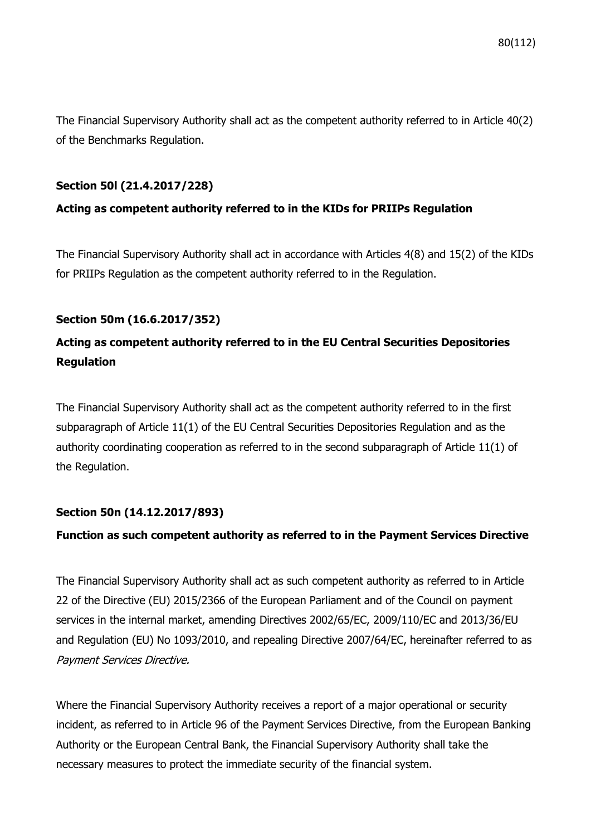The Financial Supervisory Authority shall act as the competent authority referred to in Article 40(2) of the Benchmarks Regulation.

## **Section 50l (21.4.2017/228)**

### **Acting as competent authority referred to in the KIDs for PRIIPs Regulation**

The Financial Supervisory Authority shall act in accordance with Articles 4(8) and 15(2) of the KIDs for PRIIPs Regulation as the competent authority referred to in the Regulation.

### **Section 50m (16.6.2017/352)**

# **Acting as competent authority referred to in the EU Central Securities Depositories Regulation**

The Financial Supervisory Authority shall act as the competent authority referred to in the first subparagraph of Article 11(1) of the EU Central Securities Depositories Regulation and as the authority coordinating cooperation as referred to in the second subparagraph of Article 11(1) of the Regulation.

## **Section 50n (14.12.2017/893)**

### **Function as such competent authority as referred to in the Payment Services Directive**

The Financial Supervisory Authority shall act as such competent authority as referred to in Article 22 of the Directive (EU) 2015/2366 of the European Parliament and of the Council on payment services in the internal market, amending Directives 2002/65/EC, 2009/110/EC and 2013/36/EU and Regulation (EU) No 1093/2010, and repealing Directive 2007/64/EC, hereinafter referred to as Payment Services Directive.

Where the Financial Supervisory Authority receives a report of a major operational or security incident, as referred to in Article 96 of the Payment Services Directive, from the European Banking Authority or the European Central Bank, the Financial Supervisory Authority shall take the necessary measures to protect the immediate security of the financial system.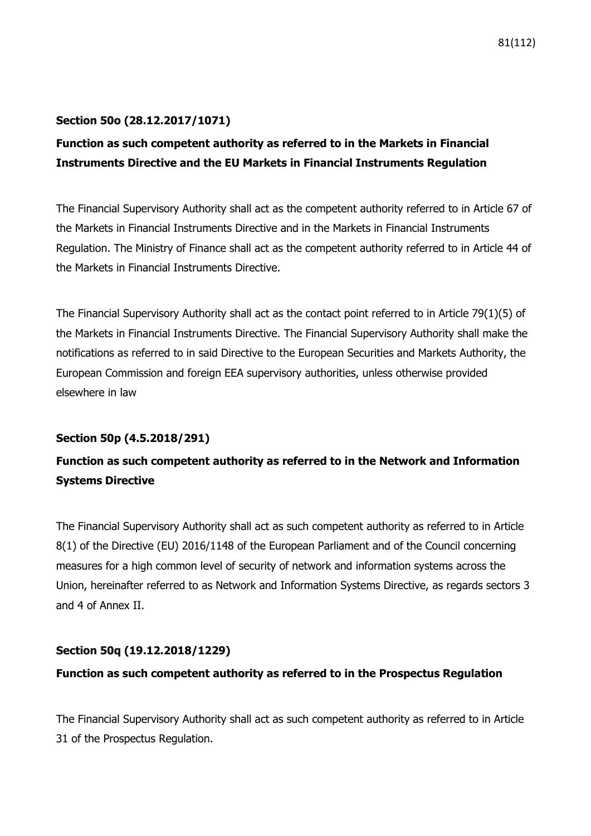## **Section 50o (28.12.2017/1071)**

## **Function as such competent authority as referred to in the Markets in Financial Instruments Directive and the EU Markets in Financial Instruments Regulation**

The Financial Supervisory Authority shall act as the competent authority referred to in Article 67 of the Markets in Financial Instruments Directive and in the Markets in Financial Instruments Regulation. The Ministry of Finance shall act as the competent authority referred to in Article 44 of the Markets in Financial Instruments Directive.

The Financial Supervisory Authority shall act as the contact point referred to in Article 79(1)(5) of the Markets in Financial Instruments Directive. The Financial Supervisory Authority shall make the notifications as referred to in said Directive to the European Securities and Markets Authority, the European Commission and foreign EEA supervisory authorities, unless otherwise provided elsewhere in law

## **Section 50p (4.5.2018/291)**

# **Function as such competent authority as referred to in the Network and Information Systems Directive**

The Financial Supervisory Authority shall act as such competent authority as referred to in Article 8(1) of the Directive (EU) 2016/1148 of the European Parliament and of the Council concerning measures for a high common level of security of network and information systems across the Union, hereinafter referred to as Network and Information Systems Directive, as regards sectors 3 and 4 of Annex II.

## **Section 50q (19.12.2018/1229)**

## **Function as such competent authority as referred to in the Prospectus Regulation**

The Financial Supervisory Authority shall act as such competent authority as referred to in Article 31 of the Prospectus Regulation.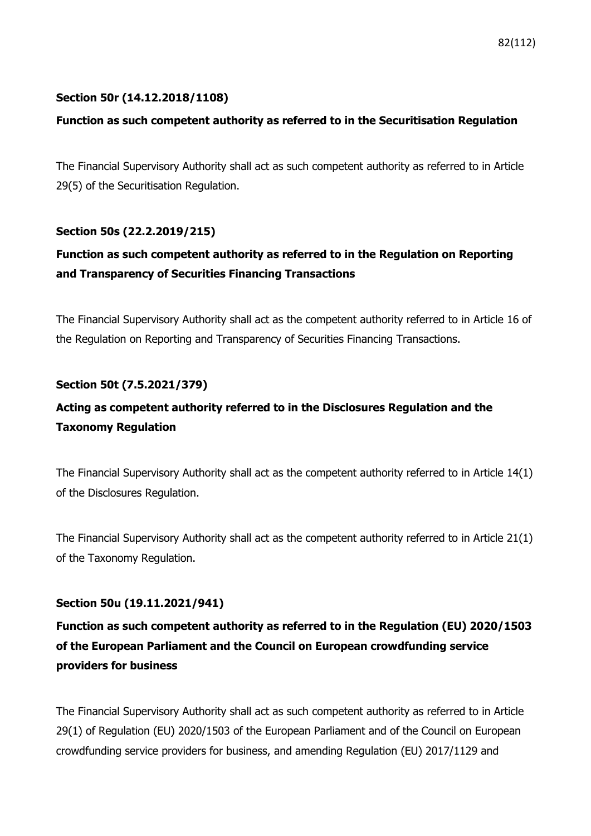## **Section 50r (14.12.2018/1108)**

## **Function as such competent authority as referred to in the Securitisation Regulation**

The Financial Supervisory Authority shall act as such competent authority as referred to in Article 29(5) of the Securitisation Regulation.

## **Section 50s (22.2.2019/215)**

## **Function as such competent authority as referred to in the Regulation on Reporting and Transparency of Securities Financing Transactions**

The Financial Supervisory Authority shall act as the competent authority referred to in Article 16 of the Regulation on Reporting and Transparency of Securities Financing Transactions.

### **Section 50t (7.5.2021/379)**

## **Acting as competent authority referred to in the Disclosures Regulation and the Taxonomy Regulation**

The Financial Supervisory Authority shall act as the competent authority referred to in Article 14(1) of the Disclosures Regulation.

The Financial Supervisory Authority shall act as the competent authority referred to in Article 21(1) of the Taxonomy Regulation.

## **Section 50u (19.11.2021/941)**

**Function as such competent authority as referred to in the Regulation (EU) 2020/1503 of the European Parliament and the Council on European crowdfunding service providers for business**

The Financial Supervisory Authority shall act as such competent authority as referred to in Article 29(1) of Regulation (EU) 2020/1503 of the European Parliament and of the Council on European crowdfunding service providers for business, and amending Regulation (EU) 2017/1129 and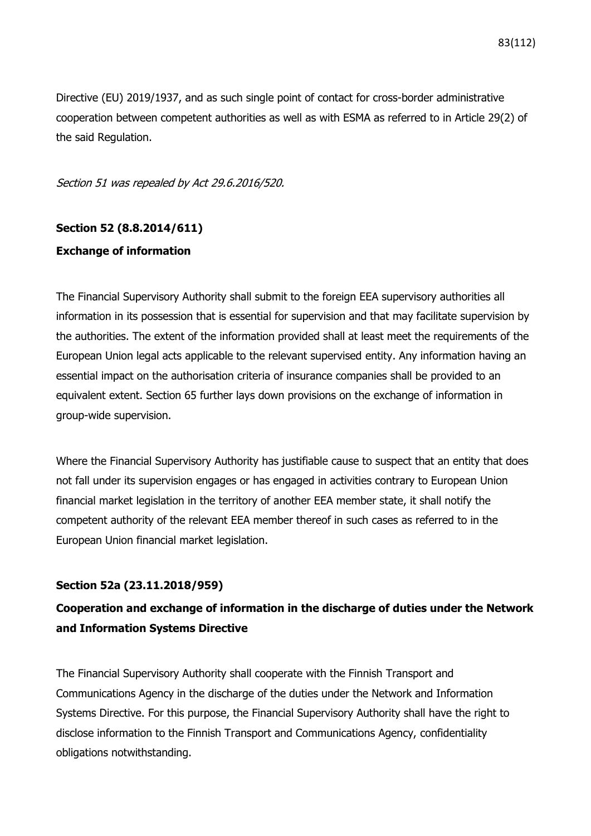Directive (EU) 2019/1937, and as such single point of contact for cross-border administrative cooperation between competent authorities as well as with ESMA as referred to in Article 29(2) of the said Regulation.

Section 51 was repealed by Act 29.6.2016/520.

# **Section 52 (8.8.2014/611) Exchange of information**

The Financial Supervisory Authority shall submit to the foreign EEA supervisory authorities all information in its possession that is essential for supervision and that may facilitate supervision by the authorities. The extent of the information provided shall at least meet the requirements of the European Union legal acts applicable to the relevant supervised entity. Any information having an essential impact on the authorisation criteria of insurance companies shall be provided to an equivalent extent. Section 65 further lays down provisions on the exchange of information in group-wide supervision.

Where the Financial Supervisory Authority has justifiable cause to suspect that an entity that does not fall under its supervision engages or has engaged in activities contrary to European Union financial market legislation in the territory of another EEA member state, it shall notify the competent authority of the relevant EEA member thereof in such cases as referred to in the European Union financial market legislation.

## **Section 52a (23.11.2018/959)**

# **Cooperation and exchange of information in the discharge of duties under the Network and Information Systems Directive**

The Financial Supervisory Authority shall cooperate with the Finnish Transport and Communications Agency in the discharge of the duties under the Network and Information Systems Directive. For this purpose, the Financial Supervisory Authority shall have the right to disclose information to the Finnish Transport and Communications Agency, confidentiality obligations notwithstanding.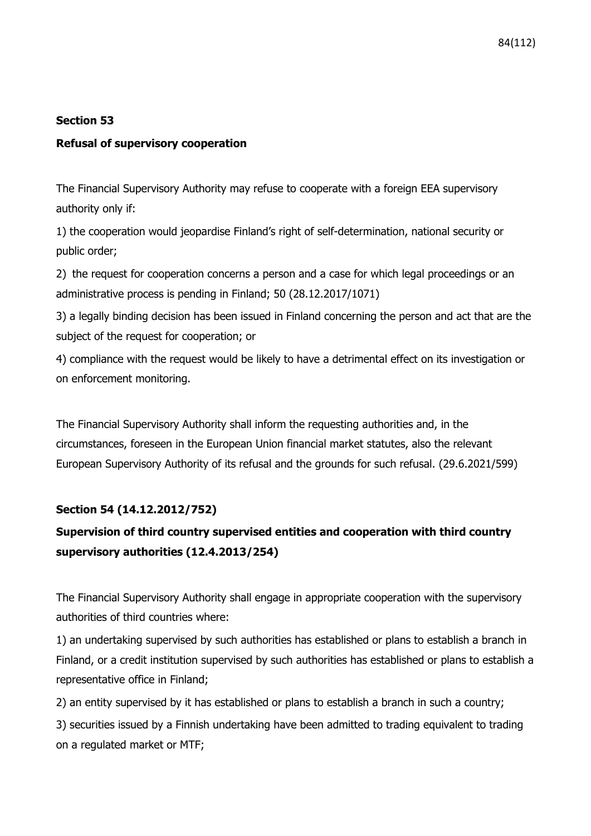## **Section 53**

## **Refusal of supervisory cooperation**

The Financial Supervisory Authority may refuse to cooperate with a foreign EEA supervisory authority only if:

1) the cooperation would jeopardise Finland's right of self-determination, national security or public order;

2) the request for cooperation concerns a person and a case for which legal proceedings or an administrative process is pending in Finland; 50 (28.12.2017/1071)

3) a legally binding decision has been issued in Finland concerning the person and act that are the subject of the request for cooperation; or

4) compliance with the request would be likely to have a detrimental effect on its investigation or on enforcement monitoring.

The Financial Supervisory Authority shall inform the requesting authorities and, in the circumstances, foreseen in the European Union financial market statutes, also the relevant European Supervisory Authority of its refusal and the grounds for such refusal. (29.6.2021/599)

## **Section 54 (14.12.2012/752)**

# **Supervision of third country supervised entities and cooperation with third country supervisory authorities (12.4.2013/254)**

The Financial Supervisory Authority shall engage in appropriate cooperation with the supervisory authorities of third countries where:

1) an undertaking supervised by such authorities has established or plans to establish a branch in Finland, or a credit institution supervised by such authorities has established or plans to establish a representative office in Finland;

2) an entity supervised by it has established or plans to establish a branch in such a country;

3) securities issued by a Finnish undertaking have been admitted to trading equivalent to trading on a regulated market or MTF;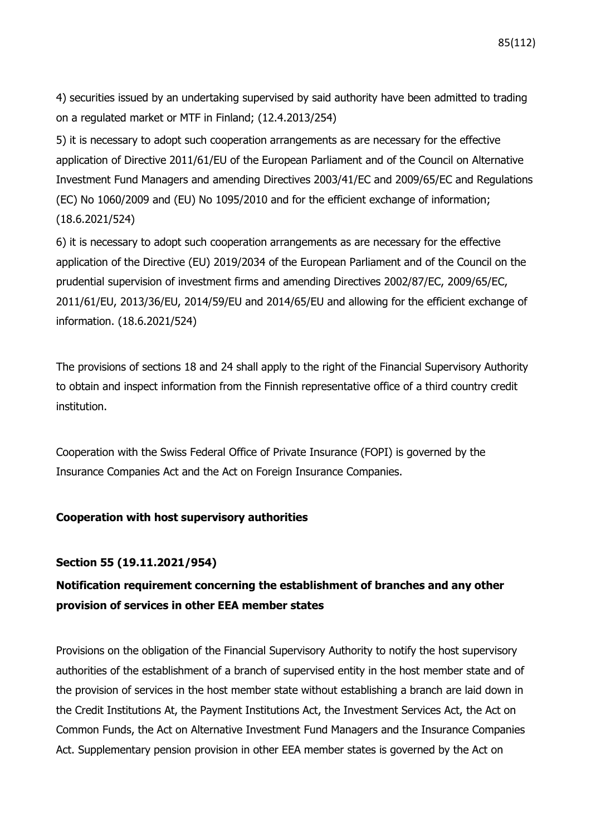4) securities issued by an undertaking supervised by said authority have been admitted to trading on a regulated market or MTF in Finland; (12.4.2013/254)

5) it is necessary to adopt such cooperation arrangements as are necessary for the effective application of Directive 2011/61/EU of the European Parliament and of the Council on Alternative Investment Fund Managers and amending Directives 2003/41/EC and 2009/65/EC and Regulations (EC) No 1060/2009 and (EU) No 1095/2010 and for the efficient exchange of information; (18.6.2021/524)

6) it is necessary to adopt such cooperation arrangements as are necessary for the effective application of the Directive (EU) 2019/2034 of the European Parliament and of the Council on the prudential supervision of investment firms and amending Directives 2002/87/EC, 2009/65/EC, 2011/61/EU, 2013/36/EU, 2014/59/EU and 2014/65/EU and allowing for the efficient exchange of information. (18.6.2021/524)

The provisions of sections 18 and 24 shall apply to the right of the Financial Supervisory Authority to obtain and inspect information from the Finnish representative office of a third country credit institution.

Cooperation with the Swiss Federal Office of Private Insurance (FOPI) is governed by the Insurance Companies Act and the Act on Foreign Insurance Companies.

## **Cooperation with host supervisory authorities**

### **Section 55 (19.11.2021/954)**

## **Notification requirement concerning the establishment of branches and any other provision of services in other EEA member states**

Provisions on the obligation of the Financial Supervisory Authority to notify the host supervisory authorities of the establishment of a branch of supervised entity in the host member state and of the provision of services in the host member state without establishing a branch are laid down in the Credit Institutions At, the Payment Institutions Act, the Investment Services Act, the Act on Common Funds, the Act on Alternative Investment Fund Managers and the Insurance Companies Act. Supplementary pension provision in other EEA member states is governed by the Act on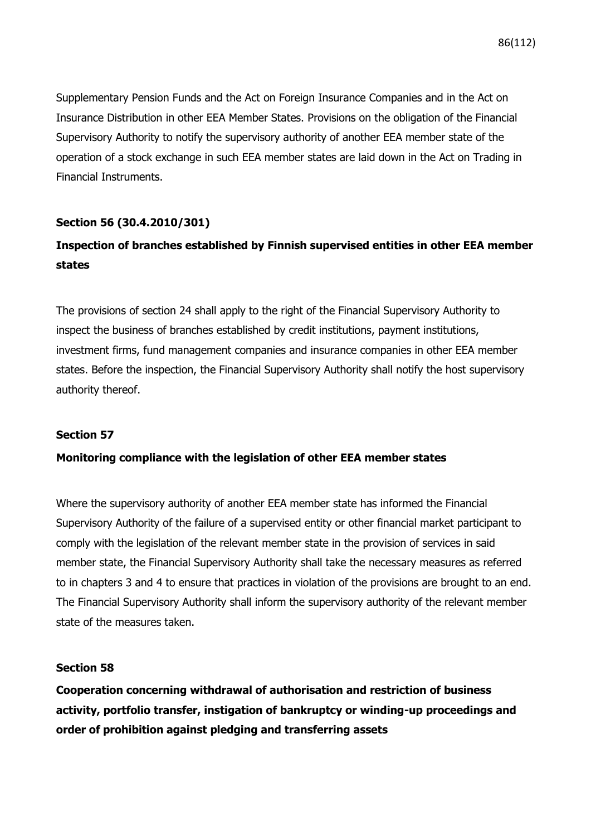Supplementary Pension Funds and the Act on Foreign Insurance Companies and in the Act on Insurance Distribution in other EEA Member States. Provisions on the obligation of the Financial Supervisory Authority to notify the supervisory authority of another EEA member state of the operation of a stock exchange in such EEA member states are laid down in the Act on Trading in Financial Instruments.

### **Section 56 (30.4.2010/301)**

## **Inspection of branches established by Finnish supervised entities in other EEA member states**

The provisions of section 24 shall apply to the right of the Financial Supervisory Authority to inspect the business of branches established by credit institutions, payment institutions, investment firms, fund management companies and insurance companies in other EEA member states. Before the inspection, the Financial Supervisory Authority shall notify the host supervisory authority thereof.

### **Section 57**

### **Monitoring compliance with the legislation of other EEA member states**

Where the supervisory authority of another EEA member state has informed the Financial Supervisory Authority of the failure of a supervised entity or other financial market participant to comply with the legislation of the relevant member state in the provision of services in said member state, the Financial Supervisory Authority shall take the necessary measures as referred to in chapters 3 and 4 to ensure that practices in violation of the provisions are brought to an end. The Financial Supervisory Authority shall inform the supervisory authority of the relevant member state of the measures taken.

#### **Section 58**

**Cooperation concerning withdrawal of authorisation and restriction of business activity, portfolio transfer, instigation of bankruptcy or winding-up proceedings and order of prohibition against pledging and transferring assets**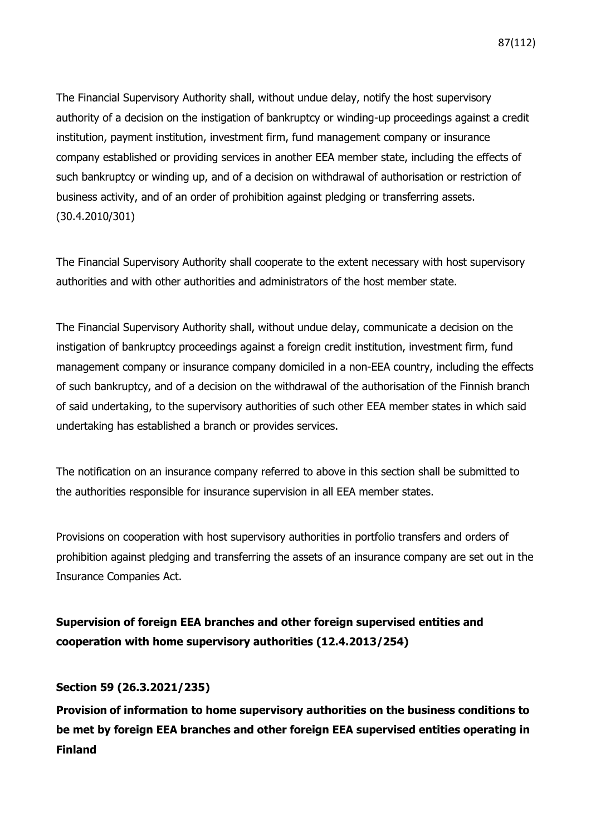The Financial Supervisory Authority shall, without undue delay, notify the host supervisory authority of a decision on the instigation of bankruptcy or winding-up proceedings against a credit institution, payment institution, investment firm, fund management company or insurance company established or providing services in another EEA member state, including the effects of such bankruptcy or winding up, and of a decision on withdrawal of authorisation or restriction of business activity, and of an order of prohibition against pledging or transferring assets. (30.4.2010/301)

The Financial Supervisory Authority shall cooperate to the extent necessary with host supervisory authorities and with other authorities and administrators of the host member state.

The Financial Supervisory Authority shall, without undue delay, communicate a decision on the instigation of bankruptcy proceedings against a foreign credit institution, investment firm, fund management company or insurance company domiciled in a non-EEA country, including the effects of such bankruptcy, and of a decision on the withdrawal of the authorisation of the Finnish branch of said undertaking, to the supervisory authorities of such other EEA member states in which said undertaking has established a branch or provides services.

The notification on an insurance company referred to above in this section shall be submitted to the authorities responsible for insurance supervision in all EEA member states.

Provisions on cooperation with host supervisory authorities in portfolio transfers and orders of prohibition against pledging and transferring the assets of an insurance company are set out in the Insurance Companies Act.

**Supervision of foreign EEA branches and other foreign supervised entities and cooperation with home supervisory authorities (12.4.2013/254)**

## **Section 59 (26.3.2021/235)**

**Provision of information to home supervisory authorities on the business conditions to be met by foreign EEA branches and other foreign EEA supervised entities operating in Finland**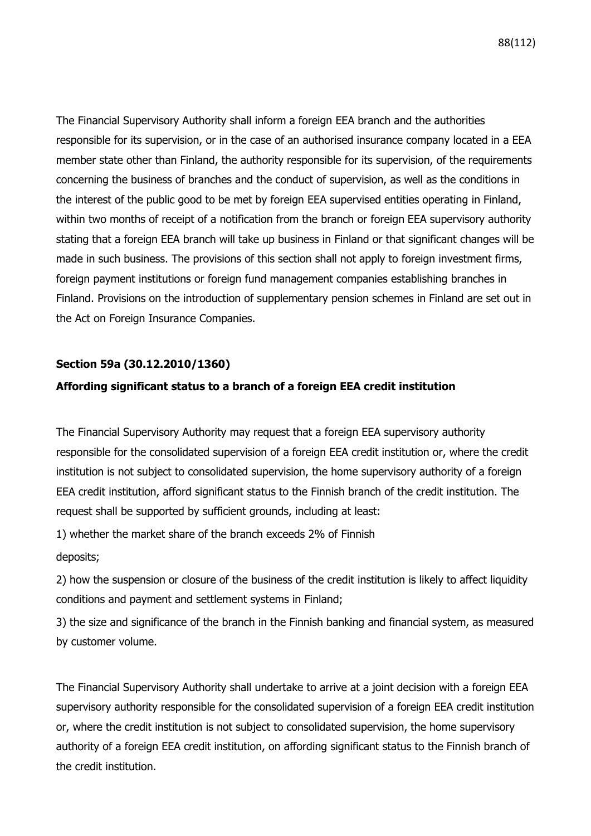The Financial Supervisory Authority shall inform a foreign EEA branch and the authorities responsible for its supervision, or in the case of an authorised insurance company located in a EEA member state other than Finland, the authority responsible for its supervision, of the requirements concerning the business of branches and the conduct of supervision, as well as the conditions in the interest of the public good to be met by foreign EEA supervised entities operating in Finland, within two months of receipt of a notification from the branch or foreign EEA supervisory authority stating that a foreign EEA branch will take up business in Finland or that significant changes will be made in such business. The provisions of this section shall not apply to foreign investment firms, foreign payment institutions or foreign fund management companies establishing branches in Finland. Provisions on the introduction of supplementary pension schemes in Finland are set out in the Act on Foreign Insurance Companies.

## **Section 59a (30.12.2010/1360)**

## **Affording significant status to a branch of a foreign EEA credit institution**

The Financial Supervisory Authority may request that a foreign EEA supervisory authority responsible for the consolidated supervision of a foreign EEA credit institution or, where the credit institution is not subject to consolidated supervision, the home supervisory authority of a foreign EEA credit institution, afford significant status to the Finnish branch of the credit institution. The request shall be supported by sufficient grounds, including at least:

1) whether the market share of the branch exceeds 2% of Finnish deposits;

2) how the suspension or closure of the business of the credit institution is likely to affect liquidity conditions and payment and settlement systems in Finland;

3) the size and significance of the branch in the Finnish banking and financial system, as measured by customer volume.

The Financial Supervisory Authority shall undertake to arrive at a joint decision with a foreign EEA supervisory authority responsible for the consolidated supervision of a foreign EEA credit institution or, where the credit institution is not subject to consolidated supervision, the home supervisory authority of a foreign EEA credit institution, on affording significant status to the Finnish branch of the credit institution.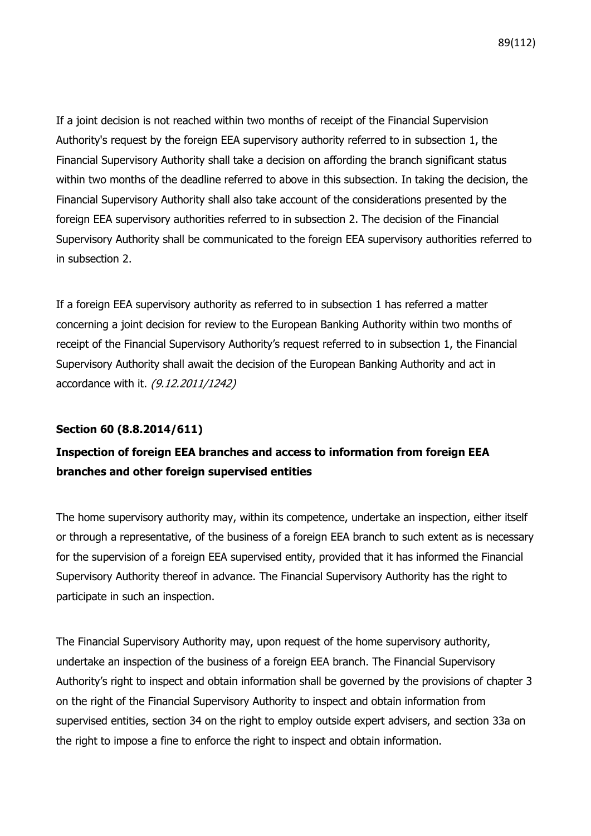If a joint decision is not reached within two months of receipt of the Financial Supervision Authority's request by the foreign EEA supervisory authority referred to in subsection 1, the Financial Supervisory Authority shall take a decision on affording the branch significant status within two months of the deadline referred to above in this subsection. In taking the decision, the Financial Supervisory Authority shall also take account of the considerations presented by the foreign EEA supervisory authorities referred to in subsection 2. The decision of the Financial Supervisory Authority shall be communicated to the foreign EEA supervisory authorities referred to in subsection 2.

If a foreign EEA supervisory authority as referred to in subsection 1 has referred a matter concerning a joint decision for review to the European Banking Authority within two months of receipt of the Financial Supervisory Authority's request referred to in subsection 1, the Financial Supervisory Authority shall await the decision of the European Banking Authority and act in accordance with it. (9.12.2011/1242)

### **Section 60 (8.8.2014/611)**

## **Inspection of foreign EEA branches and access to information from foreign EEA branches and other foreign supervised entities**

The home supervisory authority may, within its competence, undertake an inspection, either itself or through a representative, of the business of a foreign EEA branch to such extent as is necessary for the supervision of a foreign EEA supervised entity, provided that it has informed the Financial Supervisory Authority thereof in advance. The Financial Supervisory Authority has the right to participate in such an inspection.

The Financial Supervisory Authority may, upon request of the home supervisory authority, undertake an inspection of the business of a foreign EEA branch. The Financial Supervisory Authority's right to inspect and obtain information shall be governed by the provisions of chapter 3 on the right of the Financial Supervisory Authority to inspect and obtain information from supervised entities, section 34 on the right to employ outside expert advisers, and section 33a on the right to impose a fine to enforce the right to inspect and obtain information.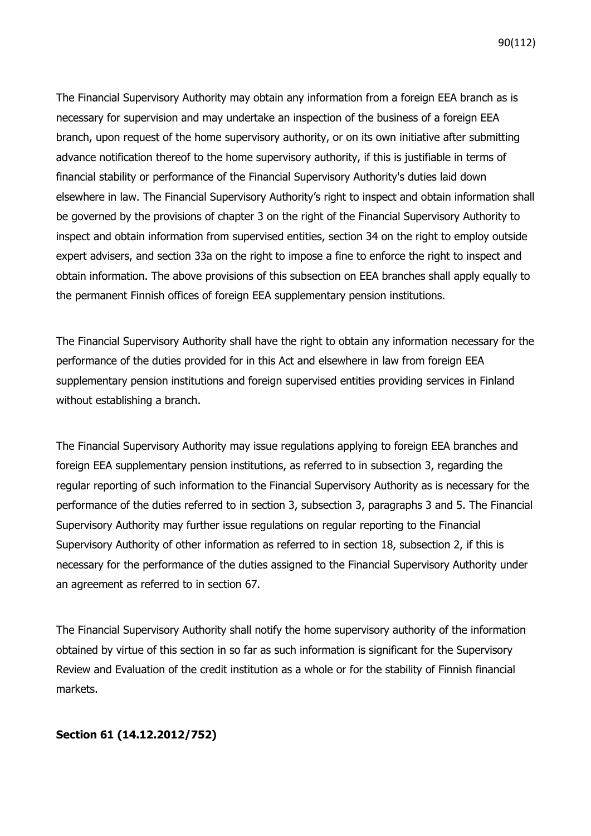The Financial Supervisory Authority may obtain any information from a foreign EEA branch as is necessary for supervision and may undertake an inspection of the business of a foreign EEA branch, upon request of the home supervisory authority, or on its own initiative after submitting advance notification thereof to the home supervisory authority, if this is justifiable in terms of financial stability or performance of the Financial Supervisory Authority's duties laid down elsewhere in law. The Financial Supervisory Authority's right to inspect and obtain information shall be governed by the provisions of chapter 3 on the right of the Financial Supervisory Authority to inspect and obtain information from supervised entities, section 34 on the right to employ outside expert advisers, and section 33a on the right to impose a fine to enforce the right to inspect and obtain information. The above provisions of this subsection on EEA branches shall apply equally to the permanent Finnish offices of foreign EEA supplementary pension institutions.

The Financial Supervisory Authority shall have the right to obtain any information necessary for the performance of the duties provided for in this Act and elsewhere in law from foreign EEA supplementary pension institutions and foreign supervised entities providing services in Finland without establishing a branch.

The Financial Supervisory Authority may issue regulations applying to foreign EEA branches and foreign EEA supplementary pension institutions, as referred to in subsection 3, regarding the regular reporting of such information to the Financial Supervisory Authority as is necessary for the performance of the duties referred to in section 3, subsection 3, paragraphs 3 and 5. The Financial Supervisory Authority may further issue regulations on regular reporting to the Financial Supervisory Authority of other information as referred to in section 18, subsection 2, if this is necessary for the performance of the duties assigned to the Financial Supervisory Authority under an agreement as referred to in section 67.

The Financial Supervisory Authority shall notify the home supervisory authority of the information obtained by virtue of this section in so far as such information is significant for the Supervisory Review and Evaluation of the credit institution as a whole or for the stability of Finnish financial markets.

### **Section 61 (14.12.2012/752)**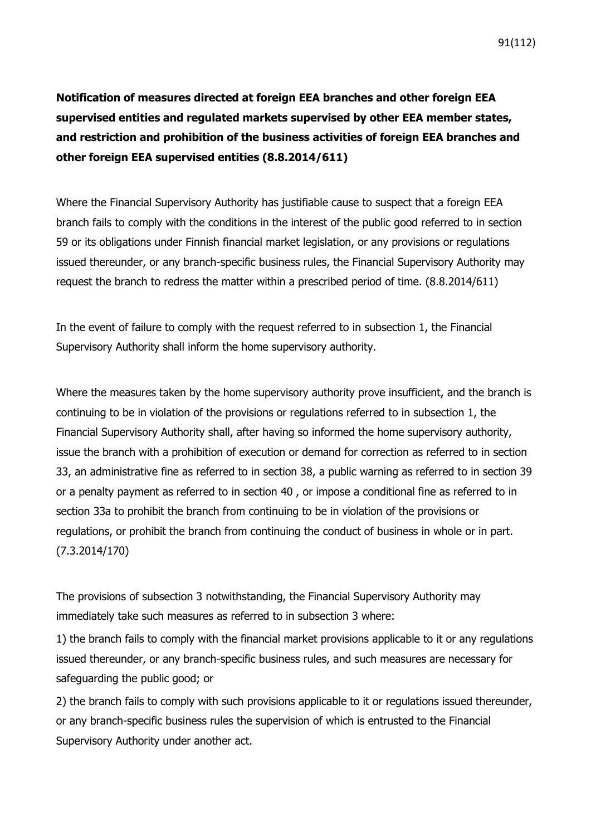**Notification of measures directed at foreign EEA branches and other foreign EEA supervised entities and regulated markets supervised by other EEA member states, and restriction and prohibition of the business activities of foreign EEA branches and other foreign EEA supervised entities (8.8.2014/611)**

Where the Financial Supervisory Authority has justifiable cause to suspect that a foreign EEA branch fails to comply with the conditions in the interest of the public good referred to in section 59 or its obligations under Finnish financial market legislation, or any provisions or regulations issued thereunder, or any branch-specific business rules, the Financial Supervisory Authority may request the branch to redress the matter within a prescribed period of time. (8.8.2014/611)

In the event of failure to comply with the request referred to in subsection 1, the Financial Supervisory Authority shall inform the home supervisory authority.

Where the measures taken by the home supervisory authority prove insufficient, and the branch is continuing to be in violation of the provisions or regulations referred to in subsection 1, the Financial Supervisory Authority shall, after having so informed the home supervisory authority, issue the branch with a prohibition of execution or demand for correction as referred to in section 33, an administrative fine as referred to in section 38, a public warning as referred to in section 39 or a penalty payment as referred to in section 40 , or impose a conditional fine as referred to in section 33a to prohibit the branch from continuing to be in violation of the provisions or regulations, or prohibit the branch from continuing the conduct of business in whole or in part. (7.3.2014/170)

The provisions of subsection 3 notwithstanding, the Financial Supervisory Authority may immediately take such measures as referred to in subsection 3 where:

1) the branch fails to comply with the financial market provisions applicable to it or any regulations issued thereunder, or any branch-specific business rules, and such measures are necessary for safeguarding the public good; or

2) the branch fails to comply with such provisions applicable to it or regulations issued thereunder, or any branch-specific business rules the supervision of which is entrusted to the Financial Supervisory Authority under another act.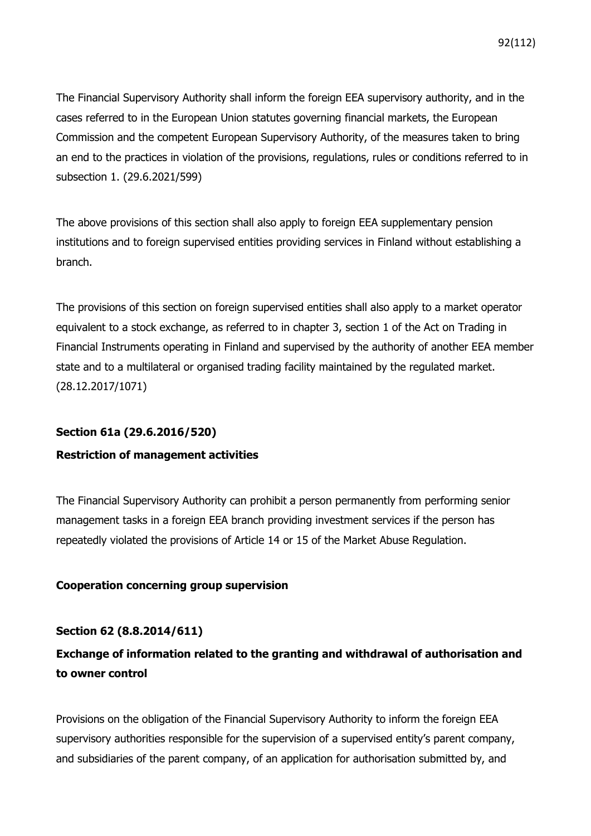The Financial Supervisory Authority shall inform the foreign EEA supervisory authority, and in the cases referred to in the European Union statutes governing financial markets, the European Commission and the competent European Supervisory Authority, of the measures taken to bring an end to the practices in violation of the provisions, regulations, rules or conditions referred to in subsection 1. (29.6.2021/599)

The above provisions of this section shall also apply to foreign EEA supplementary pension institutions and to foreign supervised entities providing services in Finland without establishing a branch.

The provisions of this section on foreign supervised entities shall also apply to a market operator equivalent to a stock exchange, as referred to in chapter 3, section 1 of the Act on Trading in Financial Instruments operating in Finland and supervised by the authority of another EEA member state and to a multilateral or organised trading facility maintained by the regulated market. (28.12.2017/1071)

## **Section 61a (29.6.2016/520)**

## **Restriction of management activities**

The Financial Supervisory Authority can prohibit a person permanently from performing senior management tasks in a foreign EEA branch providing investment services if the person has repeatedly violated the provisions of Article 14 or 15 of the Market Abuse Regulation.

## **Cooperation concerning group supervision**

## **Section 62 (8.8.2014/611)**

# **Exchange of information related to the granting and withdrawal of authorisation and to owner control**

Provisions on the obligation of the Financial Supervisory Authority to inform the foreign EEA supervisory authorities responsible for the supervision of a supervised entity's parent company, and subsidiaries of the parent company, of an application for authorisation submitted by, and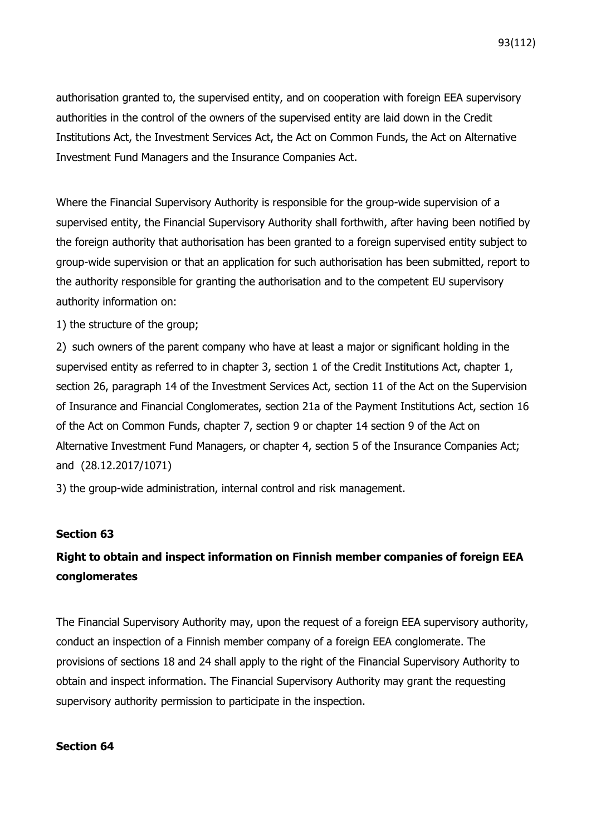authorisation granted to, the supervised entity, and on cooperation with foreign EEA supervisory authorities in the control of the owners of the supervised entity are laid down in the Credit Institutions Act, the Investment Services Act, the Act on Common Funds, the Act on Alternative Investment Fund Managers and the Insurance Companies Act.

Where the Financial Supervisory Authority is responsible for the group-wide supervision of a supervised entity, the Financial Supervisory Authority shall forthwith, after having been notified by the foreign authority that authorisation has been granted to a foreign supervised entity subject to group-wide supervision or that an application for such authorisation has been submitted, report to the authority responsible for granting the authorisation and to the competent EU supervisory authority information on:

1) the structure of the group;

2) such owners of the parent company who have at least a major or significant holding in the supervised entity as referred to in chapter 3, section 1 of the Credit Institutions Act, chapter 1, section 26, paragraph 14 of the Investment Services Act, section 11 of the Act on the Supervision of Insurance and Financial Conglomerates, section 21a of the Payment Institutions Act, section 16 of the Act on Common Funds, chapter 7, section 9 or chapter 14 section 9 of the Act on Alternative Investment Fund Managers, or chapter 4, section 5 of the Insurance Companies Act; and (28.12.2017/1071)

3) the group-wide administration, internal control and risk management.

### **Section 63**

# **Right to obtain and inspect information on Finnish member companies of foreign EEA conglomerates**

The Financial Supervisory Authority may, upon the request of a foreign EEA supervisory authority, conduct an inspection of a Finnish member company of a foreign EEA conglomerate. The provisions of sections 18 and 24 shall apply to the right of the Financial Supervisory Authority to obtain and inspect information. The Financial Supervisory Authority may grant the requesting supervisory authority permission to participate in the inspection.

### **Section 64**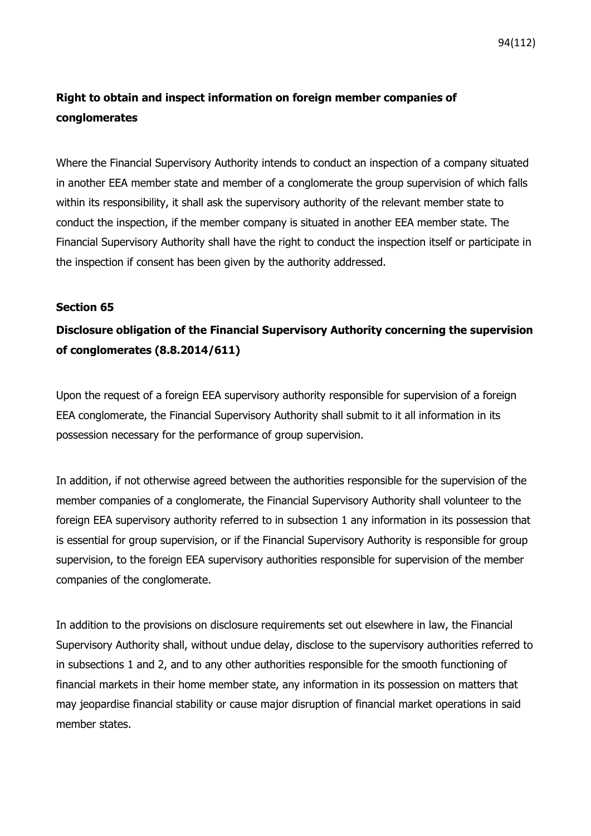## **Right to obtain and inspect information on foreign member companies of conglomerates**

Where the Financial Supervisory Authority intends to conduct an inspection of a company situated in another EEA member state and member of a conglomerate the group supervision of which falls within its responsibility, it shall ask the supervisory authority of the relevant member state to conduct the inspection, if the member company is situated in another EEA member state. The Financial Supervisory Authority shall have the right to conduct the inspection itself or participate in the inspection if consent has been given by the authority addressed.

### **Section 65**

## **Disclosure obligation of the Financial Supervisory Authority concerning the supervision of conglomerates (8.8.2014/611)**

Upon the request of a foreign EEA supervisory authority responsible for supervision of a foreign EEA conglomerate, the Financial Supervisory Authority shall submit to it all information in its possession necessary for the performance of group supervision.

In addition, if not otherwise agreed between the authorities responsible for the supervision of the member companies of a conglomerate, the Financial Supervisory Authority shall volunteer to the foreign EEA supervisory authority referred to in subsection 1 any information in its possession that is essential for group supervision, or if the Financial Supervisory Authority is responsible for group supervision, to the foreign EEA supervisory authorities responsible for supervision of the member companies of the conglomerate.

In addition to the provisions on disclosure requirements set out elsewhere in law, the Financial Supervisory Authority shall, without undue delay, disclose to the supervisory authorities referred to in subsections 1 and 2, and to any other authorities responsible for the smooth functioning of financial markets in their home member state, any information in its possession on matters that may jeopardise financial stability or cause major disruption of financial market operations in said member states.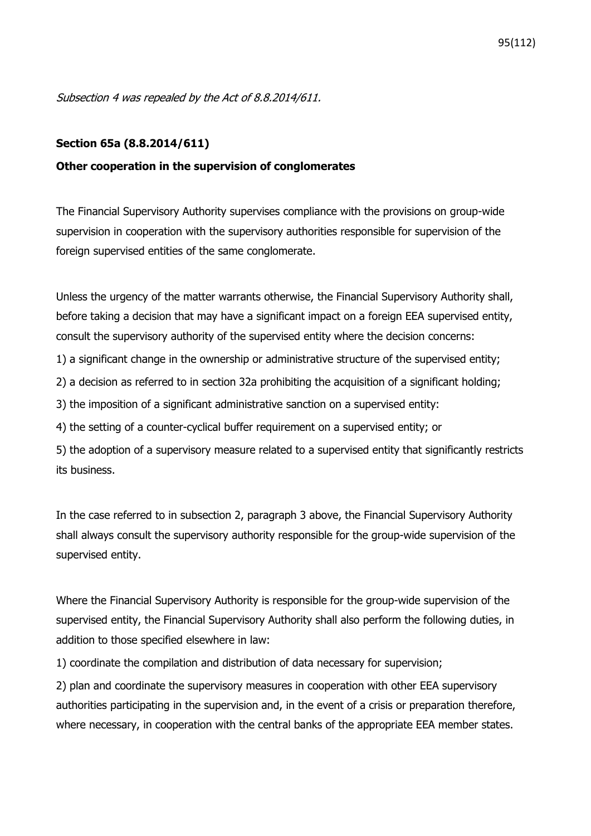Subsection 4 was repealed by the Act of 8.8.2014/611.

### **Section 65a (8.8.2014/611)**

### **Other cooperation in the supervision of conglomerates**

The Financial Supervisory Authority supervises compliance with the provisions on group-wide supervision in cooperation with the supervisory authorities responsible for supervision of the foreign supervised entities of the same conglomerate.

Unless the urgency of the matter warrants otherwise, the Financial Supervisory Authority shall, before taking a decision that may have a significant impact on a foreign EEA supervised entity, consult the supervisory authority of the supervised entity where the decision concerns: 1) a significant change in the ownership or administrative structure of the supervised entity; 2) a decision as referred to in section 32a prohibiting the acquisition of a significant holding; 3) the imposition of a significant administrative sanction on a supervised entity: 4) the setting of a counter-cyclical buffer requirement on a supervised entity; or 5) the adoption of a supervisory measure related to a supervised entity that significantly restricts its business.

In the case referred to in subsection 2, paragraph 3 above, the Financial Supervisory Authority shall always consult the supervisory authority responsible for the group-wide supervision of the supervised entity.

Where the Financial Supervisory Authority is responsible for the group-wide supervision of the supervised entity, the Financial Supervisory Authority shall also perform the following duties, in addition to those specified elsewhere in law:

1) coordinate the compilation and distribution of data necessary for supervision;

2) plan and coordinate the supervisory measures in cooperation with other EEA supervisory authorities participating in the supervision and, in the event of a crisis or preparation therefore, where necessary, in cooperation with the central banks of the appropriate EEA member states.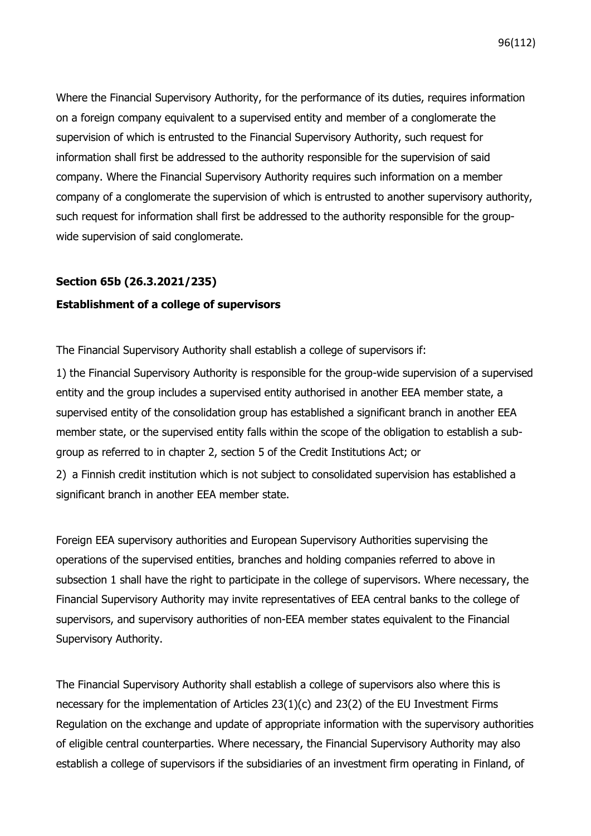Where the Financial Supervisory Authority, for the performance of its duties, requires information on a foreign company equivalent to a supervised entity and member of a conglomerate the supervision of which is entrusted to the Financial Supervisory Authority, such request for information shall first be addressed to the authority responsible for the supervision of said company. Where the Financial Supervisory Authority requires such information on a member company of a conglomerate the supervision of which is entrusted to another supervisory authority, such request for information shall first be addressed to the authority responsible for the groupwide supervision of said conglomerate.

#### **Section 65b (26.3.2021/235)**

#### **Establishment of a college of supervisors**

The Financial Supervisory Authority shall establish a college of supervisors if:

1) the Financial Supervisory Authority is responsible for the group-wide supervision of a supervised entity and the group includes a supervised entity authorised in another EEA member state, a supervised entity of the consolidation group has established a significant branch in another EEA member state, or the supervised entity falls within the scope of the obligation to establish a subgroup as referred to in chapter 2, section 5 of the Credit Institutions Act; or

2) a Finnish credit institution which is not subject to consolidated supervision has established a significant branch in another EEA member state.

Foreign EEA supervisory authorities and European Supervisory Authorities supervising the operations of the supervised entities, branches and holding companies referred to above in subsection 1 shall have the right to participate in the college of supervisors. Where necessary, the Financial Supervisory Authority may invite representatives of EEA central banks to the college of supervisors, and supervisory authorities of non-EEA member states equivalent to the Financial Supervisory Authority.

The Financial Supervisory Authority shall establish a college of supervisors also where this is necessary for the implementation of Articles 23(1)(c) and 23(2) of the EU Investment Firms Regulation on the exchange and update of appropriate information with the supervisory authorities of eligible central counterparties. Where necessary, the Financial Supervisory Authority may also establish a college of supervisors if the subsidiaries of an investment firm operating in Finland, of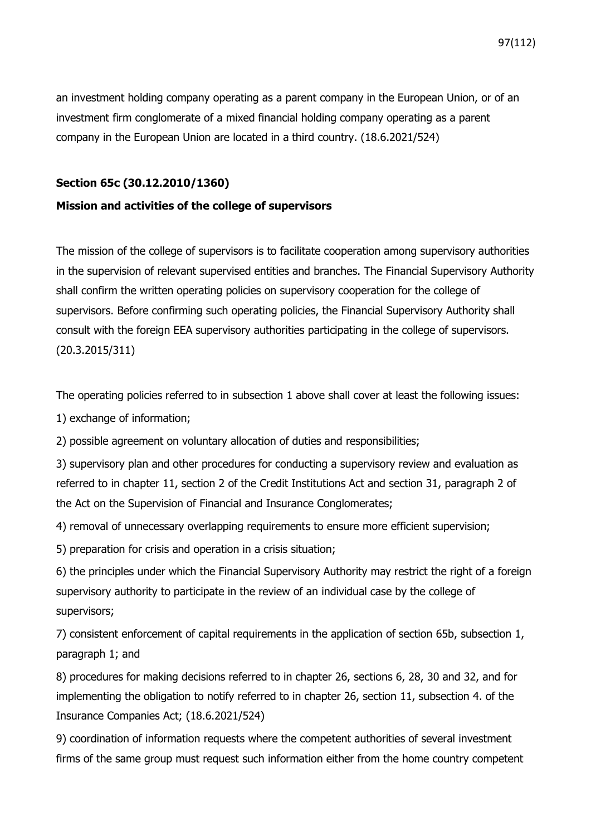an investment holding company operating as a parent company in the European Union, or of an investment firm conglomerate of a mixed financial holding company operating as a parent company in the European Union are located in a third country. (18.6.2021/524)

### **Section 65c (30.12.2010/1360)**

### **Mission and activities of the college of supervisors**

The mission of the college of supervisors is to facilitate cooperation among supervisory authorities in the supervision of relevant supervised entities and branches. The Financial Supervisory Authority shall confirm the written operating policies on supervisory cooperation for the college of supervisors. Before confirming such operating policies, the Financial Supervisory Authority shall consult with the foreign EEA supervisory authorities participating in the college of supervisors. (20.3.2015/311)

The operating policies referred to in subsection 1 above shall cover at least the following issues:

1) exchange of information;

2) possible agreement on voluntary allocation of duties and responsibilities;

3) supervisory plan and other procedures for conducting a supervisory review and evaluation as referred to in chapter 11, section 2 of the Credit Institutions Act and section 31, paragraph 2 of the Act on the Supervision of Financial and Insurance Conglomerates;

4) removal of unnecessary overlapping requirements to ensure more efficient supervision;

5) preparation for crisis and operation in a crisis situation;

6) the principles under which the Financial Supervisory Authority may restrict the right of a foreign supervisory authority to participate in the review of an individual case by the college of supervisors;

7) consistent enforcement of capital requirements in the application of section 65b, subsection 1, paragraph 1; and

8) procedures for making decisions referred to in chapter 26, sections 6, 28, 30 and 32, and for implementing the obligation to notify referred to in chapter 26, section 11, subsection 4. of the Insurance Companies Act; (18.6.2021/524)

9) coordination of information requests where the competent authorities of several investment firms of the same group must request such information either from the home country competent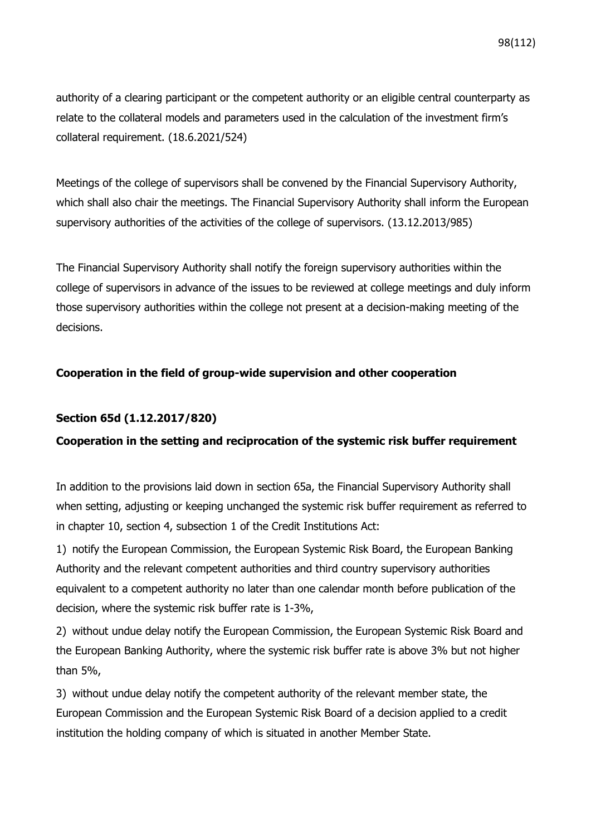authority of a clearing participant or the competent authority or an eligible central counterparty as relate to the collateral models and parameters used in the calculation of the investment firm's collateral requirement. (18.6.2021/524)

Meetings of the college of supervisors shall be convened by the Financial Supervisory Authority, which shall also chair the meetings. The Financial Supervisory Authority shall inform the European supervisory authorities of the activities of the college of supervisors. (13.12.2013/985)

The Financial Supervisory Authority shall notify the foreign supervisory authorities within the college of supervisors in advance of the issues to be reviewed at college meetings and duly inform those supervisory authorities within the college not present at a decision-making meeting of the decisions.

## **Cooperation in the field of group-wide supervision and other cooperation**

## **Section 65d (1.12.2017/820)**

## **Cooperation in the setting and reciprocation of the systemic risk buffer requirement**

In addition to the provisions laid down in section 65a, the Financial Supervisory Authority shall when setting, adjusting or keeping unchanged the systemic risk buffer requirement as referred to in chapter 10, section 4, subsection 1 of the Credit Institutions Act:

1) notify the European Commission, the European Systemic Risk Board, the European Banking Authority and the relevant competent authorities and third country supervisory authorities equivalent to a competent authority no later than one calendar month before publication of the decision, where the systemic risk buffer rate is 1-3%,

2) without undue delay notify the European Commission, the European Systemic Risk Board and the European Banking Authority, where the systemic risk buffer rate is above 3% but not higher than 5%,

3) without undue delay notify the competent authority of the relevant member state, the European Commission and the European Systemic Risk Board of a decision applied to a credit institution the holding company of which is situated in another Member State.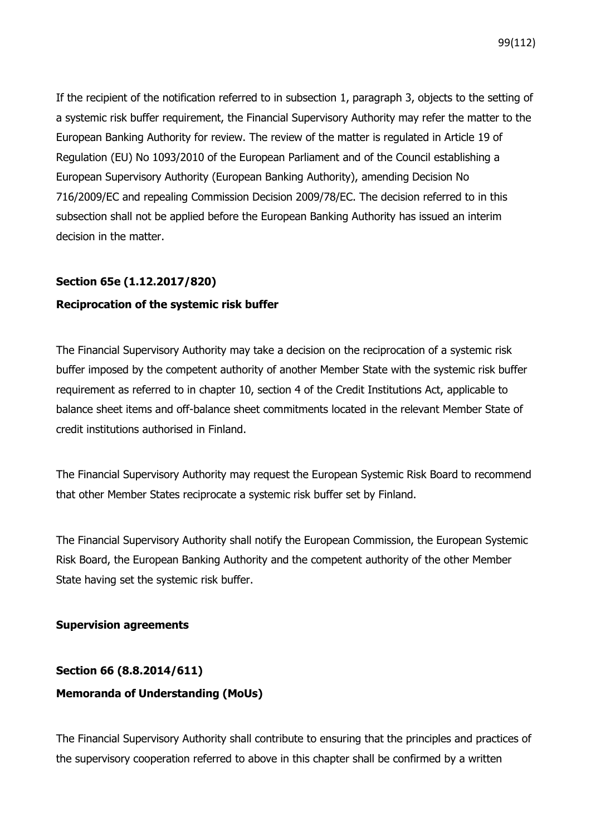If the recipient of the notification referred to in subsection 1, paragraph 3, objects to the setting of a systemic risk buffer requirement, the Financial Supervisory Authority may refer the matter to the European Banking Authority for review. The review of the matter is regulated in Article 19 of Regulation (EU) No 1093/2010 of the European Parliament and of the Council establishing a European Supervisory Authority (European Banking Authority), amending Decision No 716/2009/EC and repealing Commission Decision 2009/78/EC. The decision referred to in this subsection shall not be applied before the European Banking Authority has issued an interim decision in the matter.

### **Section 65e (1.12.2017/820)**

#### **Reciprocation of the systemic risk buffer**

The Financial Supervisory Authority may take a decision on the reciprocation of a systemic risk buffer imposed by the competent authority of another Member State with the systemic risk buffer requirement as referred to in chapter 10, section 4 of the Credit Institutions Act, applicable to balance sheet items and off-balance sheet commitments located in the relevant Member State of credit institutions authorised in Finland.

The Financial Supervisory Authority may request the European Systemic Risk Board to recommend that other Member States reciprocate a systemic risk buffer set by Finland.

The Financial Supervisory Authority shall notify the European Commission, the European Systemic Risk Board, the European Banking Authority and the competent authority of the other Member State having set the systemic risk buffer.

#### **Supervision agreements**

# **Section 66 (8.8.2014/611) Memoranda of Understanding (MoUs)**

The Financial Supervisory Authority shall contribute to ensuring that the principles and practices of the supervisory cooperation referred to above in this chapter shall be confirmed by a written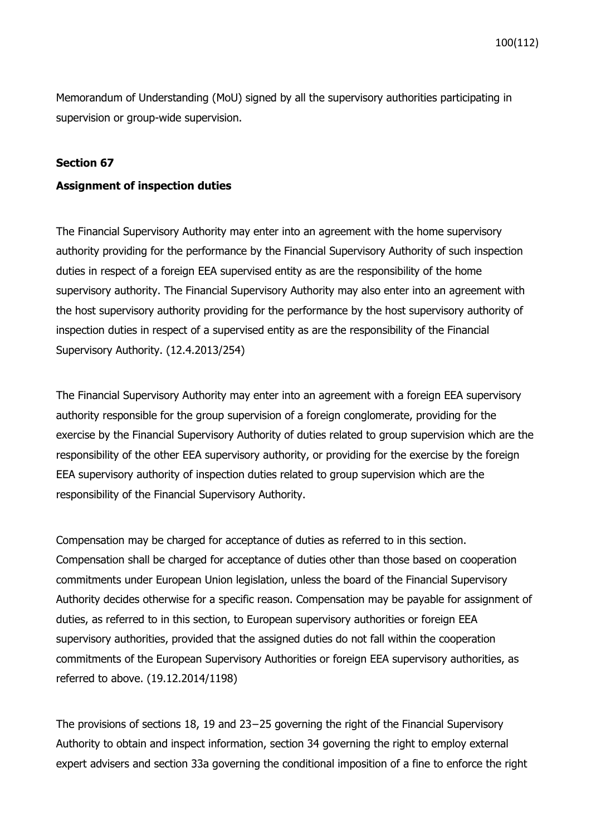Memorandum of Understanding (MoU) signed by all the supervisory authorities participating in supervision or group-wide supervision.

### **Section 67**

#### **Assignment of inspection duties**

The Financial Supervisory Authority may enter into an agreement with the home supervisory authority providing for the performance by the Financial Supervisory Authority of such inspection duties in respect of a foreign EEA supervised entity as are the responsibility of the home supervisory authority. The Financial Supervisory Authority may also enter into an agreement with the host supervisory authority providing for the performance by the host supervisory authority of inspection duties in respect of a supervised entity as are the responsibility of the Financial Supervisory Authority. (12.4.2013/254)

The Financial Supervisory Authority may enter into an agreement with a foreign EEA supervisory authority responsible for the group supervision of a foreign conglomerate, providing for the exercise by the Financial Supervisory Authority of duties related to group supervision which are the responsibility of the other EEA supervisory authority, or providing for the exercise by the foreign EEA supervisory authority of inspection duties related to group supervision which are the responsibility of the Financial Supervisory Authority.

Compensation may be charged for acceptance of duties as referred to in this section. Compensation shall be charged for acceptance of duties other than those based on cooperation commitments under European Union legislation, unless the board of the Financial Supervisory Authority decides otherwise for a specific reason. Compensation may be payable for assignment of duties, as referred to in this section, to European supervisory authorities or foreign EEA supervisory authorities, provided that the assigned duties do not fall within the cooperation commitments of the European Supervisory Authorities or foreign EEA supervisory authorities, as referred to above. (19.12.2014/1198)

The provisions of sections 18, 19 and 23−25 governing the right of the Financial Supervisory Authority to obtain and inspect information, section 34 governing the right to employ external expert advisers and section 33a governing the conditional imposition of a fine to enforce the right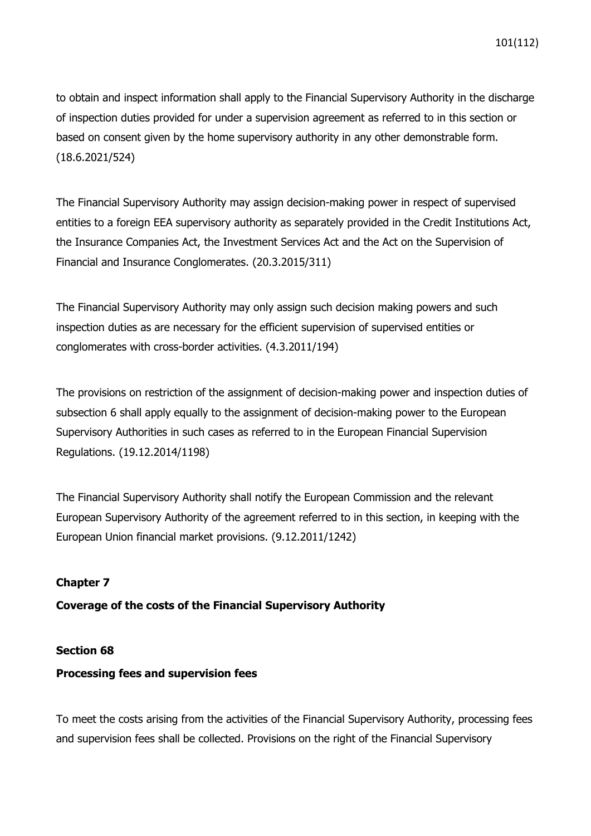to obtain and inspect information shall apply to the Financial Supervisory Authority in the discharge of inspection duties provided for under a supervision agreement as referred to in this section or based on consent given by the home supervisory authority in any other demonstrable form. (18.6.2021/524)

The Financial Supervisory Authority may assign decision-making power in respect of supervised entities to a foreign EEA supervisory authority as separately provided in the Credit Institutions Act, the Insurance Companies Act, the Investment Services Act and the Act on the Supervision of Financial and Insurance Conglomerates. (20.3.2015/311)

The Financial Supervisory Authority may only assign such decision making powers and such inspection duties as are necessary for the efficient supervision of supervised entities or conglomerates with cross-border activities. (4.3.2011/194)

The provisions on restriction of the assignment of decision-making power and inspection duties of subsection 6 shall apply equally to the assignment of decision-making power to the European Supervisory Authorities in such cases as referred to in the European Financial Supervision Regulations. (19.12.2014/1198)

The Financial Supervisory Authority shall notify the European Commission and the relevant European Supervisory Authority of the agreement referred to in this section, in keeping with the European Union financial market provisions. (9.12.2011/1242)

## **Chapter 7**

**Coverage of the costs of the Financial Supervisory Authority**

### **Section 68**

### **Processing fees and supervision fees**

To meet the costs arising from the activities of the Financial Supervisory Authority, processing fees and supervision fees shall be collected. Provisions on the right of the Financial Supervisory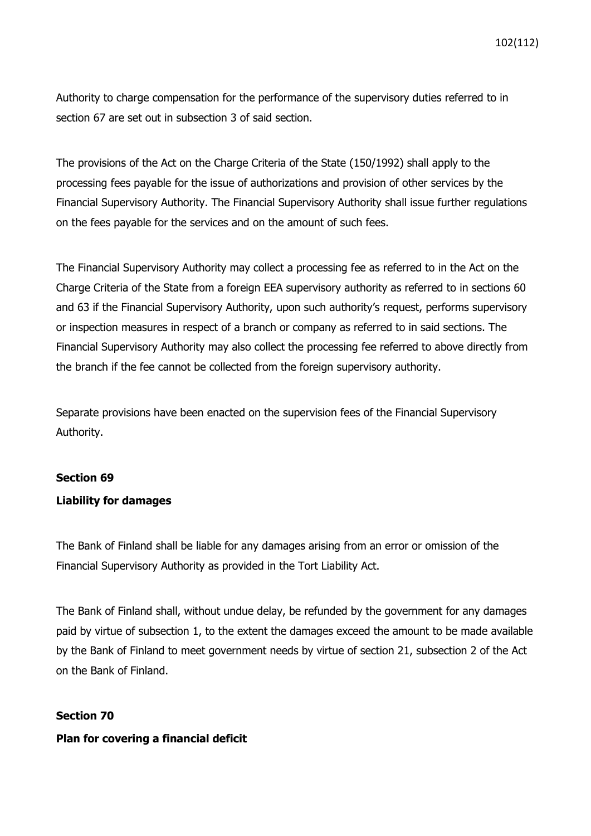Authority to charge compensation for the performance of the supervisory duties referred to in section 67 are set out in subsection 3 of said section.

The provisions of the Act on the Charge Criteria of the State (150/1992) shall apply to the processing fees payable for the issue of authorizations and provision of other services by the Financial Supervisory Authority. The Financial Supervisory Authority shall issue further regulations on the fees payable for the services and on the amount of such fees.

The Financial Supervisory Authority may collect a processing fee as referred to in the Act on the Charge Criteria of the State from a foreign EEA supervisory authority as referred to in sections 60 and 63 if the Financial Supervisory Authority, upon such authority's request, performs supervisory or inspection measures in respect of a branch or company as referred to in said sections. The Financial Supervisory Authority may also collect the processing fee referred to above directly from the branch if the fee cannot be collected from the foreign supervisory authority.

Separate provisions have been enacted on the supervision fees of the Financial Supervisory Authority.

## **Section 69**

### **Liability for damages**

The Bank of Finland shall be liable for any damages arising from an error or omission of the Financial Supervisory Authority as provided in the Tort Liability Act.

The Bank of Finland shall, without undue delay, be refunded by the government for any damages paid by virtue of subsection 1, to the extent the damages exceed the amount to be made available by the Bank of Finland to meet government needs by virtue of section 21, subsection 2 of the Act on the Bank of Finland.

### **Section 70**

### **Plan for covering a financial deficit**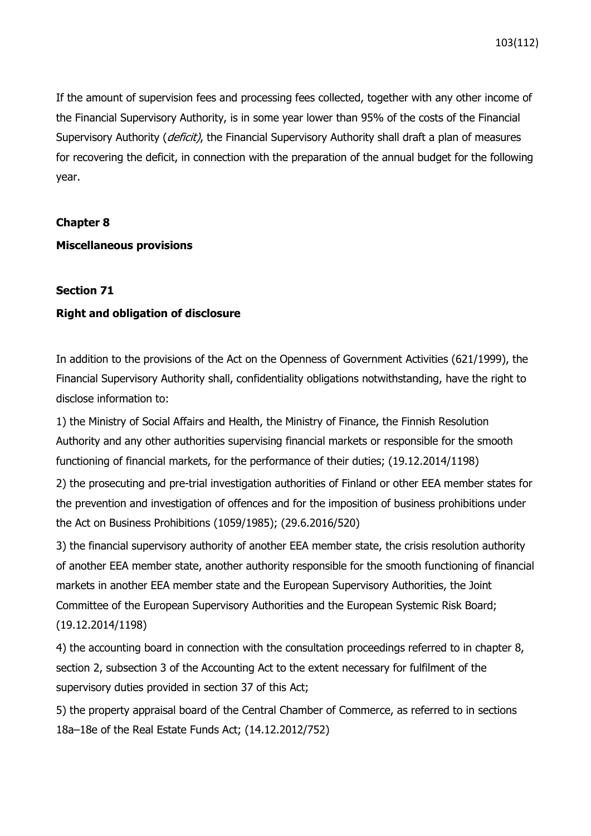If the amount of supervision fees and processing fees collected, together with any other income of the Financial Supervisory Authority, is in some year lower than 95% of the costs of the Financial Supervisory Authority (*deficit*), the Financial Supervisory Authority shall draft a plan of measures for recovering the deficit, in connection with the preparation of the annual budget for the following year.

**Chapter 8**

## **Miscellaneous provisions**

## **Section 71**

## **Right and obligation of disclosure**

In addition to the provisions of the Act on the Openness of Government Activities (621/1999), the Financial Supervisory Authority shall, confidentiality obligations notwithstanding, have the right to disclose information to:

1) the Ministry of Social Affairs and Health, the Ministry of Finance, the Finnish Resolution Authority and any other authorities supervising financial markets or responsible for the smooth functioning of financial markets, for the performance of their duties; (19.12.2014/1198)

2) the prosecuting and pre-trial investigation authorities of Finland or other EEA member states for the prevention and investigation of offences and for the imposition of business prohibitions under the Act on Business Prohibitions (1059/1985); (29.6.2016/520)

3) the financial supervisory authority of another EEA member state, the crisis resolution authority of another EEA member state, another authority responsible for the smooth functioning of financial markets in another EEA member state and the European Supervisory Authorities, the Joint Committee of the European Supervisory Authorities and the European Systemic Risk Board; (19.12.2014/1198)

4) the accounting board in connection with the consultation proceedings referred to in chapter 8, section 2, subsection 3 of the Accounting Act to the extent necessary for fulfilment of the supervisory duties provided in section 37 of this Act;

5) the property appraisal board of the Central Chamber of Commerce, as referred to in sections 18a–18e of the Real Estate Funds Act; (14.12.2012/752)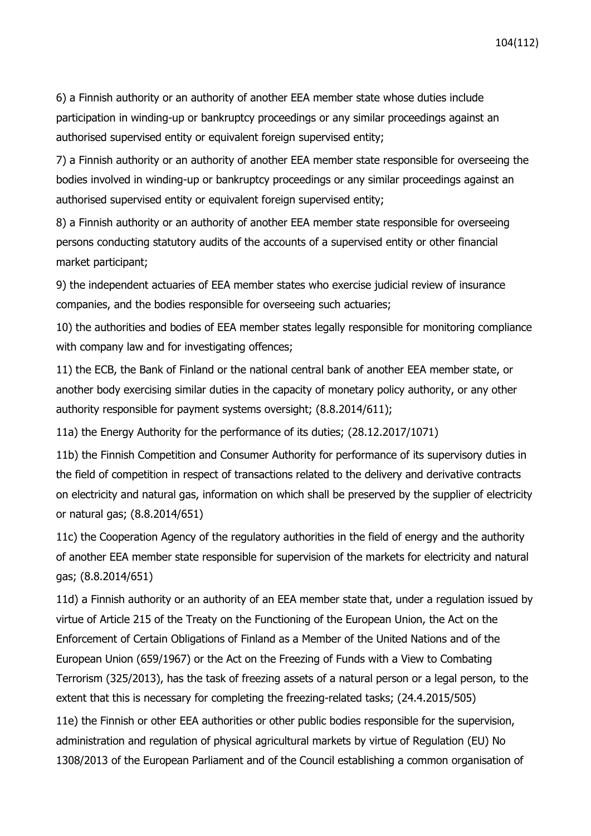6) a Finnish authority or an authority of another EEA member state whose duties include participation in winding-up or bankruptcy proceedings or any similar proceedings against an authorised supervised entity or equivalent foreign supervised entity;

7) a Finnish authority or an authority of another EEA member state responsible for overseeing the bodies involved in winding-up or bankruptcy proceedings or any similar proceedings against an authorised supervised entity or equivalent foreign supervised entity;

8) a Finnish authority or an authority of another EEA member state responsible for overseeing persons conducting statutory audits of the accounts of a supervised entity or other financial market participant;

9) the independent actuaries of EEA member states who exercise judicial review of insurance companies, and the bodies responsible for overseeing such actuaries;

10) the authorities and bodies of EEA member states legally responsible for monitoring compliance with company law and for investigating offences;

11) the ECB, the Bank of Finland or the national central bank of another EEA member state, or another body exercising similar duties in the capacity of monetary policy authority, or any other authority responsible for payment systems oversight; (8.8.2014/611);

11a) the Energy Authority for the performance of its duties; (28.12.2017/1071)

11b) the Finnish Competition and Consumer Authority for performance of its supervisory duties in the field of competition in respect of transactions related to the delivery and derivative contracts on electricity and natural gas, information on which shall be preserved by the supplier of electricity or natural gas; (8.8.2014/651)

11c) the Cooperation Agency of the regulatory authorities in the field of energy and the authority of another EEA member state responsible for supervision of the markets for electricity and natural gas; (8.8.2014/651)

11d) a Finnish authority or an authority of an EEA member state that, under a regulation issued by virtue of Article 215 of the Treaty on the Functioning of the European Union, the Act on the Enforcement of Certain Obligations of Finland as a Member of the United Nations and of the European Union (659/1967) or the Act on the Freezing of Funds with a View to Combating Terrorism (325/2013), has the task of freezing assets of a natural person or a legal person, to the extent that this is necessary for completing the freezing-related tasks; (24.4.2015/505)

11e) the Finnish or other EEA authorities or other public bodies responsible for the supervision, administration and regulation of physical agricultural markets by virtue of Regulation (EU) No 1308/2013 of the European Parliament and of the Council establishing a common organisation of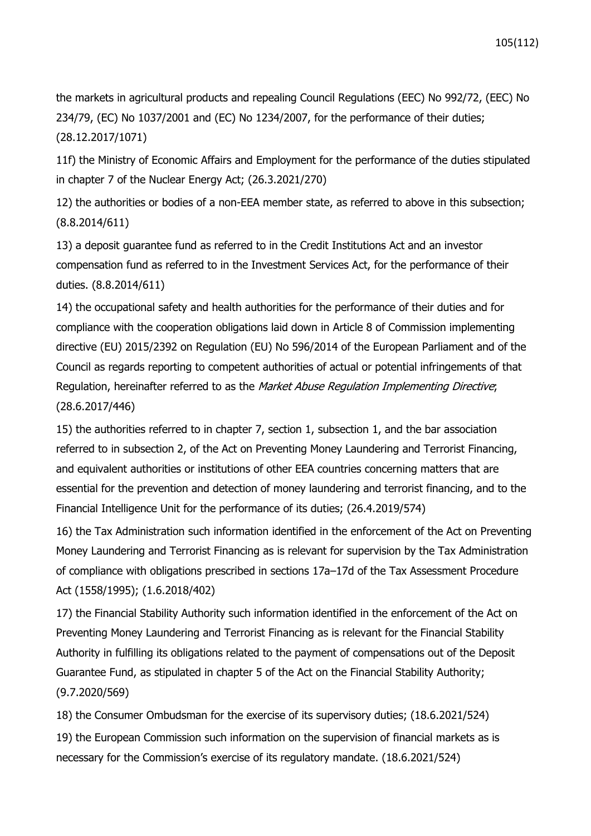the markets in agricultural products and repealing Council Regulations (EEC) No 992/72, (EEC) No 234/79, (EC) No 1037/2001 and (EC) No 1234/2007, for the performance of their duties; (28.12.2017/1071)

11f) the Ministry of Economic Affairs and Employment for the performance of the duties stipulated in chapter 7 of the Nuclear Energy Act; (26.3.2021/270)

12) the authorities or bodies of a non-EEA member state, as referred to above in this subsection; (8.8.2014/611)

13) a deposit guarantee fund as referred to in the Credit Institutions Act and an investor compensation fund as referred to in the Investment Services Act, for the performance of their duties. (8.8.2014/611)

14) the occupational safety and health authorities for the performance of their duties and for compliance with the cooperation obligations laid down in Article 8 of Commission implementing directive (EU) 2015/2392 on Regulation (EU) No 596/2014 of the European Parliament and of the Council as regards reporting to competent authorities of actual or potential infringements of that Regulation, hereinafter referred to as the Market Abuse Regulation Implementing Directive; (28.6.2017/446)

15) the authorities referred to in chapter 7, section 1, subsection 1, and the bar association referred to in subsection 2, of the Act on Preventing Money Laundering and Terrorist Financing, and equivalent authorities or institutions of other EEA countries concerning matters that are essential for the prevention and detection of money laundering and terrorist financing, and to the Financial Intelligence Unit for the performance of its duties; (26.4.2019/574)

16) the Tax Administration such information identified in the enforcement of the Act on Preventing Money Laundering and Terrorist Financing as is relevant for supervision by the Tax Administration of compliance with obligations prescribed in sections 17a–17d of the Tax Assessment Procedure Act (1558/1995); (1.6.2018/402)

17) the Financial Stability Authority such information identified in the enforcement of the Act on Preventing Money Laundering and Terrorist Financing as is relevant for the Financial Stability Authority in fulfilling its obligations related to the payment of compensations out of the Deposit Guarantee Fund, as stipulated in chapter 5 of the Act on the Financial Stability Authority; (9.7.2020/569)

18) the Consumer Ombudsman for the exercise of its supervisory duties; (18.6.2021/524) 19) the European Commission such information on the supervision of financial markets as is necessary for the Commission's exercise of its regulatory mandate. (18.6.2021/524)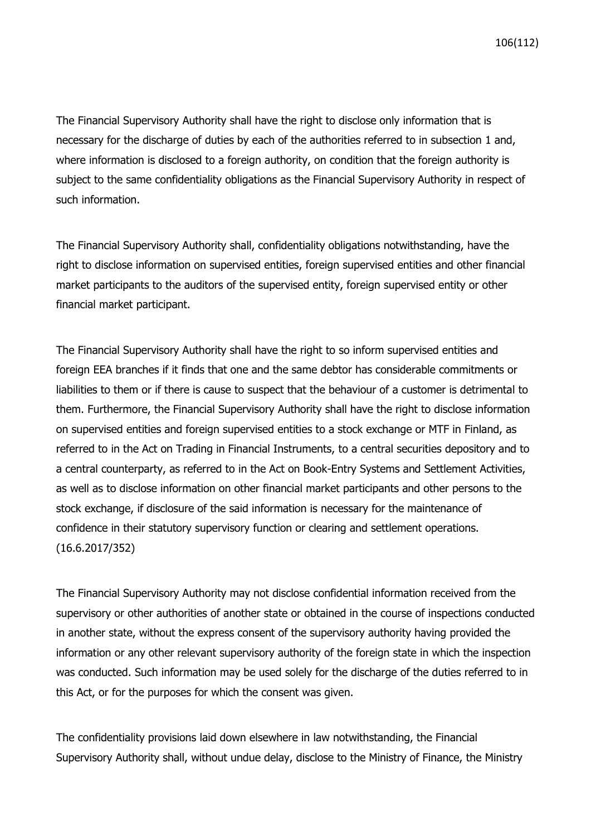The Financial Supervisory Authority shall have the right to disclose only information that is necessary for the discharge of duties by each of the authorities referred to in subsection 1 and, where information is disclosed to a foreign authority, on condition that the foreign authority is subject to the same confidentiality obligations as the Financial Supervisory Authority in respect of such information.

The Financial Supervisory Authority shall, confidentiality obligations notwithstanding, have the right to disclose information on supervised entities, foreign supervised entities and other financial market participants to the auditors of the supervised entity, foreign supervised entity or other financial market participant.

The Financial Supervisory Authority shall have the right to so inform supervised entities and foreign EEA branches if it finds that one and the same debtor has considerable commitments or liabilities to them or if there is cause to suspect that the behaviour of a customer is detrimental to them. Furthermore, the Financial Supervisory Authority shall have the right to disclose information on supervised entities and foreign supervised entities to a stock exchange or MTF in Finland, as referred to in the Act on Trading in Financial Instruments, to a central securities depository and to a central counterparty, as referred to in the Act on Book-Entry Systems and Settlement Activities, as well as to disclose information on other financial market participants and other persons to the stock exchange, if disclosure of the said information is necessary for the maintenance of confidence in their statutory supervisory function or clearing and settlement operations. (16.6.2017/352)

The Financial Supervisory Authority may not disclose confidential information received from the supervisory or other authorities of another state or obtained in the course of inspections conducted in another state, without the express consent of the supervisory authority having provided the information or any other relevant supervisory authority of the foreign state in which the inspection was conducted. Such information may be used solely for the discharge of the duties referred to in this Act, or for the purposes for which the consent was given.

The confidentiality provisions laid down elsewhere in law notwithstanding, the Financial Supervisory Authority shall, without undue delay, disclose to the Ministry of Finance, the Ministry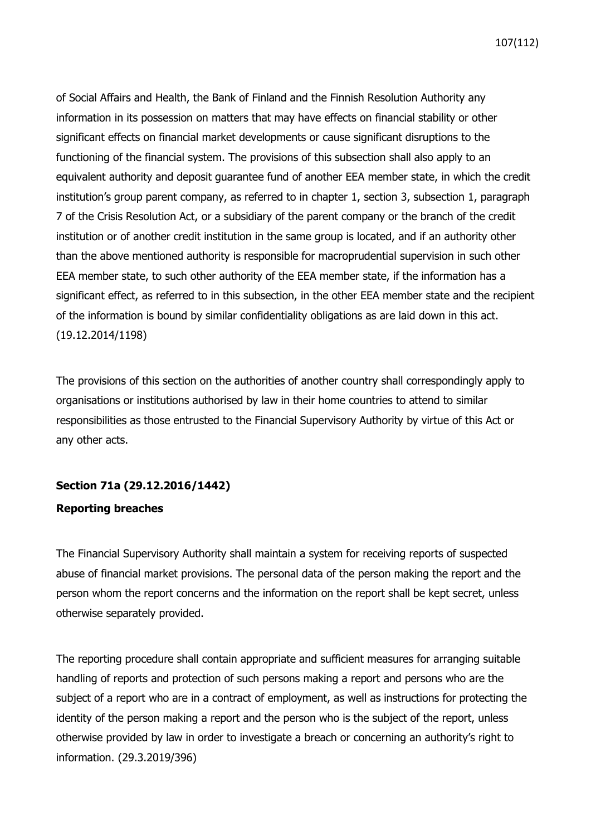of Social Affairs and Health, the Bank of Finland and the Finnish Resolution Authority any information in its possession on matters that may have effects on financial stability or other significant effects on financial market developments or cause significant disruptions to the functioning of the financial system. The provisions of this subsection shall also apply to an equivalent authority and deposit guarantee fund of another EEA member state, in which the credit institution's group parent company, as referred to in chapter 1, section 3, subsection 1, paragraph 7 of the Crisis Resolution Act, or a subsidiary of the parent company or the branch of the credit institution or of another credit institution in the same group is located, and if an authority other than the above mentioned authority is responsible for macroprudential supervision in such other EEA member state, to such other authority of the EEA member state, if the information has a significant effect, as referred to in this subsection, in the other EEA member state and the recipient of the information is bound by similar confidentiality obligations as are laid down in this act. (19.12.2014/1198)

The provisions of this section on the authorities of another country shall correspondingly apply to organisations or institutions authorised by law in their home countries to attend to similar responsibilities as those entrusted to the Financial Supervisory Authority by virtue of this Act or any other acts.

# **Section 71a (29.12.2016/1442) Reporting breaches**

The Financial Supervisory Authority shall maintain a system for receiving reports of suspected abuse of financial market provisions. The personal data of the person making the report and the person whom the report concerns and the information on the report shall be kept secret, unless otherwise separately provided.

The reporting procedure shall contain appropriate and sufficient measures for arranging suitable handling of reports and protection of such persons making a report and persons who are the subject of a report who are in a contract of employment, as well as instructions for protecting the identity of the person making a report and the person who is the subject of the report, unless otherwise provided by law in order to investigate a breach or concerning an authority's right to information. (29.3.2019/396)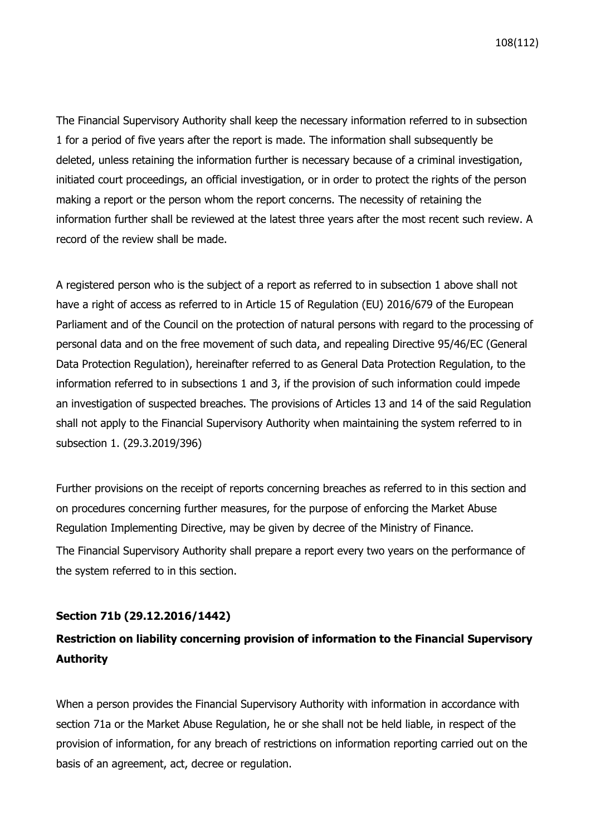The Financial Supervisory Authority shall keep the necessary information referred to in subsection 1 for a period of five years after the report is made. The information shall subsequently be deleted, unless retaining the information further is necessary because of a criminal investigation, initiated court proceedings, an official investigation, or in order to protect the rights of the person making a report or the person whom the report concerns. The necessity of retaining the information further shall be reviewed at the latest three years after the most recent such review. A record of the review shall be made.

A registered person who is the subject of a report as referred to in subsection 1 above shall not have a right of access as referred to in Article 15 of Regulation (EU) 2016/679 of the European Parliament and of the Council on the protection of natural persons with regard to the processing of personal data and on the free movement of such data, and repealing Directive 95/46/EC (General Data Protection Regulation), hereinafter referred to as General Data Protection Regulation, to the information referred to in subsections 1 and 3, if the provision of such information could impede an investigation of suspected breaches. The provisions of Articles 13 and 14 of the said Regulation shall not apply to the Financial Supervisory Authority when maintaining the system referred to in subsection 1. (29.3.2019/396)

Further provisions on the receipt of reports concerning breaches as referred to in this section and on procedures concerning further measures, for the purpose of enforcing the Market Abuse Regulation Implementing Directive, may be given by decree of the Ministry of Finance. The Financial Supervisory Authority shall prepare a report every two years on the performance of the system referred to in this section.

### **Section 71b (29.12.2016/1442)**

## **Restriction on liability concerning provision of information to the Financial Supervisory Authority**

When a person provides the Financial Supervisory Authority with information in accordance with section 71a or the Market Abuse Regulation, he or she shall not be held liable, in respect of the provision of information, for any breach of restrictions on information reporting carried out on the basis of an agreement, act, decree or regulation.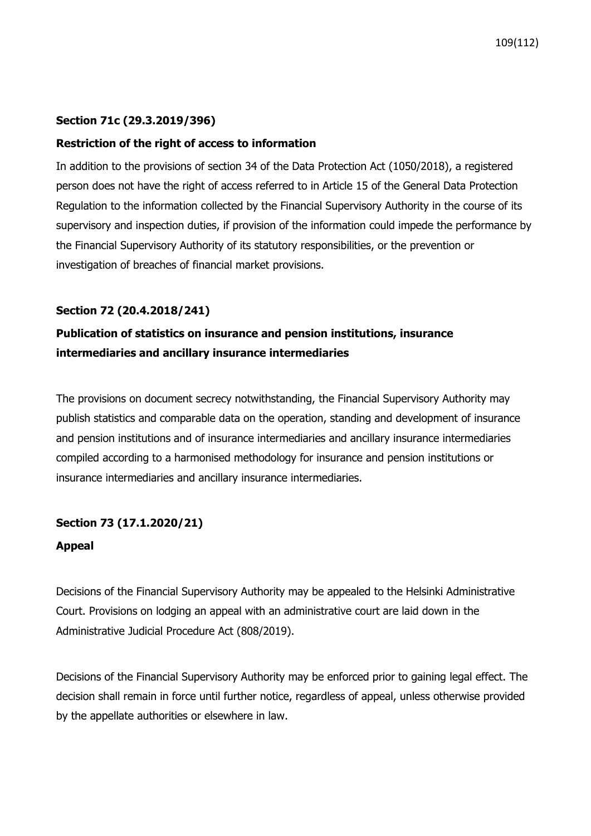### **Section 71c (29.3.2019/396)**

#### **Restriction of the right of access to information**

In addition to the provisions of section 34 of the Data Protection Act (1050/2018), a registered person does not have the right of access referred to in Article 15 of the General Data Protection Regulation to the information collected by the Financial Supervisory Authority in the course of its supervisory and inspection duties, if provision of the information could impede the performance by the Financial Supervisory Authority of its statutory responsibilities, or the prevention or investigation of breaches of financial market provisions.

#### **Section 72 (20.4.2018/241)**

# **Publication of statistics on insurance and pension institutions, insurance intermediaries and ancillary insurance intermediaries**

The provisions on document secrecy notwithstanding, the Financial Supervisory Authority may publish statistics and comparable data on the operation, standing and development of insurance and pension institutions and of insurance intermediaries and ancillary insurance intermediaries compiled according to a harmonised methodology for insurance and pension institutions or insurance intermediaries and ancillary insurance intermediaries.

#### **Section 73 (17.1.2020/21)**

#### **Appeal**

Decisions of the Financial Supervisory Authority may be appealed to the Helsinki Administrative Court. Provisions on lodging an appeal with an administrative court are laid down in the Administrative Judicial Procedure Act (808/2019).

Decisions of the Financial Supervisory Authority may be enforced prior to gaining legal effect. The decision shall remain in force until further notice, regardless of appeal, unless otherwise provided by the appellate authorities or elsewhere in law.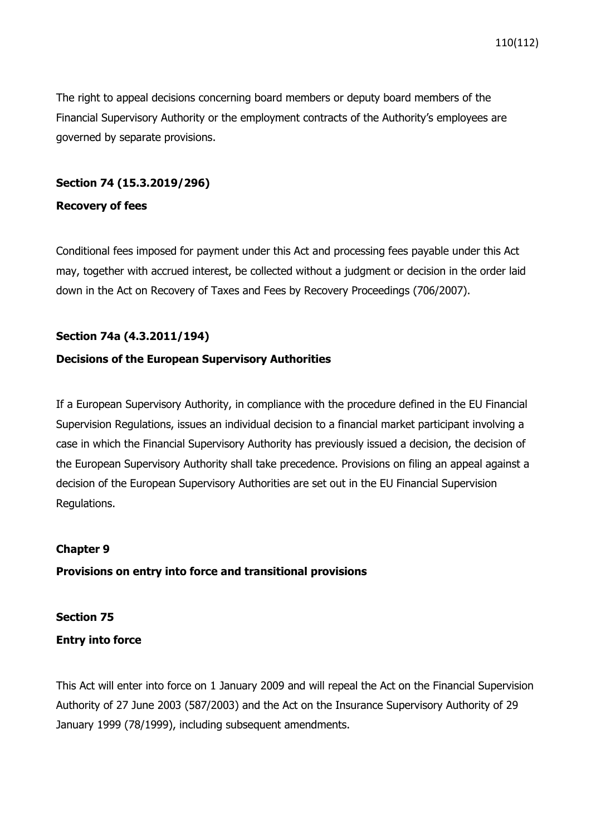The right to appeal decisions concerning board members or deputy board members of the Financial Supervisory Authority or the employment contracts of the Authority's employees are governed by separate provisions.

# **Section 74 (15.3.2019/296)**

#### **Recovery of fees**

Conditional fees imposed for payment under this Act and processing fees payable under this Act may, together with accrued interest, be collected without a judgment or decision in the order laid down in the Act on Recovery of Taxes and Fees by Recovery Proceedings (706/2007).

# **Section 74a (4.3.2011/194)**

# **Decisions of the European Supervisory Authorities**

If a European Supervisory Authority, in compliance with the procedure defined in the EU Financial Supervision Regulations, issues an individual decision to a financial market participant involving a case in which the Financial Supervisory Authority has previously issued a decision, the decision of the European Supervisory Authority shall take precedence. Provisions on filing an appeal against a decision of the European Supervisory Authorities are set out in the EU Financial Supervision Regulations.

#### **Chapter 9**

**Provisions on entry into force and transitional provisions**

# **Section 75 Entry into force**

This Act will enter into force on 1 January 2009 and will repeal the Act on the Financial Supervision Authority of 27 June 2003 (587/2003) and the Act on the Insurance Supervisory Authority of 29 January 1999 (78/1999), including subsequent amendments.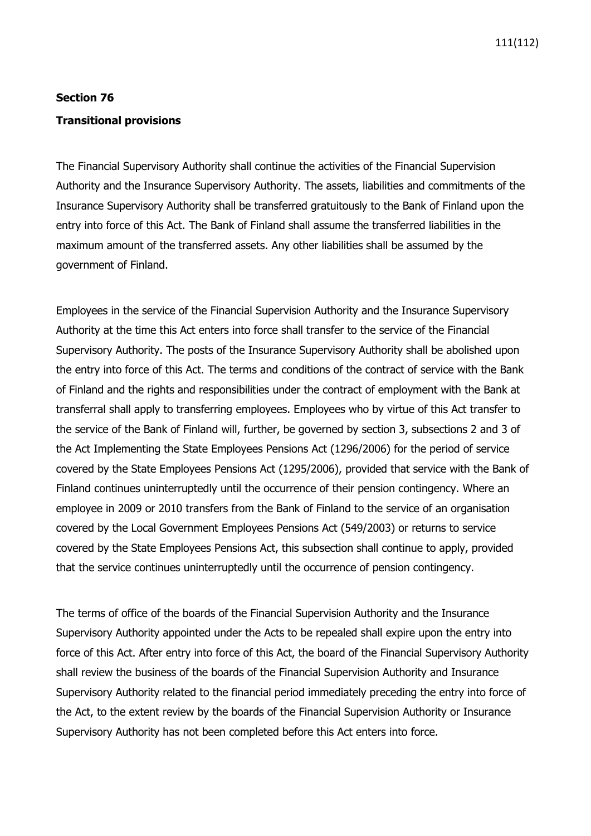# **Section 76 Transitional provisions**

The Financial Supervisory Authority shall continue the activities of the Financial Supervision Authority and the Insurance Supervisory Authority. The assets, liabilities and commitments of the Insurance Supervisory Authority shall be transferred gratuitously to the Bank of Finland upon the entry into force of this Act. The Bank of Finland shall assume the transferred liabilities in the maximum amount of the transferred assets. Any other liabilities shall be assumed by the government of Finland.

Employees in the service of the Financial Supervision Authority and the Insurance Supervisory Authority at the time this Act enters into force shall transfer to the service of the Financial Supervisory Authority. The posts of the Insurance Supervisory Authority shall be abolished upon the entry into force of this Act. The terms and conditions of the contract of service with the Bank of Finland and the rights and responsibilities under the contract of employment with the Bank at transferral shall apply to transferring employees. Employees who by virtue of this Act transfer to the service of the Bank of Finland will, further, be governed by section 3, subsections 2 and 3 of the Act Implementing the State Employees Pensions Act (1296/2006) for the period of service covered by the State Employees Pensions Act (1295/2006), provided that service with the Bank of Finland continues uninterruptedly until the occurrence of their pension contingency. Where an employee in 2009 or 2010 transfers from the Bank of Finland to the service of an organisation covered by the Local Government Employees Pensions Act (549/2003) or returns to service covered by the State Employees Pensions Act, this subsection shall continue to apply, provided that the service continues uninterruptedly until the occurrence of pension contingency.

The terms of office of the boards of the Financial Supervision Authority and the Insurance Supervisory Authority appointed under the Acts to be repealed shall expire upon the entry into force of this Act. After entry into force of this Act, the board of the Financial Supervisory Authority shall review the business of the boards of the Financial Supervision Authority and Insurance Supervisory Authority related to the financial period immediately preceding the entry into force of the Act, to the extent review by the boards of the Financial Supervision Authority or Insurance Supervisory Authority has not been completed before this Act enters into force.